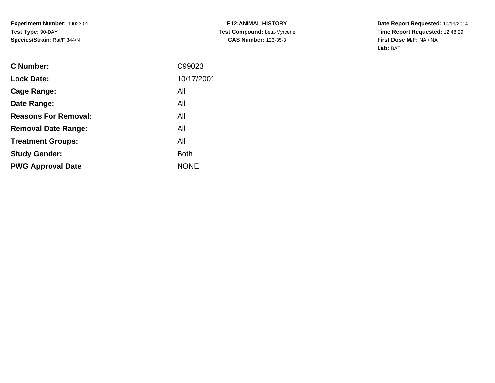| <b>E12:ANIMAL HISTORY</b>   |
|-----------------------------|
| Test Compound: beta-Myrcene |
| <b>CAS Number: 123-35-3</b> |

| C Number:                   | C99023      |
|-----------------------------|-------------|
| <b>Lock Date:</b>           | 10/17/2001  |
| Cage Range:                 | All         |
| Date Range:                 | All         |
| <b>Reasons For Removal:</b> | All         |
| <b>Removal Date Range:</b>  | All         |
| <b>Treatment Groups:</b>    | All         |
| <b>Study Gender:</b>        | <b>Both</b> |
| <b>PWG Approval Date</b>    | <b>NONE</b> |
|                             |             |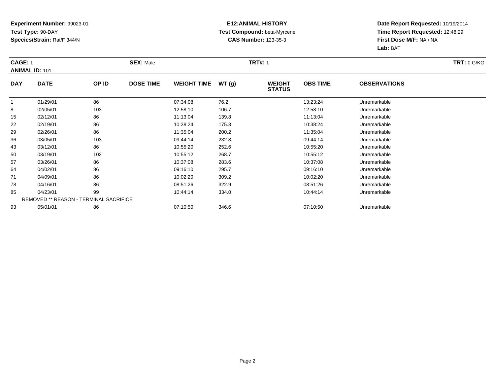### **E12:ANIMAL HISTORY Test Compound:** beta-Myrcene**CAS Number:** 123-35-3

| <b>CAGE: 1</b> |                                               |       | <b>SEX: Male</b> |                    |       | <b>TRT#:</b> 1                 |                 |                     | <b>TRT: 0 G/KG</b> |
|----------------|-----------------------------------------------|-------|------------------|--------------------|-------|--------------------------------|-----------------|---------------------|--------------------|
|                | <b>ANIMAL ID: 101</b>                         |       |                  |                    |       |                                |                 |                     |                    |
| <b>DAY</b>     | <b>DATE</b>                                   | OP ID | <b>DOSE TIME</b> | <b>WEIGHT TIME</b> | WT(g) | <b>WEIGHT</b><br><b>STATUS</b> | <b>OBS TIME</b> | <b>OBSERVATIONS</b> |                    |
| $\mathbf{1}$   | 01/29/01                                      | 86    |                  | 07:34:08           | 76.2  |                                | 13:23:24        | Unremarkable        |                    |
| 8              | 02/05/01                                      | 103   |                  | 12:58:10           | 106.7 |                                | 12:58:10        | Unremarkable        |                    |
| 15             | 02/12/01                                      | 86    |                  | 11:13:04           | 139.8 |                                | 11:13:04        | Unremarkable        |                    |
| 22             | 02/19/01                                      | 86    |                  | 10:38:24           | 175.3 |                                | 10:38:24        | Unremarkable        |                    |
| 29             | 02/26/01                                      | 86    |                  | 11:35:04           | 200.2 |                                | 11:35:04        | Unremarkable        |                    |
| 36             | 03/05/01                                      | 103   |                  | 09:44:14           | 232.8 |                                | 09:44:14        | Unremarkable        |                    |
| 43             | 03/12/01                                      | 86    |                  | 10:55:20           | 252.6 |                                | 10:55:20        | Unremarkable        |                    |
| 50             | 03/19/01                                      | 102   |                  | 10:55:12           | 268.7 |                                | 10:55:12        | Unremarkable        |                    |
| 57             | 03/26/01                                      | 86    |                  | 10:37:08           | 283.6 |                                | 10:37:08        | Unremarkable        |                    |
| 64             | 04/02/01                                      | 86    |                  | 09:16:10           | 295.7 |                                | 09:16:10        | Unremarkable        |                    |
| 71             | 04/09/01                                      | 86    |                  | 10:02:20           | 309.2 |                                | 10:02:20        | Unremarkable        |                    |
| 78             | 04/16/01                                      | 86    |                  | 08:51:26           | 322.9 |                                | 08:51:26        | Unremarkable        |                    |
| 85             | 04/23/01                                      | 99    |                  | 10:44:14           | 334.0 |                                | 10:44:14        | Unremarkable        |                    |
|                | <b>REMOVED ** REASON - TERMINAL SACRIFICE</b> |       |                  |                    |       |                                |                 |                     |                    |
| 93             | 05/01/01                                      | 86    |                  | 07:10:50           | 346.6 |                                | 07:10:50        | Unremarkable        |                    |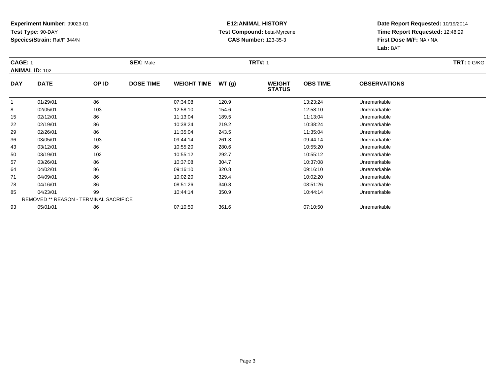### **E12:ANIMAL HISTORY Test Compound:** beta-Myrcene**CAS Number:** 123-35-3

| <b>CAGE: 1</b> |                                               |       | <b>SEX: Male</b> |                    |       | <b>TRT#:</b> 1                 |                 |                     | <b>TRT: 0 G/KG</b> |
|----------------|-----------------------------------------------|-------|------------------|--------------------|-------|--------------------------------|-----------------|---------------------|--------------------|
|                | <b>ANIMAL ID: 102</b>                         |       |                  |                    |       |                                |                 |                     |                    |
| <b>DAY</b>     | <b>DATE</b>                                   | OP ID | <b>DOSE TIME</b> | <b>WEIGHT TIME</b> | WT(g) | <b>WEIGHT</b><br><b>STATUS</b> | <b>OBS TIME</b> | <b>OBSERVATIONS</b> |                    |
| $\mathbf{1}$   | 01/29/01                                      | 86    |                  | 07:34:08           | 120.9 |                                | 13:23:24        | Unremarkable        |                    |
| 8              | 02/05/01                                      | 103   |                  | 12:58:10           | 154.6 |                                | 12:58:10        | Unremarkable        |                    |
| 15             | 02/12/01                                      | 86    |                  | 11:13:04           | 189.5 |                                | 11:13:04        | Unremarkable        |                    |
| 22             | 02/19/01                                      | 86    |                  | 10:38:24           | 219.2 |                                | 10:38:24        | Unremarkable        |                    |
| 29             | 02/26/01                                      | 86    |                  | 11:35:04           | 243.5 |                                | 11:35:04        | Unremarkable        |                    |
| 36             | 03/05/01                                      | 103   |                  | 09:44:14           | 261.8 |                                | 09:44:14        | Unremarkable        |                    |
| 43             | 03/12/01                                      | 86    |                  | 10:55:20           | 280.6 |                                | 10:55:20        | Unremarkable        |                    |
| 50             | 03/19/01                                      | 102   |                  | 10:55:12           | 292.7 |                                | 10:55:12        | Unremarkable        |                    |
| 57             | 03/26/01                                      | 86    |                  | 10:37:08           | 304.7 |                                | 10:37:08        | Unremarkable        |                    |
| 64             | 04/02/01                                      | 86    |                  | 09:16:10           | 320.8 |                                | 09:16:10        | Unremarkable        |                    |
| 71             | 04/09/01                                      | 86    |                  | 10:02:20           | 329.4 |                                | 10:02:20        | Unremarkable        |                    |
| 78             | 04/16/01                                      | 86    |                  | 08:51:26           | 340.8 |                                | 08:51:26        | Unremarkable        |                    |
| 85             | 04/23/01                                      | 99    |                  | 10:44:14           | 350.9 |                                | 10:44:14        | Unremarkable        |                    |
|                | <b>REMOVED ** REASON - TERMINAL SACRIFICE</b> |       |                  |                    |       |                                |                 |                     |                    |
| 93             | 05/01/01                                      | 86    |                  | 07:10:50           | 361.6 |                                | 07:10:50        | Unremarkable        |                    |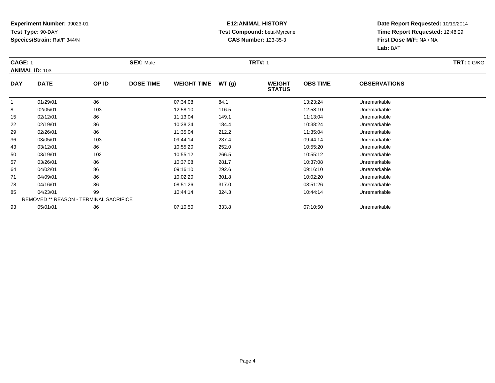### **E12:ANIMAL HISTORY Test Compound:** beta-Myrcene**CAS Number:** 123-35-3

| CAGE: 1      |                                               |       | <b>SEX: Male</b> |                    |       | <b>TRT: 0 G/KG</b>             |                 |                     |  |
|--------------|-----------------------------------------------|-------|------------------|--------------------|-------|--------------------------------|-----------------|---------------------|--|
|              | <b>ANIMAL ID: 103</b>                         |       |                  |                    |       |                                |                 |                     |  |
| <b>DAY</b>   | <b>DATE</b>                                   | OP ID | <b>DOSE TIME</b> | <b>WEIGHT TIME</b> | WT(g) | <b>WEIGHT</b><br><b>STATUS</b> | <b>OBS TIME</b> | <b>OBSERVATIONS</b> |  |
| $\mathbf{1}$ | 01/29/01                                      | 86    |                  | 07:34:08           | 84.1  |                                | 13:23:24        | Unremarkable        |  |
| 8            | 02/05/01                                      | 103   |                  | 12:58:10           | 116.5 |                                | 12:58:10        | Unremarkable        |  |
| 15           | 02/12/01                                      | 86    |                  | 11:13:04           | 149.1 |                                | 11:13:04        | Unremarkable        |  |
| 22           | 02/19/01                                      | 86    |                  | 10:38:24           | 184.4 |                                | 10:38:24        | Unremarkable        |  |
| 29           | 02/26/01                                      | 86    |                  | 11:35:04           | 212.2 |                                | 11:35:04        | Unremarkable        |  |
| 36           | 03/05/01                                      | 103   |                  | 09:44:14           | 237.4 |                                | 09:44:14        | Unremarkable        |  |
| 43           | 03/12/01                                      | 86    |                  | 10:55:20           | 252.0 |                                | 10:55:20        | Unremarkable        |  |
| 50           | 03/19/01                                      | 102   |                  | 10:55:12           | 266.5 |                                | 10:55:12        | Unremarkable        |  |
| 57           | 03/26/01                                      | 86    |                  | 10:37:08           | 281.7 |                                | 10:37:08        | Unremarkable        |  |
| 64           | 04/02/01                                      | 86    |                  | 09:16:10           | 292.6 |                                | 09:16:10        | Unremarkable        |  |
| 71           | 04/09/01                                      | 86    |                  | 10:02:20           | 301.8 |                                | 10:02:20        | Unremarkable        |  |
| 78           | 04/16/01                                      | 86    |                  | 08:51:26           | 317.0 |                                | 08:51:26        | Unremarkable        |  |
| 85           | 04/23/01                                      | 99    |                  | 10:44:14           | 324.3 |                                | 10:44:14        | Unremarkable        |  |
|              | <b>REMOVED ** REASON - TERMINAL SACRIFICE</b> |       |                  |                    |       |                                |                 |                     |  |
| 93           | 05/01/01                                      | 86    |                  | 07:10:50           | 333.8 |                                | 07:10:50        | Unremarkable        |  |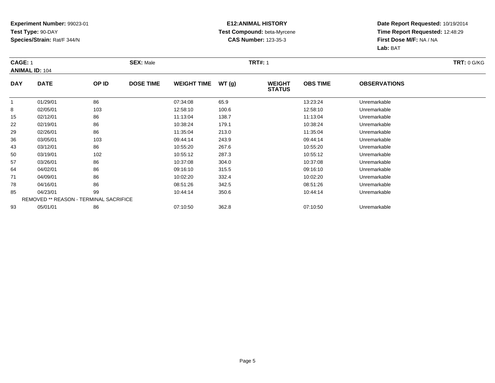### **E12:ANIMAL HISTORY Test Compound:** beta-Myrcene**CAS Number:** 123-35-3

| <b>CAGE: 1</b> |                                               |       | <b>SEX: Male</b> |                    |       | <b>TRT#:</b> 1                 |                 |                     | <b>TRT: 0 G/KG</b> |
|----------------|-----------------------------------------------|-------|------------------|--------------------|-------|--------------------------------|-----------------|---------------------|--------------------|
|                | <b>ANIMAL ID: 104</b>                         |       |                  |                    |       |                                |                 |                     |                    |
| <b>DAY</b>     | <b>DATE</b>                                   | OP ID | <b>DOSE TIME</b> | <b>WEIGHT TIME</b> | WT(g) | <b>WEIGHT</b><br><b>STATUS</b> | <b>OBS TIME</b> | <b>OBSERVATIONS</b> |                    |
| $\mathbf{1}$   | 01/29/01                                      | 86    |                  | 07:34:08           | 65.9  |                                | 13:23:24        | Unremarkable        |                    |
| 8              | 02/05/01                                      | 103   |                  | 12:58:10           | 100.6 |                                | 12:58:10        | Unremarkable        |                    |
| 15             | 02/12/01                                      | 86    |                  | 11:13:04           | 138.7 |                                | 11:13:04        | Unremarkable        |                    |
| 22             | 02/19/01                                      | 86    |                  | 10:38:24           | 179.1 |                                | 10:38:24        | Unremarkable        |                    |
| 29             | 02/26/01                                      | 86    |                  | 11:35:04           | 213.0 |                                | 11:35:04        | Unremarkable        |                    |
| 36             | 03/05/01                                      | 103   |                  | 09:44:14           | 243.9 |                                | 09:44:14        | Unremarkable        |                    |
| 43             | 03/12/01                                      | 86    |                  | 10:55:20           | 267.6 |                                | 10:55:20        | Unremarkable        |                    |
| 50             | 03/19/01                                      | 102   |                  | 10:55:12           | 287.3 |                                | 10:55:12        | Unremarkable        |                    |
| 57             | 03/26/01                                      | 86    |                  | 10:37:08           | 304.0 |                                | 10:37:08        | Unremarkable        |                    |
| 64             | 04/02/01                                      | 86    |                  | 09:16:10           | 315.5 |                                | 09:16:10        | Unremarkable        |                    |
| 71             | 04/09/01                                      | 86    |                  | 10:02:20           | 332.4 |                                | 10:02:20        | Unremarkable        |                    |
| 78             | 04/16/01                                      | 86    |                  | 08:51:26           | 342.5 |                                | 08:51:26        | Unremarkable        |                    |
| 85             | 04/23/01                                      | 99    |                  | 10:44:14           | 350.6 |                                | 10:44:14        | Unremarkable        |                    |
|                | <b>REMOVED ** REASON - TERMINAL SACRIFICE</b> |       |                  |                    |       |                                |                 |                     |                    |
| 93             | 05/01/01                                      | 86    |                  | 07:10:50           | 362.8 |                                | 07:10:50        | Unremarkable        |                    |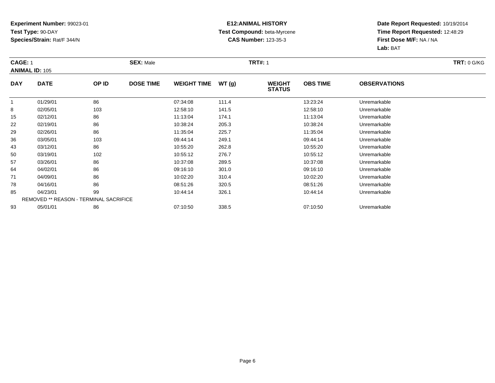### **E12:ANIMAL HISTORY Test Compound:** beta-Myrcene**CAS Number:** 123-35-3

| <b>CAGE: 1</b> |                                               |       | <b>SEX: Male</b> |                    |       | <b>TRT#:</b> 1                 |                 |                     | <b>TRT: 0 G/KG</b> |
|----------------|-----------------------------------------------|-------|------------------|--------------------|-------|--------------------------------|-----------------|---------------------|--------------------|
|                | <b>ANIMAL ID: 105</b>                         |       |                  |                    |       |                                |                 |                     |                    |
| <b>DAY</b>     | <b>DATE</b>                                   | OP ID | <b>DOSE TIME</b> | <b>WEIGHT TIME</b> | WT(g) | <b>WEIGHT</b><br><b>STATUS</b> | <b>OBS TIME</b> | <b>OBSERVATIONS</b> |                    |
| $\mathbf{1}$   | 01/29/01                                      | 86    |                  | 07:34:08           | 111.4 |                                | 13:23:24        | Unremarkable        |                    |
| 8              | 02/05/01                                      | 103   |                  | 12:58:10           | 141.5 |                                | 12:58:10        | Unremarkable        |                    |
| 15             | 02/12/01                                      | 86    |                  | 11:13:04           | 174.1 |                                | 11:13:04        | Unremarkable        |                    |
| 22             | 02/19/01                                      | 86    |                  | 10:38:24           | 205.3 |                                | 10:38:24        | Unremarkable        |                    |
| 29             | 02/26/01                                      | 86    |                  | 11:35:04           | 225.7 |                                | 11:35:04        | Unremarkable        |                    |
| 36             | 03/05/01                                      | 103   |                  | 09:44:14           | 249.1 |                                | 09:44:14        | Unremarkable        |                    |
| 43             | 03/12/01                                      | 86    |                  | 10:55:20           | 262.8 |                                | 10:55:20        | Unremarkable        |                    |
| 50             | 03/19/01                                      | 102   |                  | 10:55:12           | 276.7 |                                | 10:55:12        | Unremarkable        |                    |
| 57             | 03/26/01                                      | 86    |                  | 10:37:08           | 289.5 |                                | 10:37:08        | Unremarkable        |                    |
| 64             | 04/02/01                                      | 86    |                  | 09:16:10           | 301.0 |                                | 09:16:10        | Unremarkable        |                    |
| 71             | 04/09/01                                      | 86    |                  | 10:02:20           | 310.4 |                                | 10:02:20        | Unremarkable        |                    |
| 78             | 04/16/01                                      | 86    |                  | 08:51:26           | 320.5 |                                | 08:51:26        | Unremarkable        |                    |
| 85             | 04/23/01                                      | 99    |                  | 10:44:14           | 326.1 |                                | 10:44:14        | Unremarkable        |                    |
|                | <b>REMOVED ** REASON - TERMINAL SACRIFICE</b> |       |                  |                    |       |                                |                 |                     |                    |
| 93             | 05/01/01                                      | 86    |                  | 07:10:50           | 338.5 |                                | 07:10:50        | Unremarkable        |                    |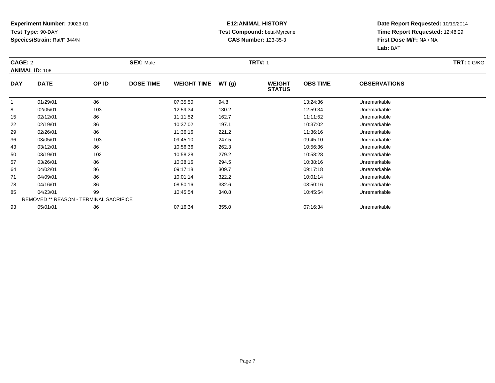### **E12:ANIMAL HISTORY Test Compound:** beta-Myrcene**CAS Number:** 123-35-3

| CAGE: 2    |                                               |       | <b>SEX: Male</b> |                    |       | <b>TRT#: 1</b>                 |                 |                     | <b>TRT: 0 G/KG</b> |
|------------|-----------------------------------------------|-------|------------------|--------------------|-------|--------------------------------|-----------------|---------------------|--------------------|
|            | <b>ANIMAL ID: 106</b>                         |       |                  |                    |       |                                |                 |                     |                    |
| <b>DAY</b> | <b>DATE</b>                                   | OP ID | <b>DOSE TIME</b> | <b>WEIGHT TIME</b> | WT(g) | <b>WEIGHT</b><br><b>STATUS</b> | <b>OBS TIME</b> | <b>OBSERVATIONS</b> |                    |
| 1          | 01/29/01                                      | 86    |                  | 07:35:50           | 94.8  |                                | 13:24:36        | Unremarkable        |                    |
| 8          | 02/05/01                                      | 103   |                  | 12:59:34           | 130.2 |                                | 12:59:34        | Unremarkable        |                    |
| 15         | 02/12/01                                      | 86    |                  | 11:11:52           | 162.7 |                                | 11:11:52        | Unremarkable        |                    |
| 22         | 02/19/01                                      | 86    |                  | 10:37:02           | 197.1 |                                | 10:37:02        | Unremarkable        |                    |
| 29         | 02/26/01                                      | 86    |                  | 11:36:16           | 221.2 |                                | 11:36:16        | Unremarkable        |                    |
| 36         | 03/05/01                                      | 103   |                  | 09:45:10           | 247.5 |                                | 09:45:10        | Unremarkable        |                    |
| 43         | 03/12/01                                      | 86    |                  | 10:56:36           | 262.3 |                                | 10:56:36        | Unremarkable        |                    |
| 50         | 03/19/01                                      | 102   |                  | 10:58:28           | 279.2 |                                | 10:58:28        | Unremarkable        |                    |
| 57         | 03/26/01                                      | 86    |                  | 10:38:16           | 294.5 |                                | 10:38:16        | Unremarkable        |                    |
| 64         | 04/02/01                                      | 86    |                  | 09:17:18           | 309.7 |                                | 09:17:18        | Unremarkable        |                    |
| 71         | 04/09/01                                      | 86    |                  | 10:01:14           | 322.2 |                                | 10:01:14        | Unremarkable        |                    |
| 78         | 04/16/01                                      | 86    |                  | 08:50:16           | 332.6 |                                | 08:50:16        | Unremarkable        |                    |
| 85         | 04/23/01                                      | 99    |                  | 10:45:54           | 340.8 |                                | 10:45:54        | Unremarkable        |                    |
|            | <b>REMOVED ** REASON - TERMINAL SACRIFICE</b> |       |                  |                    |       |                                |                 |                     |                    |
| 93         | 05/01/01                                      | 86    |                  | 07:16:34           | 355.0 |                                | 07:16:34        | Unremarkable        |                    |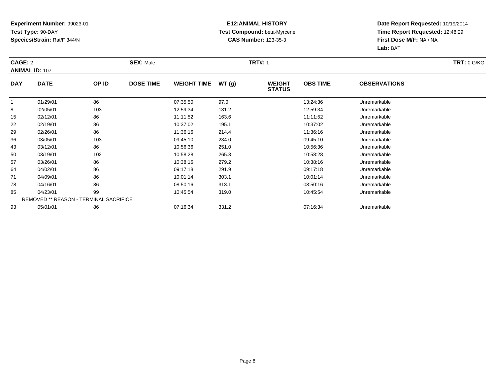### **E12:ANIMAL HISTORY Test Compound:** beta-Myrcene**CAS Number:** 123-35-3

| CAGE: 2      |                                               |       | <b>SEX: Male</b> |                    |       | <b>TRT#:</b> 1                 |                 |                     | <b>TRT: 0 G/KG</b> |
|--------------|-----------------------------------------------|-------|------------------|--------------------|-------|--------------------------------|-----------------|---------------------|--------------------|
|              | <b>ANIMAL ID: 107</b>                         |       |                  |                    |       |                                |                 |                     |                    |
| <b>DAY</b>   | <b>DATE</b>                                   | OP ID | <b>DOSE TIME</b> | <b>WEIGHT TIME</b> | WT(g) | <b>WEIGHT</b><br><b>STATUS</b> | <b>OBS TIME</b> | <b>OBSERVATIONS</b> |                    |
| $\mathbf{1}$ | 01/29/01                                      | 86    |                  | 07:35:50           | 97.0  |                                | 13:24:36        | Unremarkable        |                    |
| 8            | 02/05/01                                      | 103   |                  | 12:59:34           | 131.2 |                                | 12:59:34        | Unremarkable        |                    |
| 15           | 02/12/01                                      | 86    |                  | 11:11:52           | 163.6 |                                | 11:11:52        | Unremarkable        |                    |
| 22           | 02/19/01                                      | 86    |                  | 10:37:02           | 195.1 |                                | 10:37:02        | Unremarkable        |                    |
| 29           | 02/26/01                                      | 86    |                  | 11:36:16           | 214.4 |                                | 11:36:16        | Unremarkable        |                    |
| 36           | 03/05/01                                      | 103   |                  | 09:45:10           | 234.0 |                                | 09:45:10        | Unremarkable        |                    |
| 43           | 03/12/01                                      | 86    |                  | 10:56:36           | 251.0 |                                | 10:56:36        | Unremarkable        |                    |
| 50           | 03/19/01                                      | 102   |                  | 10:58:28           | 265.3 |                                | 10:58:28        | Unremarkable        |                    |
| 57           | 03/26/01                                      | 86    |                  | 10:38:16           | 279.2 |                                | 10:38:16        | Unremarkable        |                    |
| 64           | 04/02/01                                      | 86    |                  | 09:17:18           | 291.9 |                                | 09:17:18        | Unremarkable        |                    |
| 71           | 04/09/01                                      | 86    |                  | 10:01:14           | 303.1 |                                | 10:01:14        | Unremarkable        |                    |
| 78           | 04/16/01                                      | 86    |                  | 08:50:16           | 313.1 |                                | 08:50:16        | Unremarkable        |                    |
| 85           | 04/23/01                                      | 99    |                  | 10:45:54           | 319.0 |                                | 10:45:54        | Unremarkable        |                    |
|              | <b>REMOVED ** REASON - TERMINAL SACRIFICE</b> |       |                  |                    |       |                                |                 |                     |                    |
| 93           | 05/01/01                                      | 86    |                  | 07:16:34           | 331.2 |                                | 07:16:34        | Unremarkable        |                    |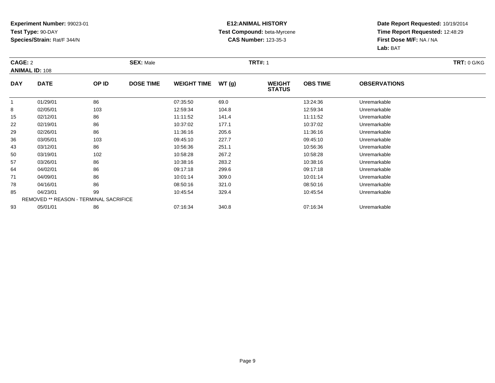### **E12:ANIMAL HISTORY Test Compound:** beta-Myrcene**CAS Number:** 123-35-3

| CAGE: 2      |                                               |       | <b>SEX: Male</b> |                    |       | <b>TRT#:</b> 1                 |                 |                     | <b>TRT: 0 G/KG</b> |
|--------------|-----------------------------------------------|-------|------------------|--------------------|-------|--------------------------------|-----------------|---------------------|--------------------|
|              | <b>ANIMAL ID: 108</b>                         |       |                  |                    |       |                                |                 |                     |                    |
| <b>DAY</b>   | <b>DATE</b>                                   | OP ID | <b>DOSE TIME</b> | <b>WEIGHT TIME</b> | WT(g) | <b>WEIGHT</b><br><b>STATUS</b> | <b>OBS TIME</b> | <b>OBSERVATIONS</b> |                    |
| $\mathbf{1}$ | 01/29/01                                      | 86    |                  | 07:35:50           | 69.0  |                                | 13:24:36        | Unremarkable        |                    |
| 8            | 02/05/01                                      | 103   |                  | 12:59:34           | 104.8 |                                | 12:59:34        | Unremarkable        |                    |
| 15           | 02/12/01                                      | 86    |                  | 11:11:52           | 141.4 |                                | 11:11:52        | Unremarkable        |                    |
| 22           | 02/19/01                                      | 86    |                  | 10:37:02           | 177.1 |                                | 10:37:02        | Unremarkable        |                    |
| 29           | 02/26/01                                      | 86    |                  | 11:36:16           | 205.6 |                                | 11:36:16        | Unremarkable        |                    |
| 36           | 03/05/01                                      | 103   |                  | 09:45:10           | 227.7 |                                | 09:45:10        | Unremarkable        |                    |
| 43           | 03/12/01                                      | 86    |                  | 10:56:36           | 251.1 |                                | 10:56:36        | Unremarkable        |                    |
| 50           | 03/19/01                                      | 102   |                  | 10:58:28           | 267.2 |                                | 10:58:28        | Unremarkable        |                    |
| 57           | 03/26/01                                      | 86    |                  | 10:38:16           | 283.2 |                                | 10:38:16        | Unremarkable        |                    |
| 64           | 04/02/01                                      | 86    |                  | 09:17:18           | 299.6 |                                | 09:17:18        | Unremarkable        |                    |
| 71           | 04/09/01                                      | 86    |                  | 10:01:14           | 309.0 |                                | 10:01:14        | Unremarkable        |                    |
| 78           | 04/16/01                                      | 86    |                  | 08:50:16           | 321.0 |                                | 08:50:16        | Unremarkable        |                    |
| 85           | 04/23/01                                      | 99    |                  | 10:45:54           | 329.4 |                                | 10:45:54        | Unremarkable        |                    |
|              | <b>REMOVED ** REASON - TERMINAL SACRIFICE</b> |       |                  |                    |       |                                |                 |                     |                    |
| 93           | 05/01/01                                      | 86    |                  | 07:16:34           | 340.8 |                                | 07:16:34        | Unremarkable        |                    |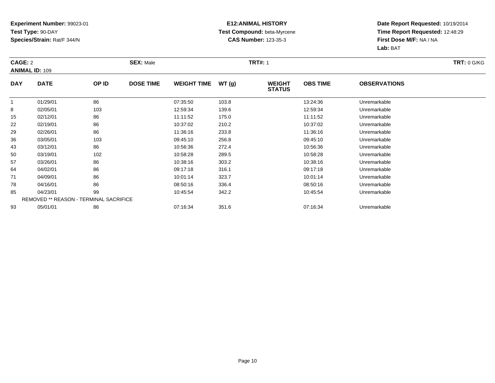### **E12:ANIMAL HISTORY Test Compound:** beta-Myrcene**CAS Number:** 123-35-3

| CAGE: 2      |                                               |       | <b>SEX: Male</b> |                    |       | <b>TRT#: 1</b>                 |                 |                     | <b>TRT: 0 G/KG</b> |
|--------------|-----------------------------------------------|-------|------------------|--------------------|-------|--------------------------------|-----------------|---------------------|--------------------|
|              | <b>ANIMAL ID: 109</b>                         |       |                  |                    |       |                                |                 |                     |                    |
| <b>DAY</b>   | <b>DATE</b>                                   | OP ID | <b>DOSE TIME</b> | <b>WEIGHT TIME</b> | WT(g) | <b>WEIGHT</b><br><b>STATUS</b> | <b>OBS TIME</b> | <b>OBSERVATIONS</b> |                    |
| $\mathbf{1}$ | 01/29/01                                      | 86    |                  | 07:35:50           | 103.8 |                                | 13:24:36        | Unremarkable        |                    |
| 8            | 02/05/01                                      | 103   |                  | 12:59:34           | 139.6 |                                | 12:59:34        | Unremarkable        |                    |
| 15           | 02/12/01                                      | 86    |                  | 11:11:52           | 175.0 |                                | 11:11:52        | Unremarkable        |                    |
| 22           | 02/19/01                                      | 86    |                  | 10:37:02           | 210.2 |                                | 10:37:02        | Unremarkable        |                    |
| 29           | 02/26/01                                      | 86    |                  | 11:36:16           | 233.8 |                                | 11:36:16        | Unremarkable        |                    |
| 36           | 03/05/01                                      | 103   |                  | 09:45:10           | 256.8 |                                | 09:45:10        | Unremarkable        |                    |
| 43           | 03/12/01                                      | 86    |                  | 10:56:36           | 272.4 |                                | 10:56:36        | Unremarkable        |                    |
| 50           | 03/19/01                                      | 102   |                  | 10:58:28           | 289.5 |                                | 10:58:28        | Unremarkable        |                    |
| 57           | 03/26/01                                      | 86    |                  | 10:38:16           | 303.2 |                                | 10:38:16        | Unremarkable        |                    |
| 64           | 04/02/01                                      | 86    |                  | 09:17:18           | 316.1 |                                | 09:17:18        | Unremarkable        |                    |
| 71           | 04/09/01                                      | 86    |                  | 10:01:14           | 323.7 |                                | 10:01:14        | Unremarkable        |                    |
| 78           | 04/16/01                                      | 86    |                  | 08:50:16           | 336.4 |                                | 08:50:16        | Unremarkable        |                    |
| 85           | 04/23/01                                      | 99    |                  | 10:45:54           | 342.2 |                                | 10:45:54        | Unremarkable        |                    |
|              | <b>REMOVED ** REASON - TERMINAL SACRIFICE</b> |       |                  |                    |       |                                |                 |                     |                    |
| 93           | 05/01/01                                      | 86    |                  | 07:16:34           | 351.6 |                                | 07:16:34        | Unremarkable        |                    |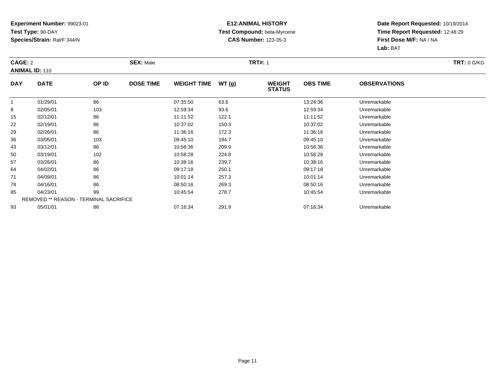### **E12:ANIMAL HISTORY Test Compound:** beta-Myrcene**CAS Number:** 123-35-3

| CAGE: 2      |                                               |       | <b>SEX: Male</b> |                    |       | <b>TRT#:</b> 1                 |                 |                     | <b>TRT: 0 G/KG</b> |
|--------------|-----------------------------------------------|-------|------------------|--------------------|-------|--------------------------------|-----------------|---------------------|--------------------|
|              | <b>ANIMAL ID: 110</b>                         |       |                  |                    |       |                                |                 |                     |                    |
| <b>DAY</b>   | <b>DATE</b>                                   | OP ID | <b>DOSE TIME</b> | <b>WEIGHT TIME</b> | WT(g) | <b>WEIGHT</b><br><b>STATUS</b> | <b>OBS TIME</b> | <b>OBSERVATIONS</b> |                    |
| $\mathbf{1}$ | 01/29/01                                      | 86    |                  | 07:35:50           | 63.6  |                                | 13:24:36        | Unremarkable        |                    |
| 8            | 02/05/01                                      | 103   |                  | 12:59:34           | 93.6  |                                | 12:59:34        | Unremarkable        |                    |
| 15           | 02/12/01                                      | 86    |                  | 11:11:52           | 122.1 |                                | 11:11:52        | Unremarkable        |                    |
| 22           | 02/19/01                                      | 86    |                  | 10:37:02           | 150.3 |                                | 10:37:02        | Unremarkable        |                    |
| 29           | 02/26/01                                      | 86    |                  | 11:36:16           | 172.3 |                                | 11:36:16        | Unremarkable        |                    |
| 36           | 03/05/01                                      | 103   |                  | 09:45:10           | 194.7 |                                | 09:45:10        | Unremarkable        |                    |
| 43           | 03/12/01                                      | 86    |                  | 10:56:36           | 209.9 |                                | 10:56:36        | Unremarkable        |                    |
| 50           | 03/19/01                                      | 102   |                  | 10:58:28           | 224.8 |                                | 10:58:28        | Unremarkable        |                    |
| 57           | 03/26/01                                      | 86    |                  | 10:38:16           | 239.7 |                                | 10:38:16        | Unremarkable        |                    |
| 64           | 04/02/01                                      | 86    |                  | 09:17:18           | 250.1 |                                | 09:17:18        | Unremarkable        |                    |
| 71           | 04/09/01                                      | 86    |                  | 10:01:14           | 257.3 |                                | 10:01:14        | Unremarkable        |                    |
| 78           | 04/16/01                                      | 86    |                  | 08:50:16           | 269.3 |                                | 08:50:16        | Unremarkable        |                    |
| 85           | 04/23/01                                      | 99    |                  | 10:45:54           | 278.7 |                                | 10:45:54        | Unremarkable        |                    |
|              | <b>REMOVED ** REASON - TERMINAL SACRIFICE</b> |       |                  |                    |       |                                |                 |                     |                    |
| 93           | 05/01/01                                      | 86    |                  | 07:16:34           | 291.9 |                                | 07:16:34        | Unremarkable        |                    |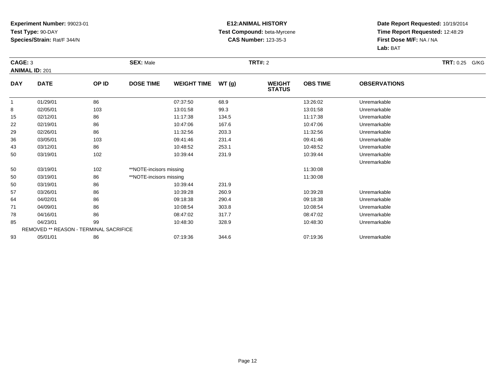#### **E12:ANIMAL HISTORY Test Compound:** beta-Myrcene**CAS Number:** 123-35-3

|            | CAGE: 3<br><b>ANIMAL ID: 201</b>              |       | <b>SEX: Male</b>        |                    |       | <b>TRT#: 2</b>                 | <b>TRT: 0.25 G/KG</b> |                     |  |
|------------|-----------------------------------------------|-------|-------------------------|--------------------|-------|--------------------------------|-----------------------|---------------------|--|
| <b>DAY</b> | <b>DATE</b>                                   | OP ID | <b>DOSE TIME</b>        | <b>WEIGHT TIME</b> | WT(g) | <b>WEIGHT</b><br><b>STATUS</b> | <b>OBS TIME</b>       | <b>OBSERVATIONS</b> |  |
| -1         | 01/29/01                                      | 86    |                         | 07:37:50           | 68.9  |                                | 13:26:02              | Unremarkable        |  |
| 8          | 02/05/01                                      | 103   |                         | 13:01:58           | 99.3  |                                | 13:01:58              | Unremarkable        |  |
| 15         | 02/12/01                                      | 86    |                         | 11:17:38           | 134.5 |                                | 11:17:38              | Unremarkable        |  |
| 22         | 02/19/01                                      | 86    |                         | 10:47:06           | 167.6 |                                | 10:47:06              | Unremarkable        |  |
| 29         | 02/26/01                                      | 86    |                         | 11:32:56           | 203.3 |                                | 11:32:56              | Unremarkable        |  |
| 36         | 03/05/01                                      | 103   |                         | 09:41:46           | 231.4 |                                | 09:41:46              | Unremarkable        |  |
| 43         | 03/12/01                                      | 86    |                         | 10:48:52           | 253.1 |                                | 10:48:52              | Unremarkable        |  |
| 50         | 03/19/01                                      | 102   |                         | 10:39:44           | 231.9 |                                | 10:39:44              | Unremarkable        |  |
|            |                                               |       |                         |                    |       |                                |                       | Unremarkable        |  |
| 50         | 03/19/01                                      | 102   | **NOTE-incisors missing |                    |       |                                | 11:30:08              |                     |  |
| 50         | 03/19/01                                      | 86    | **NOTE-incisors missing |                    |       |                                | 11:30:08              |                     |  |
| 50         | 03/19/01                                      | 86    |                         | 10:39:44           | 231.9 |                                |                       |                     |  |
| 57         | 03/26/01                                      | 86    |                         | 10:39:28           | 260.9 |                                | 10:39:28              | Unremarkable        |  |
| 64         | 04/02/01                                      | 86    |                         | 09:18:38           | 290.4 |                                | 09:18:38              | Unremarkable        |  |
| 71         | 04/09/01                                      | 86    |                         | 10:08:54           | 303.8 |                                | 10:08:54              | Unremarkable        |  |
| 78         | 04/16/01                                      | 86    |                         | 08:47:02           | 317.7 |                                | 08:47:02              | Unremarkable        |  |
| 85         | 04/23/01                                      | 99    |                         | 10:48:30           | 328.9 |                                | 10:48:30              | Unremarkable        |  |
|            | <b>REMOVED ** REASON - TERMINAL SACRIFICE</b> |       |                         |                    |       |                                |                       |                     |  |
| 93         | 05/01/01                                      | 86    |                         | 07:19:36           | 344.6 |                                | 07:19:36              | Unremarkable        |  |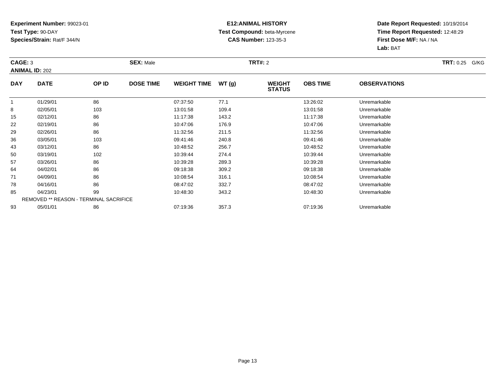### **E12:ANIMAL HISTORY Test Compound:** beta-Myrcene**CAS Number:** 123-35-3

| CAGE: 3    | <b>ANIMAL ID: 202</b>                  |       | <b>SEX: Male</b> |                    |       | <b>TRT#:</b> 2                 |                 |                     | <b>TRT:</b> 0.25 G/KG |
|------------|----------------------------------------|-------|------------------|--------------------|-------|--------------------------------|-----------------|---------------------|-----------------------|
| <b>DAY</b> | <b>DATE</b>                            | OP ID | <b>DOSE TIME</b> | <b>WEIGHT TIME</b> | WT(g) | <b>WEIGHT</b><br><b>STATUS</b> | <b>OBS TIME</b> | <b>OBSERVATIONS</b> |                       |
|            | 01/29/01                               | 86    |                  | 07:37:50           | 77.1  |                                | 13:26:02        | Unremarkable        |                       |
| 8          | 02/05/01                               | 103   |                  | 13:01:58           | 109.4 |                                | 13:01:58        | Unremarkable        |                       |
| 15         | 02/12/01                               | 86    |                  | 11:17:38           | 143.2 |                                | 11:17:38        | Unremarkable        |                       |
| 22         | 02/19/01                               | 86    |                  | 10:47:06           | 176.9 |                                | 10:47:06        | Unremarkable        |                       |
| 29         | 02/26/01                               | 86    |                  | 11:32:56           | 211.5 |                                | 11:32:56        | Unremarkable        |                       |
| 36         | 03/05/01                               | 103   |                  | 09:41:46           | 240.8 |                                | 09:41:46        | Unremarkable        |                       |
| 43         | 03/12/01                               | 86    |                  | 10:48:52           | 256.7 |                                | 10:48:52        | Unremarkable        |                       |
| 50         | 03/19/01                               | 102   |                  | 10:39:44           | 274.4 |                                | 10:39:44        | Unremarkable        |                       |
| 57         | 03/26/01                               | 86    |                  | 10:39:28           | 289.3 |                                | 10:39:28        | Unremarkable        |                       |
| 64         | 04/02/01                               | 86    |                  | 09:18:38           | 309.2 |                                | 09:18:38        | Unremarkable        |                       |
| 71         | 04/09/01                               | 86    |                  | 10:08:54           | 316.1 |                                | 10:08:54        | Unremarkable        |                       |
| 78         | 04/16/01                               | 86    |                  | 08:47:02           | 332.7 |                                | 08:47:02        | Unremarkable        |                       |
| 85         | 04/23/01                               | 99    |                  | 10:48:30           | 343.2 |                                | 10:48:30        | Unremarkable        |                       |
|            | REMOVED ** REASON - TERMINAL SACRIFICE |       |                  |                    |       |                                |                 |                     |                       |
| 93         | 05/01/01                               | 86    |                  | 07:19:36           | 357.3 |                                | 07:19:36        | Unremarkable        |                       |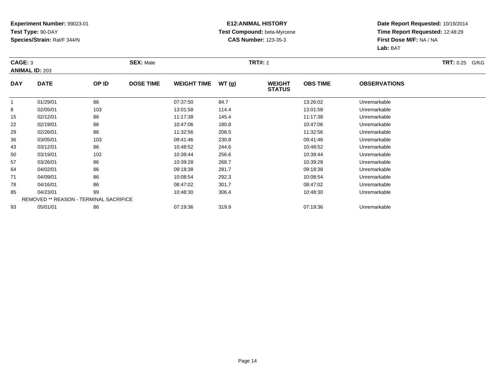### **E12:ANIMAL HISTORY Test Compound:** beta-Myrcene**CAS Number:** 123-35-3

| CAGE: 3    | <b>ANIMAL ID: 203</b>                         |       | <b>SEX: Male</b> |                    |       | <b>TRT#: 2</b>                 |                 |                     | <b>TRT:</b> 0.25 G/KG |
|------------|-----------------------------------------------|-------|------------------|--------------------|-------|--------------------------------|-----------------|---------------------|-----------------------|
| <b>DAY</b> | <b>DATE</b>                                   | OP ID | <b>DOSE TIME</b> | <b>WEIGHT TIME</b> | WT(g) | <b>WEIGHT</b><br><b>STATUS</b> | <b>OBS TIME</b> | <b>OBSERVATIONS</b> |                       |
|            | 01/29/01                                      | 86    |                  | 07:37:50           | 84.7  |                                | 13:26:02        | Unremarkable        |                       |
| 8          | 02/05/01                                      | 103   |                  | 13:01:58           | 114.4 |                                | 13:01:58        | Unremarkable        |                       |
| 15         | 02/12/01                                      | 86    |                  | 11:17:38           | 145.4 |                                | 11:17:38        | Unremarkable        |                       |
| 22         | 02/19/01                                      | 86    |                  | 10:47:06           | 180.8 |                                | 10:47:06        | Unremarkable        |                       |
| 29         | 02/26/01                                      | 86    |                  | 11:32:56           | 208.5 |                                | 11:32:56        | Unremarkable        |                       |
| 36         | 03/05/01                                      | 103   |                  | 09:41:46           | 230.8 |                                | 09:41:46        | Unremarkable        |                       |
| 43         | 03/12/01                                      | 86    |                  | 10:48:52           | 244.6 |                                | 10:48:52        | Unremarkable        |                       |
| 50         | 03/19/01                                      | 102   |                  | 10:39:44           | 256.6 |                                | 10:39:44        | Unremarkable        |                       |
| 57         | 03/26/01                                      | 86    |                  | 10:39:28           | 268.7 |                                | 10:39:28        | Unremarkable        |                       |
| 64         | 04/02/01                                      | 86    |                  | 09:18:38           | 281.7 |                                | 09:18:38        | Unremarkable        |                       |
| 71         | 04/09/01                                      | 86    |                  | 10:08:54           | 292.3 |                                | 10:08:54        | Unremarkable        |                       |
| 78         | 04/16/01                                      | 86    |                  | 08:47:02           | 301.7 |                                | 08:47:02        | Unremarkable        |                       |
| 85         | 04/23/01                                      | 99    |                  | 10:48:30           | 306.4 |                                | 10:48:30        | Unremarkable        |                       |
|            | <b>REMOVED ** REASON - TERMINAL SACRIFICE</b> |       |                  |                    |       |                                |                 |                     |                       |
| 93         | 05/01/01                                      | 86    |                  | 07:19:36           | 319.9 |                                | 07:19:36        | Unremarkable        |                       |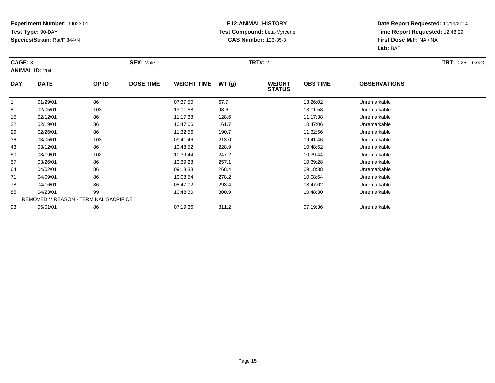### **E12:ANIMAL HISTORY Test Compound:** beta-Myrcene**CAS Number:** 123-35-3

| CAGE: 3    | <b>ANIMAL ID: 204</b>                         |       | <b>SEX: Male</b> |                    |       | <b>TRT#: 2</b>                 |                 |                     | <b>TRT:</b> 0.25 G/KG |
|------------|-----------------------------------------------|-------|------------------|--------------------|-------|--------------------------------|-----------------|---------------------|-----------------------|
| <b>DAY</b> | <b>DATE</b>                                   | OP ID | <b>DOSE TIME</b> | <b>WEIGHT TIME</b> | WT(g) | <b>WEIGHT</b><br><b>STATUS</b> | <b>OBS TIME</b> | <b>OBSERVATIONS</b> |                       |
|            | 01/29/01                                      | 86    |                  | 07:37:50           | 67.7  |                                | 13:26:02        | Unremarkable        |                       |
| 8          | 02/05/01                                      | 103   |                  | 13:01:58           | 98.6  |                                | 13:01:58        | Unremarkable        |                       |
| 15         | 02/12/01                                      | 86    |                  | 11:17:38           | 128.6 |                                | 11:17:38        | Unremarkable        |                       |
| 22         | 02/19/01                                      | 86    |                  | 10:47:06           | 161.7 |                                | 10:47:06        | Unremarkable        |                       |
| 29         | 02/26/01                                      | 86    |                  | 11:32:56           | 190.7 |                                | 11:32:56        | Unremarkable        |                       |
| 36         | 03/05/01                                      | 103   |                  | 09:41:46           | 213.0 |                                | 09:41:46        | Unremarkable        |                       |
| 43         | 03/12/01                                      | 86    |                  | 10:48:52           | 228.9 |                                | 10:48:52        | Unremarkable        |                       |
| 50         | 03/19/01                                      | 102   |                  | 10:39:44           | 247.2 |                                | 10:39:44        | Unremarkable        |                       |
| 57         | 03/26/01                                      | 86    |                  | 10:39:28           | 257.1 |                                | 10:39:28        | Unremarkable        |                       |
| 64         | 04/02/01                                      | 86    |                  | 09:18:38           | 268.4 |                                | 09:18:38        | Unremarkable        |                       |
| 71         | 04/09/01                                      | 86    |                  | 10:08:54           | 278.2 |                                | 10:08:54        | Unremarkable        |                       |
| 78         | 04/16/01                                      | 86    |                  | 08:47:02           | 293.4 |                                | 08:47:02        | Unremarkable        |                       |
| 85         | 04/23/01                                      | 99    |                  | 10:48:30           | 300.9 |                                | 10:48:30        | Unremarkable        |                       |
|            | <b>REMOVED ** REASON - TERMINAL SACRIFICE</b> |       |                  |                    |       |                                |                 |                     |                       |
| 93         | 05/01/01                                      | 86    |                  | 07:19:36           | 311.2 |                                | 07:19:36        | Unremarkable        |                       |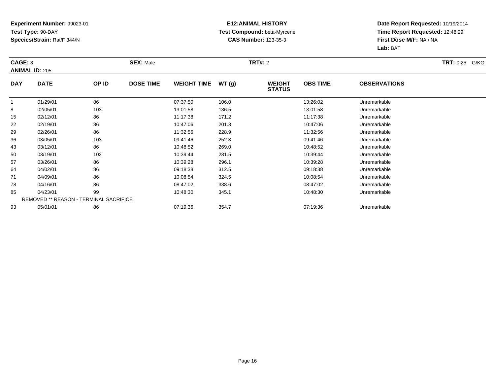### **E12:ANIMAL HISTORY Test Compound:** beta-Myrcene**CAS Number:** 123-35-3

| CAGE: 3    | <b>ANIMAL ID: 205</b>                  |       | <b>SEX: Male</b> |                    |       | <b>TRT#:</b> 2                 |                 |                     | <b>TRT: 0.25 G/KG</b> |
|------------|----------------------------------------|-------|------------------|--------------------|-------|--------------------------------|-----------------|---------------------|-----------------------|
| <b>DAY</b> | <b>DATE</b>                            | OP ID | <b>DOSE TIME</b> | <b>WEIGHT TIME</b> | WT(g) | <b>WEIGHT</b><br><b>STATUS</b> | <b>OBS TIME</b> | <b>OBSERVATIONS</b> |                       |
| -1         | 01/29/01                               | 86    |                  | 07:37:50           | 106.0 |                                | 13:26:02        | Unremarkable        |                       |
| 8          | 02/05/01                               | 103   |                  | 13:01:58           | 136.5 |                                | 13:01:58        | Unremarkable        |                       |
| 15         | 02/12/01                               | 86    |                  | 11:17:38           | 171.2 |                                | 11:17:38        | Unremarkable        |                       |
| 22         | 02/19/01                               | 86    |                  | 10:47:06           | 201.3 |                                | 10:47:06        | Unremarkable        |                       |
| 29         | 02/26/01                               | 86    |                  | 11:32:56           | 228.9 |                                | 11:32:56        | Unremarkable        |                       |
| 36         | 03/05/01                               | 103   |                  | 09:41:46           | 252.8 |                                | 09:41:46        | Unremarkable        |                       |
| 43         | 03/12/01                               | 86    |                  | 10:48:52           | 269.0 |                                | 10:48:52        | Unremarkable        |                       |
| 50         | 03/19/01                               | 102   |                  | 10:39:44           | 281.5 |                                | 10:39:44        | Unremarkable        |                       |
| 57         | 03/26/01                               | 86    |                  | 10:39:28           | 296.1 |                                | 10:39:28        | Unremarkable        |                       |
| 64         | 04/02/01                               | 86    |                  | 09:18:38           | 312.5 |                                | 09:18:38        | Unremarkable        |                       |
| 71         | 04/09/01                               | 86    |                  | 10:08:54           | 324.5 |                                | 10:08:54        | Unremarkable        |                       |
| 78         | 04/16/01                               | 86    |                  | 08:47:02           | 338.6 |                                | 08:47:02        | Unremarkable        |                       |
| 85         | 04/23/01                               | 99    |                  | 10:48:30           | 345.1 |                                | 10:48:30        | Unremarkable        |                       |
|            | REMOVED ** REASON - TERMINAL SACRIFICE |       |                  |                    |       |                                |                 |                     |                       |
| 93         | 05/01/01                               | 86    |                  | 07:19:36           | 354.7 |                                | 07:19:36        | Unremarkable        |                       |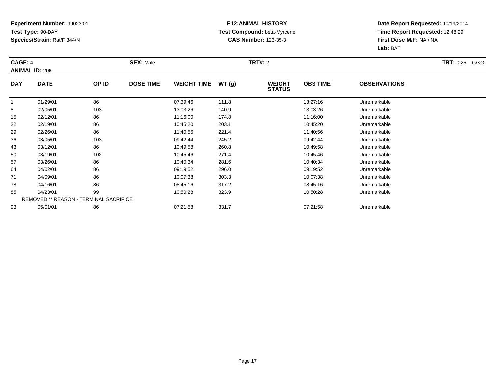### **E12:ANIMAL HISTORY Test Compound:** beta-Myrcene**CAS Number:** 123-35-3

| CAGE: 4    | <b>ANIMAL ID: 206</b>                  |       | <b>SEX: Male</b> |                    |       | <b>TRT#:</b> 2                 |                 |                     | <b>TRT:</b> 0.25 G/KG |
|------------|----------------------------------------|-------|------------------|--------------------|-------|--------------------------------|-----------------|---------------------|-----------------------|
| <b>DAY</b> | <b>DATE</b>                            | OP ID | <b>DOSE TIME</b> | <b>WEIGHT TIME</b> | WT(g) | <b>WEIGHT</b><br><b>STATUS</b> | <b>OBS TIME</b> | <b>OBSERVATIONS</b> |                       |
|            | 01/29/01                               | 86    |                  | 07:39:46           | 111.8 |                                | 13:27:16        | Unremarkable        |                       |
| 8          | 02/05/01                               | 103   |                  | 13:03:26           | 140.9 |                                | 13:03:26        | Unremarkable        |                       |
| 15         | 02/12/01                               | 86    |                  | 11:16:00           | 174.8 |                                | 11:16:00        | Unremarkable        |                       |
| 22         | 02/19/01                               | 86    |                  | 10:45:20           | 203.1 |                                | 10:45:20        | Unremarkable        |                       |
| 29         | 02/26/01                               | 86    |                  | 11:40:56           | 221.4 |                                | 11:40:56        | Unremarkable        |                       |
| 36         | 03/05/01                               | 103   |                  | 09:42:44           | 245.2 |                                | 09:42:44        | Unremarkable        |                       |
| 43         | 03/12/01                               | 86    |                  | 10:49:58           | 260.8 |                                | 10:49:58        | Unremarkable        |                       |
| 50         | 03/19/01                               | 102   |                  | 10:45:46           | 271.4 |                                | 10:45:46        | Unremarkable        |                       |
| 57         | 03/26/01                               | 86    |                  | 10:40:34           | 281.6 |                                | 10:40:34        | Unremarkable        |                       |
| 64         | 04/02/01                               | 86    |                  | 09:19:52           | 296.0 |                                | 09:19:52        | Unremarkable        |                       |
| 71         | 04/09/01                               | 86    |                  | 10:07:38           | 303.3 |                                | 10:07:38        | Unremarkable        |                       |
| 78         | 04/16/01                               | 86    |                  | 08:45:16           | 317.2 |                                | 08:45:16        | Unremarkable        |                       |
| 85         | 04/23/01                               | 99    |                  | 10:50:28           | 323.9 |                                | 10:50:28        | Unremarkable        |                       |
|            | REMOVED ** REASON - TERMINAL SACRIFICE |       |                  |                    |       |                                |                 |                     |                       |
| 93         | 05/01/01                               | 86    |                  | 07:21:58           | 331.7 |                                | 07:21:58        | Unremarkable        |                       |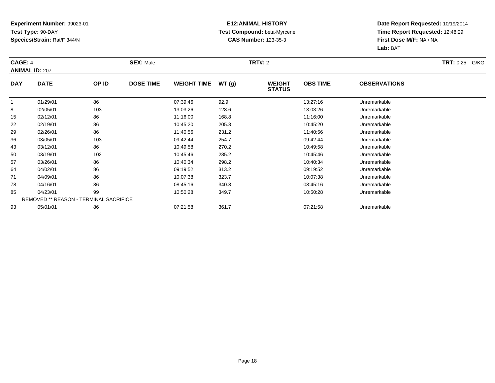### **E12:ANIMAL HISTORY Test Compound:** beta-Myrcene**CAS Number:** 123-35-3

| CAGE: 4    | <b>ANIMAL ID: 207</b>                         |       | <b>SEX: Male</b> |                    |       | <b>TRT#:</b> 2                 |                 |                     | <b>TRT:</b> 0.25 G/KG |
|------------|-----------------------------------------------|-------|------------------|--------------------|-------|--------------------------------|-----------------|---------------------|-----------------------|
| <b>DAY</b> | <b>DATE</b>                                   | OP ID | <b>DOSE TIME</b> | <b>WEIGHT TIME</b> | WT(g) | <b>WEIGHT</b><br><b>STATUS</b> | <b>OBS TIME</b> | <b>OBSERVATIONS</b> |                       |
|            | 01/29/01                                      | 86    |                  | 07:39:46           | 92.9  |                                | 13:27:16        | Unremarkable        |                       |
| 8          | 02/05/01                                      | 103   |                  | 13:03:26           | 128.6 |                                | 13:03:26        | Unremarkable        |                       |
| 15         | 02/12/01                                      | 86    |                  | 11:16:00           | 168.8 |                                | 11:16:00        | Unremarkable        |                       |
| 22         | 02/19/01                                      | 86    |                  | 10:45:20           | 205.3 |                                | 10:45:20        | Unremarkable        |                       |
| 29         | 02/26/01                                      | 86    |                  | 11:40:56           | 231.2 |                                | 11:40:56        | Unremarkable        |                       |
| 36         | 03/05/01                                      | 103   |                  | 09:42:44           | 254.7 |                                | 09:42:44        | Unremarkable        |                       |
| 43         | 03/12/01                                      | 86    |                  | 10:49:58           | 270.2 |                                | 10:49:58        | Unremarkable        |                       |
| 50         | 03/19/01                                      | 102   |                  | 10:45:46           | 285.2 |                                | 10:45:46        | Unremarkable        |                       |
| 57         | 03/26/01                                      | 86    |                  | 10:40:34           | 298.2 |                                | 10:40:34        | Unremarkable        |                       |
| 64         | 04/02/01                                      | 86    |                  | 09:19:52           | 313.2 |                                | 09:19:52        | Unremarkable        |                       |
| 71         | 04/09/01                                      | 86    |                  | 10:07:38           | 323.7 |                                | 10:07:38        | Unremarkable        |                       |
| 78         | 04/16/01                                      | 86    |                  | 08:45:16           | 340.8 |                                | 08:45:16        | Unremarkable        |                       |
| 85         | 04/23/01                                      | 99    |                  | 10:50:28           | 349.7 |                                | 10:50:28        | Unremarkable        |                       |
|            | <b>REMOVED ** REASON - TERMINAL SACRIFICE</b> |       |                  |                    |       |                                |                 |                     |                       |
| 93         | 05/01/01                                      | 86    |                  | 07:21:58           | 361.7 |                                | 07:21:58        | Unremarkable        |                       |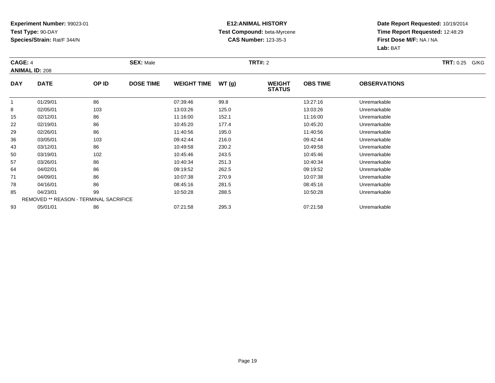### **E12:ANIMAL HISTORY Test Compound:** beta-Myrcene**CAS Number:** 123-35-3

| CAGE: 4    | <b>ANIMAL ID: 208</b>                         |       | <b>SEX: Male</b> |                    |       | <b>TRT#:</b> 2                 |                 |                     | <b>TRT:</b> 0.25 G/KG |
|------------|-----------------------------------------------|-------|------------------|--------------------|-------|--------------------------------|-----------------|---------------------|-----------------------|
| <b>DAY</b> | <b>DATE</b>                                   | OP ID | <b>DOSE TIME</b> | <b>WEIGHT TIME</b> | WT(g) | <b>WEIGHT</b><br><b>STATUS</b> | <b>OBS TIME</b> | <b>OBSERVATIONS</b> |                       |
|            | 01/29/01                                      | 86    |                  | 07:39:46           | 99.8  |                                | 13:27:16        | Unremarkable        |                       |
| 8          | 02/05/01                                      | 103   |                  | 13:03:26           | 125.0 |                                | 13:03:26        | Unremarkable        |                       |
| 15         | 02/12/01                                      | 86    |                  | 11:16:00           | 152.1 |                                | 11:16:00        | Unremarkable        |                       |
| 22         | 02/19/01                                      | 86    |                  | 10:45:20           | 177.4 |                                | 10:45:20        | Unremarkable        |                       |
| 29         | 02/26/01                                      | 86    |                  | 11:40:56           | 195.0 |                                | 11:40:56        | Unremarkable        |                       |
| 36         | 03/05/01                                      | 103   |                  | 09:42:44           | 216.0 |                                | 09:42:44        | Unremarkable        |                       |
| 43         | 03/12/01                                      | 86    |                  | 10:49:58           | 230.2 |                                | 10:49:58        | Unremarkable        |                       |
| 50         | 03/19/01                                      | 102   |                  | 10:45:46           | 243.5 |                                | 10:45:46        | Unremarkable        |                       |
| 57         | 03/26/01                                      | 86    |                  | 10:40:34           | 251.3 |                                | 10:40:34        | Unremarkable        |                       |
| 64         | 04/02/01                                      | 86    |                  | 09:19:52           | 262.5 |                                | 09:19:52        | Unremarkable        |                       |
| 71         | 04/09/01                                      | 86    |                  | 10:07:38           | 270.9 |                                | 10:07:38        | Unremarkable        |                       |
| 78         | 04/16/01                                      | 86    |                  | 08:45:16           | 281.5 |                                | 08:45:16        | Unremarkable        |                       |
| 85         | 04/23/01                                      | 99    |                  | 10:50:28           | 288.5 |                                | 10:50:28        | Unremarkable        |                       |
|            | <b>REMOVED ** REASON - TERMINAL SACRIFICE</b> |       |                  |                    |       |                                |                 |                     |                       |
| 93         | 05/01/01                                      | 86    |                  | 07:21:58           | 295.3 |                                | 07:21:58        | Unremarkable        |                       |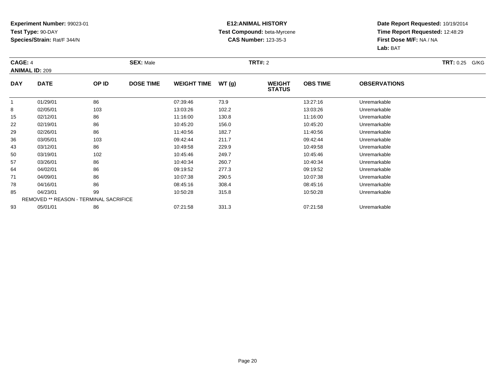### **E12:ANIMAL HISTORY Test Compound:** beta-Myrcene**CAS Number:** 123-35-3

| CAGE: 4    | <b>ANIMAL ID: 209</b>                         |       | <b>SEX: Male</b> |                    |       | <b>TRT#:</b> 2                 |                 |                     | <b>TRT:</b> 0.25 G/KG |
|------------|-----------------------------------------------|-------|------------------|--------------------|-------|--------------------------------|-----------------|---------------------|-----------------------|
| <b>DAY</b> | <b>DATE</b>                                   | OP ID | <b>DOSE TIME</b> | <b>WEIGHT TIME</b> | WT(g) | <b>WEIGHT</b><br><b>STATUS</b> | <b>OBS TIME</b> | <b>OBSERVATIONS</b> |                       |
|            | 01/29/01                                      | 86    |                  | 07:39:46           | 73.9  |                                | 13:27:16        | Unremarkable        |                       |
| 8          | 02/05/01                                      | 103   |                  | 13:03:26           | 102.2 |                                | 13:03:26        | Unremarkable        |                       |
| 15         | 02/12/01                                      | 86    |                  | 11:16:00           | 130.8 |                                | 11:16:00        | Unremarkable        |                       |
| 22         | 02/19/01                                      | 86    |                  | 10:45:20           | 156.0 |                                | 10:45:20        | Unremarkable        |                       |
| 29         | 02/26/01                                      | 86    |                  | 11:40:56           | 182.7 |                                | 11:40:56        | Unremarkable        |                       |
| 36         | 03/05/01                                      | 103   |                  | 09:42:44           | 211.7 |                                | 09:42:44        | Unremarkable        |                       |
| 43         | 03/12/01                                      | 86    |                  | 10:49:58           | 229.9 |                                | 10:49:58        | Unremarkable        |                       |
| 50         | 03/19/01                                      | 102   |                  | 10:45:46           | 249.7 |                                | 10:45:46        | Unremarkable        |                       |
| 57         | 03/26/01                                      | 86    |                  | 10:40:34           | 260.7 |                                | 10:40:34        | Unremarkable        |                       |
| 64         | 04/02/01                                      | 86    |                  | 09:19:52           | 277.3 |                                | 09:19:52        | Unremarkable        |                       |
| 71         | 04/09/01                                      | 86    |                  | 10:07:38           | 290.5 |                                | 10:07:38        | Unremarkable        |                       |
| 78         | 04/16/01                                      | 86    |                  | 08:45:16           | 308.4 |                                | 08:45:16        | Unremarkable        |                       |
| 85         | 04/23/01                                      | 99    |                  | 10:50:28           | 315.8 |                                | 10:50:28        | Unremarkable        |                       |
|            | <b>REMOVED ** REASON - TERMINAL SACRIFICE</b> |       |                  |                    |       |                                |                 |                     |                       |
| 93         | 05/01/01                                      | 86    |                  | 07:21:58           | 331.3 |                                | 07:21:58        | Unremarkable        |                       |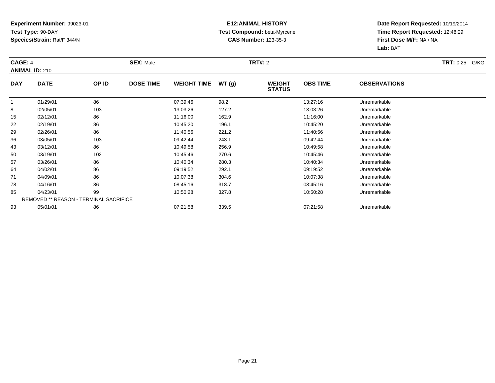### **E12:ANIMAL HISTORY Test Compound:** beta-Myrcene**CAS Number:** 123-35-3

| CAGE: 4    | <b>ANIMAL ID: 210</b>                         |       | <b>SEX: Male</b> |                    |       | <b>TRT#: 2</b>                 |                 |                     | <b>TRT: 0.25 G/KG</b> |
|------------|-----------------------------------------------|-------|------------------|--------------------|-------|--------------------------------|-----------------|---------------------|-----------------------|
| <b>DAY</b> | <b>DATE</b>                                   | OP ID | <b>DOSE TIME</b> | <b>WEIGHT TIME</b> | WT(g) | <b>WEIGHT</b><br><b>STATUS</b> | <b>OBS TIME</b> | <b>OBSERVATIONS</b> |                       |
|            | 01/29/01                                      | 86    |                  | 07:39:46           | 98.2  |                                | 13:27:16        | Unremarkable        |                       |
| 8          | 02/05/01                                      | 103   |                  | 13:03:26           | 127.2 |                                | 13:03:26        | Unremarkable        |                       |
| 15         | 02/12/01                                      | 86    |                  | 11:16:00           | 162.9 |                                | 11:16:00        | Unremarkable        |                       |
| 22         | 02/19/01                                      | 86    |                  | 10:45:20           | 196.1 |                                | 10:45:20        | Unremarkable        |                       |
| 29         | 02/26/01                                      | 86    |                  | 11:40:56           | 221.2 |                                | 11:40:56        | Unremarkable        |                       |
| 36         | 03/05/01                                      | 103   |                  | 09:42:44           | 243.1 |                                | 09:42:44        | Unremarkable        |                       |
| 43         | 03/12/01                                      | 86    |                  | 10:49:58           | 256.9 |                                | 10:49:58        | Unremarkable        |                       |
| 50         | 03/19/01                                      | 102   |                  | 10:45:46           | 270.6 |                                | 10:45:46        | Unremarkable        |                       |
| 57         | 03/26/01                                      | 86    |                  | 10:40:34           | 280.3 |                                | 10:40:34        | Unremarkable        |                       |
| 64         | 04/02/01                                      | 86    |                  | 09:19:52           | 292.1 |                                | 09:19:52        | Unremarkable        |                       |
| 71         | 04/09/01                                      | 86    |                  | 10:07:38           | 304.6 |                                | 10:07:38        | Unremarkable        |                       |
| 78         | 04/16/01                                      | 86    |                  | 08:45:16           | 318.7 |                                | 08:45:16        | Unremarkable        |                       |
| 85         | 04/23/01                                      | 99    |                  | 10:50:28           | 327.8 |                                | 10:50:28        | Unremarkable        |                       |
|            | <b>REMOVED ** REASON - TERMINAL SACRIFICE</b> |       |                  |                    |       |                                |                 |                     |                       |
| 93         | 05/01/01                                      | 86    |                  | 07:21:58           | 339.5 |                                | 07:21:58        | Unremarkable        |                       |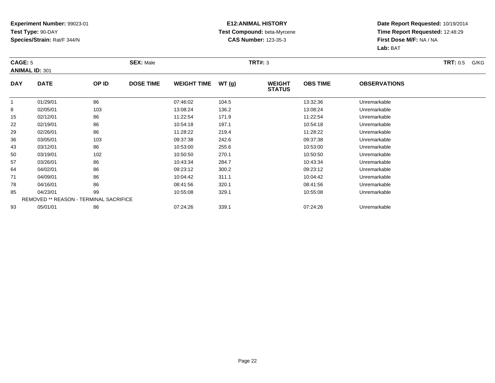### **E12:ANIMAL HISTORY Test Compound:** beta-Myrcene**CAS Number:** 123-35-3

| CAGE: 5      | <b>ANIMAL ID: 301</b>                         |       | <b>SEX: Male</b> |                    |       | <b>TRT#: 3</b>                 |                 |                     | <b>TRT:</b> 0.5<br>G/KG |
|--------------|-----------------------------------------------|-------|------------------|--------------------|-------|--------------------------------|-----------------|---------------------|-------------------------|
| <b>DAY</b>   | <b>DATE</b>                                   | OP ID | <b>DOSE TIME</b> | <b>WEIGHT TIME</b> | WT(g) | <b>WEIGHT</b><br><b>STATUS</b> | <b>OBS TIME</b> | <b>OBSERVATIONS</b> |                         |
| $\mathbf{1}$ | 01/29/01                                      | 86    |                  | 07:46:02           | 104.5 |                                | 13:32:36        | Unremarkable        |                         |
| 8            | 02/05/01                                      | 103   |                  | 13:08:24           | 136.2 |                                | 13:08:24        | Unremarkable        |                         |
| 15           | 02/12/01                                      | 86    |                  | 11:22:54           | 171.9 |                                | 11:22:54        | Unremarkable        |                         |
| 22           | 02/19/01                                      | 86    |                  | 10:54:18           | 197.1 |                                | 10:54:18        | Unremarkable        |                         |
| 29           | 02/26/01                                      | 86    |                  | 11:28:22           | 219.4 |                                | 11:28:22        | Unremarkable        |                         |
| 36           | 03/05/01                                      | 103   |                  | 09:37:38           | 242.6 |                                | 09:37:38        | Unremarkable        |                         |
| 43           | 03/12/01                                      | 86    |                  | 10:53:00           | 255.6 |                                | 10:53:00        | Unremarkable        |                         |
| 50           | 03/19/01                                      | 102   |                  | 10:50:50           | 270.1 |                                | 10:50:50        | Unremarkable        |                         |
| 57           | 03/26/01                                      | 86    |                  | 10:43:34           | 284.7 |                                | 10:43:34        | Unremarkable        |                         |
| 64           | 04/02/01                                      | 86    |                  | 09:23:12           | 300.2 |                                | 09:23:12        | Unremarkable        |                         |
| 71           | 04/09/01                                      | 86    |                  | 10:04:42           | 311.1 |                                | 10:04:42        | Unremarkable        |                         |
| 78           | 04/16/01                                      | 86    |                  | 08:41:56           | 320.1 |                                | 08:41:56        | Unremarkable        |                         |
| 85           | 04/23/01                                      | 99    |                  | 10:55:08           | 329.1 |                                | 10:55:08        | Unremarkable        |                         |
|              | <b>REMOVED ** REASON - TERMINAL SACRIFICE</b> |       |                  |                    |       |                                |                 |                     |                         |
| 93           | 05/01/01                                      | 86    |                  | 07:24:26           | 339.1 |                                | 07:24:26        | Unremarkable        |                         |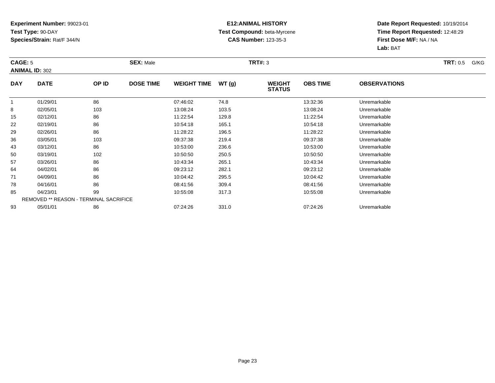### **E12:ANIMAL HISTORY Test Compound:** beta-Myrcene**CAS Number:** 123-35-3

| CAGE: 5      |                                               |       | <b>SEX: Male</b> |                    |       | <b>TRT#: 3</b>                 |                 |                     | <b>TRT:</b> 0.5<br>G/KG |
|--------------|-----------------------------------------------|-------|------------------|--------------------|-------|--------------------------------|-----------------|---------------------|-------------------------|
|              | <b>ANIMAL ID: 302</b>                         |       |                  |                    |       |                                |                 |                     |                         |
| <b>DAY</b>   | <b>DATE</b>                                   | OP ID | <b>DOSE TIME</b> | <b>WEIGHT TIME</b> | WT(g) | <b>WEIGHT</b><br><b>STATUS</b> | <b>OBS TIME</b> | <b>OBSERVATIONS</b> |                         |
| $\mathbf{1}$ | 01/29/01                                      | 86    |                  | 07:46:02           | 74.8  |                                | 13:32:36        | Unremarkable        |                         |
| 8            | 02/05/01                                      | 103   |                  | 13:08:24           | 103.5 |                                | 13:08:24        | Unremarkable        |                         |
| 15           | 02/12/01                                      | 86    |                  | 11:22:54           | 129.8 |                                | 11:22:54        | Unremarkable        |                         |
| 22           | 02/19/01                                      | 86    |                  | 10:54:18           | 165.1 |                                | 10:54:18        | Unremarkable        |                         |
| 29           | 02/26/01                                      | 86    |                  | 11:28:22           | 196.5 |                                | 11:28:22        | Unremarkable        |                         |
| 36           | 03/05/01                                      | 103   |                  | 09:37:38           | 219.4 |                                | 09:37:38        | Unremarkable        |                         |
| 43           | 03/12/01                                      | 86    |                  | 10:53:00           | 236.6 |                                | 10:53:00        | Unremarkable        |                         |
| 50           | 03/19/01                                      | 102   |                  | 10:50:50           | 250.5 |                                | 10:50:50        | Unremarkable        |                         |
| 57           | 03/26/01                                      | 86    |                  | 10:43:34           | 265.1 |                                | 10:43:34        | Unremarkable        |                         |
| 64           | 04/02/01                                      | 86    |                  | 09:23:12           | 282.1 |                                | 09:23:12        | Unremarkable        |                         |
| 71           | 04/09/01                                      | 86    |                  | 10:04:42           | 295.5 |                                | 10:04:42        | Unremarkable        |                         |
| 78           | 04/16/01                                      | 86    |                  | 08:41:56           | 309.4 |                                | 08:41:56        | Unremarkable        |                         |
| 85           | 04/23/01                                      | 99    |                  | 10:55:08           | 317.3 |                                | 10:55:08        | Unremarkable        |                         |
|              | <b>REMOVED ** REASON - TERMINAL SACRIFICE</b> |       |                  |                    |       |                                |                 |                     |                         |
| 93           | 05/01/01                                      | 86    |                  | 07:24:26           | 331.0 |                                | 07:24:26        | Unremarkable        |                         |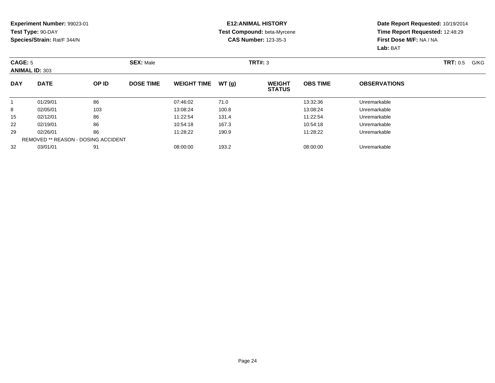#### **E12:ANIMAL HISTORY Test Compound:** beta-Myrcene**CAS Number:** 123-35-3

| CAGE: 5    | <b>ANIMAL ID: 303</b>                      |       | <b>SEX: Male</b> |                    |       | TRT#: 3                        |                 |                     | <b>TRT: 0.5</b><br>G/KG |
|------------|--------------------------------------------|-------|------------------|--------------------|-------|--------------------------------|-----------------|---------------------|-------------------------|
| <b>DAY</b> | <b>DATE</b>                                | OP ID | <b>DOSE TIME</b> | <b>WEIGHT TIME</b> | WT(g) | <b>WEIGHT</b><br><b>STATUS</b> | <b>OBS TIME</b> | <b>OBSERVATIONS</b> |                         |
|            | 01/29/01                                   | 86    |                  | 07:46:02           | 71.0  |                                | 13:32:36        | Unremarkable        |                         |
| 8          | 02/05/01                                   | 103   |                  | 13:08:24           | 100.8 |                                | 13:08:24        | Unremarkable        |                         |
| 15         | 02/12/01                                   | 86    |                  | 11:22:54           | 131.4 |                                | 11:22:54        | Unremarkable        |                         |
| 22         | 02/19/01                                   | 86    |                  | 10:54:18           | 167.3 |                                | 10:54:18        | Unremarkable        |                         |
| 29         | 02/26/01                                   | 86    |                  | 11:28:22           | 190.9 |                                | 11:28:22        | Unremarkable        |                         |
|            | <b>REMOVED ** REASON - DOSING ACCIDENT</b> |       |                  |                    |       |                                |                 |                     |                         |
| 32         | 03/01/01                                   | 91    |                  | 08:00:00           | 193.2 |                                | 08:00:00        | Unremarkable        |                         |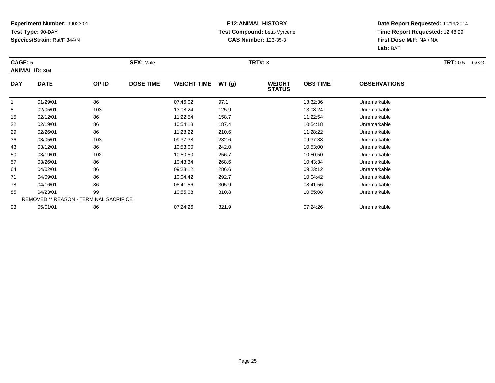### **E12:ANIMAL HISTORY Test Compound:** beta-Myrcene**CAS Number:** 123-35-3

| CAGE: 5      |                                               |       | <b>SEX: Male</b> |                    |       | <b>TRT#: 3</b>                 |                 |                     | <b>TRT:</b> 0.5<br>G/KG |
|--------------|-----------------------------------------------|-------|------------------|--------------------|-------|--------------------------------|-----------------|---------------------|-------------------------|
|              | <b>ANIMAL ID: 304</b>                         |       |                  |                    |       |                                |                 |                     |                         |
| <b>DAY</b>   | <b>DATE</b>                                   | OP ID | <b>DOSE TIME</b> | <b>WEIGHT TIME</b> | WT(g) | <b>WEIGHT</b><br><b>STATUS</b> | <b>OBS TIME</b> | <b>OBSERVATIONS</b> |                         |
| $\mathbf{1}$ | 01/29/01                                      | 86    |                  | 07:46:02           | 97.1  |                                | 13:32:36        | Unremarkable        |                         |
| 8            | 02/05/01                                      | 103   |                  | 13:08:24           | 125.9 |                                | 13:08:24        | Unremarkable        |                         |
| 15           | 02/12/01                                      | 86    |                  | 11:22:54           | 158.7 |                                | 11:22:54        | Unremarkable        |                         |
| 22           | 02/19/01                                      | 86    |                  | 10:54:18           | 187.4 |                                | 10:54:18        | Unremarkable        |                         |
| 29           | 02/26/01                                      | 86    |                  | 11:28:22           | 210.6 |                                | 11:28:22        | Unremarkable        |                         |
| 36           | 03/05/01                                      | 103   |                  | 09:37:38           | 232.6 |                                | 09:37:38        | Unremarkable        |                         |
| 43           | 03/12/01                                      | 86    |                  | 10:53:00           | 242.0 |                                | 10:53:00        | Unremarkable        |                         |
| 50           | 03/19/01                                      | 102   |                  | 10:50:50           | 256.7 |                                | 10:50:50        | Unremarkable        |                         |
| 57           | 03/26/01                                      | 86    |                  | 10:43:34           | 268.6 |                                | 10:43:34        | Unremarkable        |                         |
| 64           | 04/02/01                                      | 86    |                  | 09:23:12           | 286.6 |                                | 09:23:12        | Unremarkable        |                         |
| 71           | 04/09/01                                      | 86    |                  | 10:04:42           | 292.7 |                                | 10:04:42        | Unremarkable        |                         |
| 78           | 04/16/01                                      | 86    |                  | 08:41:56           | 305.9 |                                | 08:41:56        | Unremarkable        |                         |
| 85           | 04/23/01                                      | 99    |                  | 10:55:08           | 310.8 |                                | 10:55:08        | Unremarkable        |                         |
|              | <b>REMOVED ** REASON - TERMINAL SACRIFICE</b> |       |                  |                    |       |                                |                 |                     |                         |
| 93           | 05/01/01                                      | 86    |                  | 07:24:26           | 321.9 |                                | 07:24:26        | Unremarkable        |                         |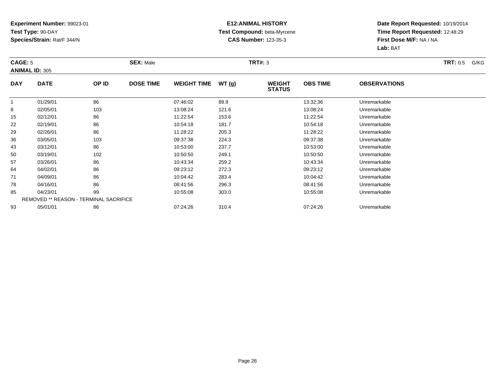### **E12:ANIMAL HISTORY Test Compound:** beta-Myrcene**CAS Number:** 123-35-3

| CAGE: 5      | <b>ANIMAL ID: 305</b>                         |       | <b>SEX: Male</b> |                    |       | <b>TRT#: 3</b>                 |                 |                     | <b>TRT:</b> 0.5<br>G/KG |
|--------------|-----------------------------------------------|-------|------------------|--------------------|-------|--------------------------------|-----------------|---------------------|-------------------------|
| <b>DAY</b>   | <b>DATE</b>                                   | OP ID | <b>DOSE TIME</b> | <b>WEIGHT TIME</b> | WT(g) | <b>WEIGHT</b><br><b>STATUS</b> | <b>OBS TIME</b> | <b>OBSERVATIONS</b> |                         |
| $\mathbf{1}$ | 01/29/01                                      | 86    |                  | 07:46:02           | 89.9  |                                | 13:32:36        | Unremarkable        |                         |
| 8            | 02/05/01                                      | 103   |                  | 13:08:24           | 121.6 |                                | 13:08:24        | Unremarkable        |                         |
| 15           | 02/12/01                                      | 86    |                  | 11:22:54           | 153.6 |                                | 11:22:54        | Unremarkable        |                         |
| 22           | 02/19/01                                      | 86    |                  | 10:54:18           | 181.7 |                                | 10:54:18        | Unremarkable        |                         |
| 29           | 02/26/01                                      | 86    |                  | 11:28:22           | 205.3 |                                | 11:28:22        | Unremarkable        |                         |
| 36           | 03/05/01                                      | 103   |                  | 09:37:38           | 224.3 |                                | 09:37:38        | Unremarkable        |                         |
| 43           | 03/12/01                                      | 86    |                  | 10:53:00           | 237.7 |                                | 10:53:00        | Unremarkable        |                         |
| 50           | 03/19/01                                      | 102   |                  | 10:50:50           | 249.1 |                                | 10:50:50        | Unremarkable        |                         |
| 57           | 03/26/01                                      | 86    |                  | 10:43:34           | 259.2 |                                | 10:43:34        | Unremarkable        |                         |
| 64           | 04/02/01                                      | 86    |                  | 09:23:12           | 272.3 |                                | 09:23:12        | Unremarkable        |                         |
| 71           | 04/09/01                                      | 86    |                  | 10:04:42           | 283.4 |                                | 10:04:42        | Unremarkable        |                         |
| 78           | 04/16/01                                      | 86    |                  | 08:41:56           | 296.3 |                                | 08:41:56        | Unremarkable        |                         |
| 85           | 04/23/01                                      | 99    |                  | 10:55:08           | 303.0 |                                | 10:55:08        | Unremarkable        |                         |
|              | <b>REMOVED ** REASON - TERMINAL SACRIFICE</b> |       |                  |                    |       |                                |                 |                     |                         |
| 93           | 05/01/01                                      | 86    |                  | 07:24:26           | 310.4 |                                | 07:24:26        | Unremarkable        |                         |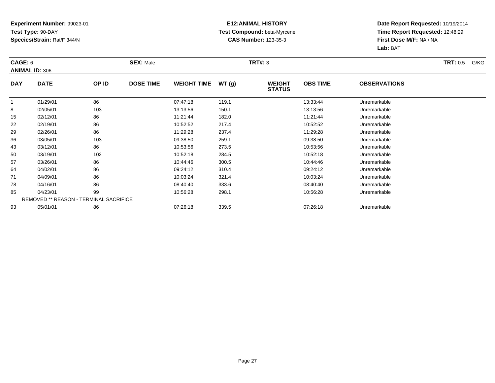### **E12:ANIMAL HISTORY Test Compound:** beta-Myrcene**CAS Number:** 123-35-3

| CAGE: 6      |                                               |       | <b>SEX: Male</b> |                    |       | <b>TRT#: 3</b>                 |                 |                     | <b>TRT:</b> 0.5<br>G/KG |
|--------------|-----------------------------------------------|-------|------------------|--------------------|-------|--------------------------------|-----------------|---------------------|-------------------------|
|              | <b>ANIMAL ID: 306</b>                         |       |                  |                    |       |                                |                 |                     |                         |
| <b>DAY</b>   | <b>DATE</b>                                   | OP ID | <b>DOSE TIME</b> | <b>WEIGHT TIME</b> | WT(g) | <b>WEIGHT</b><br><b>STATUS</b> | <b>OBS TIME</b> | <b>OBSERVATIONS</b> |                         |
| $\mathbf{1}$ | 01/29/01                                      | 86    |                  | 07:47:18           | 119.1 |                                | 13:33:44        | Unremarkable        |                         |
| 8            | 02/05/01                                      | 103   |                  | 13:13:56           | 150.1 |                                | 13:13:56        | Unremarkable        |                         |
| 15           | 02/12/01                                      | 86    |                  | 11:21:44           | 182.0 |                                | 11:21:44        | Unremarkable        |                         |
| 22           | 02/19/01                                      | 86    |                  | 10:52:52           | 217.4 |                                | 10:52:52        | Unremarkable        |                         |
| 29           | 02/26/01                                      | 86    |                  | 11:29:28           | 237.4 |                                | 11:29:28        | Unremarkable        |                         |
| 36           | 03/05/01                                      | 103   |                  | 09:38:50           | 259.1 |                                | 09:38:50        | Unremarkable        |                         |
| 43           | 03/12/01                                      | 86    |                  | 10:53:56           | 273.5 |                                | 10:53:56        | Unremarkable        |                         |
| 50           | 03/19/01                                      | 102   |                  | 10:52:18           | 284.5 |                                | 10:52:18        | Unremarkable        |                         |
| 57           | 03/26/01                                      | 86    |                  | 10:44:46           | 300.5 |                                | 10:44:46        | Unremarkable        |                         |
| 64           | 04/02/01                                      | 86    |                  | 09:24:12           | 310.4 |                                | 09:24:12        | Unremarkable        |                         |
| 71           | 04/09/01                                      | 86    |                  | 10:03:24           | 321.4 |                                | 10:03:24        | Unremarkable        |                         |
| 78           | 04/16/01                                      | 86    |                  | 08:40:40           | 333.6 |                                | 08:40:40        | Unremarkable        |                         |
| 85           | 04/23/01                                      | 99    |                  | 10:56:28           | 298.1 |                                | 10:56:28        | Unremarkable        |                         |
|              | <b>REMOVED ** REASON - TERMINAL SACRIFICE</b> |       |                  |                    |       |                                |                 |                     |                         |
| 93           | 05/01/01                                      | 86    |                  | 07:26:18           | 339.5 |                                | 07:26:18        | Unremarkable        |                         |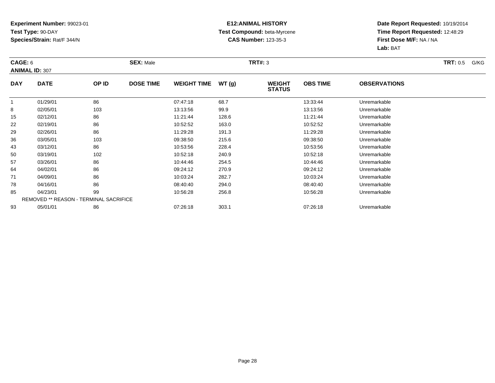### **E12:ANIMAL HISTORY Test Compound:** beta-Myrcene**CAS Number:** 123-35-3

| CAGE: 6      | <b>ANIMAL ID: 307</b>                         |       | <b>SEX: Male</b> |                    |       | <b>TRT#: 3</b>                 |                 |                     | <b>TRT:</b> 0.5<br>G/KG |
|--------------|-----------------------------------------------|-------|------------------|--------------------|-------|--------------------------------|-----------------|---------------------|-------------------------|
| <b>DAY</b>   | <b>DATE</b>                                   | OP ID | <b>DOSE TIME</b> | <b>WEIGHT TIME</b> | WT(g) | <b>WEIGHT</b><br><b>STATUS</b> | <b>OBS TIME</b> | <b>OBSERVATIONS</b> |                         |
| $\mathbf{1}$ | 01/29/01                                      | 86    |                  | 07:47:18           | 68.7  |                                | 13:33:44        | Unremarkable        |                         |
| 8            | 02/05/01                                      | 103   |                  | 13:13:56           | 99.9  |                                | 13:13:56        | Unremarkable        |                         |
| 15           | 02/12/01                                      | 86    |                  | 11:21:44           | 128.6 |                                | 11:21:44        | Unremarkable        |                         |
| 22           | 02/19/01                                      | 86    |                  | 10:52:52           | 163.0 |                                | 10:52:52        | Unremarkable        |                         |
| 29           | 02/26/01                                      | 86    |                  | 11:29:28           | 191.3 |                                | 11:29:28        | Unremarkable        |                         |
| 36           | 03/05/01                                      | 103   |                  | 09:38:50           | 215.6 |                                | 09:38:50        | Unremarkable        |                         |
| 43           | 03/12/01                                      | 86    |                  | 10:53:56           | 228.4 |                                | 10:53:56        | Unremarkable        |                         |
| 50           | 03/19/01                                      | 102   |                  | 10:52:18           | 240.9 |                                | 10:52:18        | Unremarkable        |                         |
| 57           | 03/26/01                                      | 86    |                  | 10:44:46           | 254.5 |                                | 10:44:46        | Unremarkable        |                         |
| 64           | 04/02/01                                      | 86    |                  | 09:24:12           | 270.9 |                                | 09:24:12        | Unremarkable        |                         |
| 71           | 04/09/01                                      | 86    |                  | 10:03:24           | 282.7 |                                | 10:03:24        | Unremarkable        |                         |
| 78           | 04/16/01                                      | 86    |                  | 08:40:40           | 294.0 |                                | 08:40:40        | Unremarkable        |                         |
| 85           | 04/23/01                                      | 99    |                  | 10:56:28           | 256.8 |                                | 10:56:28        | Unremarkable        |                         |
|              | <b>REMOVED ** REASON - TERMINAL SACRIFICE</b> |       |                  |                    |       |                                |                 |                     |                         |
| 93           | 05/01/01                                      | 86    |                  | 07:26:18           | 303.1 |                                | 07:26:18        | Unremarkable        |                         |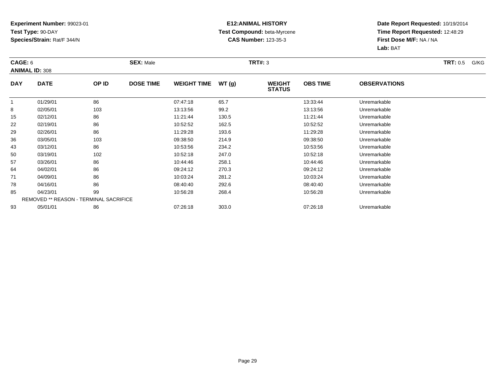### **E12:ANIMAL HISTORY Test Compound:** beta-Myrcene**CAS Number:** 123-35-3

| CAGE: 6      |                                               |       | <b>SEX: Male</b> |                    |       | <b>TRT#: 3</b>                 |                 |                     | <b>TRT:</b> 0.5<br>G/KG |
|--------------|-----------------------------------------------|-------|------------------|--------------------|-------|--------------------------------|-----------------|---------------------|-------------------------|
|              | <b>ANIMAL ID: 308</b>                         |       |                  |                    |       |                                |                 |                     |                         |
| <b>DAY</b>   | <b>DATE</b>                                   | OP ID | <b>DOSE TIME</b> | <b>WEIGHT TIME</b> | WT(g) | <b>WEIGHT</b><br><b>STATUS</b> | <b>OBS TIME</b> | <b>OBSERVATIONS</b> |                         |
| $\mathbf{1}$ | 01/29/01                                      | 86    |                  | 07:47:18           | 65.7  |                                | 13:33:44        | Unremarkable        |                         |
| 8            | 02/05/01                                      | 103   |                  | 13:13:56           | 99.2  |                                | 13:13:56        | Unremarkable        |                         |
| 15           | 02/12/01                                      | 86    |                  | 11:21:44           | 130.5 |                                | 11:21:44        | Unremarkable        |                         |
| 22           | 02/19/01                                      | 86    |                  | 10:52:52           | 162.5 |                                | 10:52:52        | Unremarkable        |                         |
| 29           | 02/26/01                                      | 86    |                  | 11:29:28           | 193.6 |                                | 11:29:28        | Unremarkable        |                         |
| 36           | 03/05/01                                      | 103   |                  | 09:38:50           | 214.9 |                                | 09:38:50        | Unremarkable        |                         |
| 43           | 03/12/01                                      | 86    |                  | 10:53:56           | 234.2 |                                | 10:53:56        | Unremarkable        |                         |
| 50           | 03/19/01                                      | 102   |                  | 10:52:18           | 247.0 |                                | 10:52:18        | Unremarkable        |                         |
| 57           | 03/26/01                                      | 86    |                  | 10:44:46           | 258.1 |                                | 10:44:46        | Unremarkable        |                         |
| 64           | 04/02/01                                      | 86    |                  | 09:24:12           | 270.3 |                                | 09:24:12        | Unremarkable        |                         |
| 71           | 04/09/01                                      | 86    |                  | 10:03:24           | 281.2 |                                | 10:03:24        | Unremarkable        |                         |
| 78           | 04/16/01                                      | 86    |                  | 08:40:40           | 292.6 |                                | 08:40:40        | Unremarkable        |                         |
| 85           | 04/23/01                                      | 99    |                  | 10:56:28           | 268.4 |                                | 10:56:28        | Unremarkable        |                         |
|              | <b>REMOVED ** REASON - TERMINAL SACRIFICE</b> |       |                  |                    |       |                                |                 |                     |                         |
| 93           | 05/01/01                                      | 86    |                  | 07:26:18           | 303.0 |                                | 07:26:18        | Unremarkable        |                         |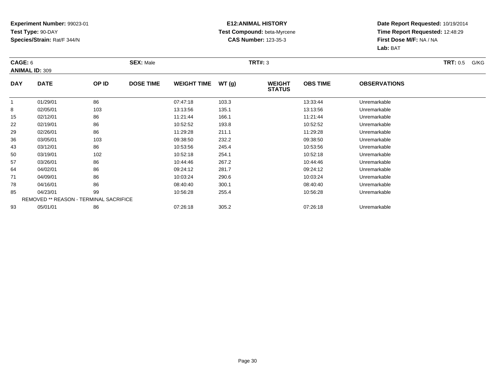### **E12:ANIMAL HISTORY Test Compound:** beta-Myrcene**CAS Number:** 123-35-3

| CAGE: 6      | <b>ANIMAL ID: 309</b>                         |       | <b>SEX: Male</b> |                    |       | <b>TRT#: 3</b>                 |                 |                     | <b>TRT:</b> 0.5<br>G/KG |
|--------------|-----------------------------------------------|-------|------------------|--------------------|-------|--------------------------------|-----------------|---------------------|-------------------------|
|              |                                               |       |                  |                    |       |                                |                 |                     |                         |
| <b>DAY</b>   | <b>DATE</b>                                   | OP ID | <b>DOSE TIME</b> | <b>WEIGHT TIME</b> | WT(g) | <b>WEIGHT</b><br><b>STATUS</b> | <b>OBS TIME</b> | <b>OBSERVATIONS</b> |                         |
| $\mathbf{1}$ | 01/29/01                                      | 86    |                  | 07:47:18           | 103.3 |                                | 13:33:44        | Unremarkable        |                         |
| 8            | 02/05/01                                      | 103   |                  | 13:13:56           | 135.1 |                                | 13:13:56        | Unremarkable        |                         |
| 15           | 02/12/01                                      | 86    |                  | 11:21:44           | 166.1 |                                | 11:21:44        | Unremarkable        |                         |
| 22           | 02/19/01                                      | 86    |                  | 10:52:52           | 193.8 |                                | 10:52:52        | Unremarkable        |                         |
| 29           | 02/26/01                                      | 86    |                  | 11:29:28           | 211.1 |                                | 11:29:28        | Unremarkable        |                         |
| 36           | 03/05/01                                      | 103   |                  | 09:38:50           | 232.2 |                                | 09:38:50        | Unremarkable        |                         |
| 43           | 03/12/01                                      | 86    |                  | 10:53:56           | 245.4 |                                | 10:53:56        | Unremarkable        |                         |
| 50           | 03/19/01                                      | 102   |                  | 10:52:18           | 254.1 |                                | 10:52:18        | Unremarkable        |                         |
| 57           | 03/26/01                                      | 86    |                  | 10:44:46           | 267.2 |                                | 10:44:46        | Unremarkable        |                         |
| 64           | 04/02/01                                      | 86    |                  | 09:24:12           | 281.7 |                                | 09:24:12        | Unremarkable        |                         |
| 71           | 04/09/01                                      | 86    |                  | 10:03:24           | 290.6 |                                | 10:03:24        | Unremarkable        |                         |
| 78           | 04/16/01                                      | 86    |                  | 08:40:40           | 300.1 |                                | 08:40:40        | Unremarkable        |                         |
| 85           | 04/23/01                                      | 99    |                  | 10:56:28           | 255.4 |                                | 10:56:28        | Unremarkable        |                         |
|              | <b>REMOVED ** REASON - TERMINAL SACRIFICE</b> |       |                  |                    |       |                                |                 |                     |                         |
| 93           | 05/01/01                                      | 86    |                  | 07:26:18           | 305.2 |                                | 07:26:18        | Unremarkable        |                         |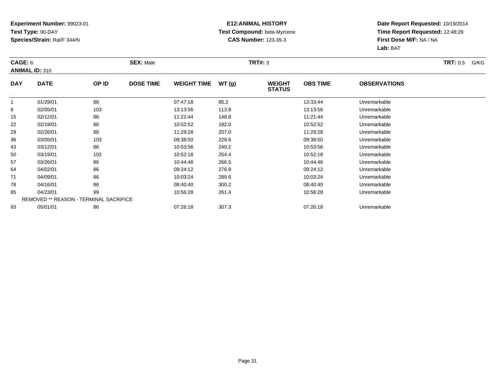### **E12:ANIMAL HISTORY Test Compound:** beta-Myrcene**CAS Number:** 123-35-3

| CAGE: 6      | <b>ANIMAL ID: 310</b>                         |       | <b>SEX: Male</b> |                    |       | <b>TRT#: 3</b>                 |                 |                     | <b>TRT:</b> 0.5<br>G/KG |
|--------------|-----------------------------------------------|-------|------------------|--------------------|-------|--------------------------------|-----------------|---------------------|-------------------------|
| <b>DAY</b>   | <b>DATE</b>                                   | OP ID | <b>DOSE TIME</b> | <b>WEIGHT TIME</b> | WT(g) | <b>WEIGHT</b><br><b>STATUS</b> | <b>OBS TIME</b> | <b>OBSERVATIONS</b> |                         |
| $\mathbf{1}$ | 01/29/01                                      | 86    |                  | 07:47:18           | 85.2  |                                | 13:33:44        | Unremarkable        |                         |
| 8            | 02/05/01                                      | 103   |                  | 13:13:56           | 113.8 |                                | 13:13:56        | Unremarkable        |                         |
| 15           | 02/12/01                                      | 86    |                  | 11:21:44           | 148.8 |                                | 11:21:44        | Unremarkable        |                         |
| 22           | 02/19/01                                      | 86    |                  | 10:52:52           | 182.0 |                                | 10:52:52        | Unremarkable        |                         |
| 29           | 02/26/01                                      | 86    |                  | 11:29:28           | 207.0 |                                | 11:29:28        | Unremarkable        |                         |
| 36           | 03/05/01                                      | 103   |                  | 09:38:50           | 228.6 |                                | 09:38:50        | Unremarkable        |                         |
| 43           | 03/12/01                                      | 86    |                  | 10:53:56           | 240.2 |                                | 10:53:56        | Unremarkable        |                         |
| 50           | 03/19/01                                      | 102   |                  | 10:52:18           | 254.4 |                                | 10:52:18        | Unremarkable        |                         |
| 57           | 03/26/01                                      | 86    |                  | 10:44:46           | 266.5 |                                | 10:44:46        | Unremarkable        |                         |
| 64           | 04/02/01                                      | 86    |                  | 09:24:12           | 276.9 |                                | 09:24:12        | Unremarkable        |                         |
| 71           | 04/09/01                                      | 86    |                  | 10:03:24           | 289.6 |                                | 10:03:24        | Unremarkable        |                         |
| 78           | 04/16/01                                      | 86    |                  | 08:40:40           | 300.2 |                                | 08:40:40        | Unremarkable        |                         |
| 85           | 04/23/01                                      | 99    |                  | 10:56:28           | 261.4 |                                | 10:56:28        | Unremarkable        |                         |
|              | <b>REMOVED ** REASON - TERMINAL SACRIFICE</b> |       |                  |                    |       |                                |                 |                     |                         |
| 93           | 05/01/01                                      | 86    |                  | 07:26:18           | 307.3 |                                | 07:26:18        | Unremarkable        |                         |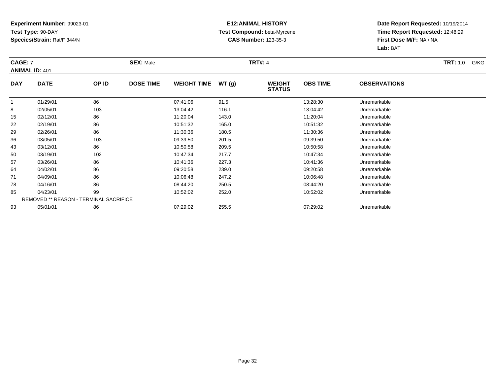### **E12:ANIMAL HISTORY Test Compound:** beta-Myrcene**CAS Number:** 123-35-3

| CAGE: 7    | <b>ANIMAL ID: 401</b>                         |       | <b>SEX: Male</b> |                    |       | <b>TRT#: 4</b>                 |                 |                     | <b>TRT:</b> 1.0<br>G/KG |
|------------|-----------------------------------------------|-------|------------------|--------------------|-------|--------------------------------|-----------------|---------------------|-------------------------|
| <b>DAY</b> | <b>DATE</b>                                   | OP ID | <b>DOSE TIME</b> | <b>WEIGHT TIME</b> | WT(g) | <b>WEIGHT</b><br><b>STATUS</b> | <b>OBS TIME</b> | <b>OBSERVATIONS</b> |                         |
|            | 01/29/01                                      | 86    |                  | 07:41:06           | 91.5  |                                | 13:28:30        | Unremarkable        |                         |
| 8          | 02/05/01                                      | 103   |                  | 13:04:42           | 116.1 |                                | 13:04:42        | Unremarkable        |                         |
| 15         | 02/12/01                                      | 86    |                  | 11:20:04           | 143.0 |                                | 11:20:04        | Unremarkable        |                         |
| 22         | 02/19/01                                      | 86    |                  | 10:51:32           | 165.0 |                                | 10:51:32        | Unremarkable        |                         |
| 29         | 02/26/01                                      | 86    |                  | 11:30:36           | 180.5 |                                | 11:30:36        | Unremarkable        |                         |
| 36         | 03/05/01                                      | 103   |                  | 09:39:50           | 201.5 |                                | 09:39:50        | Unremarkable        |                         |
| 43         | 03/12/01                                      | 86    |                  | 10:50:58           | 209.5 |                                | 10:50:58        | Unremarkable        |                         |
| 50         | 03/19/01                                      | 102   |                  | 10:47:34           | 217.7 |                                | 10:47:34        | Unremarkable        |                         |
| 57         | 03/26/01                                      | 86    |                  | 10:41:36           | 227.3 |                                | 10:41:36        | Unremarkable        |                         |
| 64         | 04/02/01                                      | 86    |                  | 09:20:58           | 239.0 |                                | 09:20:58        | Unremarkable        |                         |
| 71         | 04/09/01                                      | 86    |                  | 10:06:48           | 247.2 |                                | 10:06:48        | Unremarkable        |                         |
| 78         | 04/16/01                                      | 86    |                  | 08:44:20           | 250.5 |                                | 08:44:20        | Unremarkable        |                         |
| 85         | 04/23/01                                      | 99    |                  | 10:52:02           | 252.0 |                                | 10:52:02        | Unremarkable        |                         |
|            | <b>REMOVED ** REASON - TERMINAL SACRIFICE</b> |       |                  |                    |       |                                |                 |                     |                         |
| 93         | 05/01/01                                      | 86    |                  | 07:29:02           | 255.5 |                                | 07:29:02        | Unremarkable        |                         |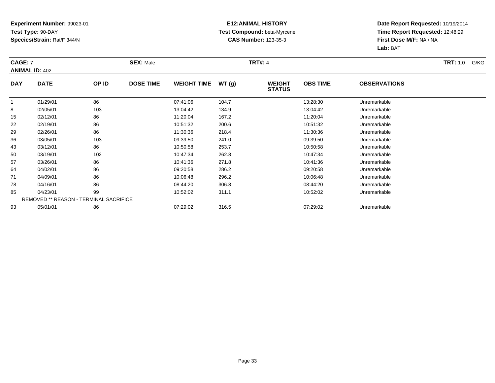### **E12:ANIMAL HISTORY Test Compound:** beta-Myrcene**CAS Number:** 123-35-3

| CAGE: 7    | <b>ANIMAL ID: 402</b>                         |       | <b>SEX: Male</b> |                    |       | <b>TRT#: 4</b>                 |                 |                     | <b>TRT:</b> 1.0<br>G/KG |
|------------|-----------------------------------------------|-------|------------------|--------------------|-------|--------------------------------|-----------------|---------------------|-------------------------|
| <b>DAY</b> | <b>DATE</b>                                   | OP ID | <b>DOSE TIME</b> | <b>WEIGHT TIME</b> | WT(g) | <b>WEIGHT</b><br><b>STATUS</b> | <b>OBS TIME</b> | <b>OBSERVATIONS</b> |                         |
|            | 01/29/01                                      | 86    |                  | 07:41:06           | 104.7 |                                | 13:28:30        | Unremarkable        |                         |
| 8          | 02/05/01                                      | 103   |                  | 13:04:42           | 134.9 |                                | 13:04:42        | Unremarkable        |                         |
| 15         | 02/12/01                                      | 86    |                  | 11:20:04           | 167.2 |                                | 11:20:04        | Unremarkable        |                         |
| 22         | 02/19/01                                      | 86    |                  | 10:51:32           | 200.6 |                                | 10:51:32        | Unremarkable        |                         |
| 29         | 02/26/01                                      | 86    |                  | 11:30:36           | 218.4 |                                | 11:30:36        | Unremarkable        |                         |
| 36         | 03/05/01                                      | 103   |                  | 09:39:50           | 241.0 |                                | 09:39:50        | Unremarkable        |                         |
| 43         | 03/12/01                                      | 86    |                  | 10:50:58           | 253.7 |                                | 10:50:58        | Unremarkable        |                         |
| 50         | 03/19/01                                      | 102   |                  | 10:47:34           | 262.8 |                                | 10:47:34        | Unremarkable        |                         |
| 57         | 03/26/01                                      | 86    |                  | 10:41:36           | 271.8 |                                | 10:41:36        | Unremarkable        |                         |
| 64         | 04/02/01                                      | 86    |                  | 09:20:58           | 286.2 |                                | 09:20:58        | Unremarkable        |                         |
| 71         | 04/09/01                                      | 86    |                  | 10:06:48           | 296.2 |                                | 10:06:48        | Unremarkable        |                         |
| 78         | 04/16/01                                      | 86    |                  | 08:44:20           | 306.8 |                                | 08:44:20        | Unremarkable        |                         |
| 85         | 04/23/01                                      | 99    |                  | 10:52:02           | 311.1 |                                | 10:52:02        | Unremarkable        |                         |
|            | <b>REMOVED ** REASON - TERMINAL SACRIFICE</b> |       |                  |                    |       |                                |                 |                     |                         |
| 93         | 05/01/01                                      | 86    |                  | 07:29:02           | 316.5 |                                | 07:29:02        | Unremarkable        |                         |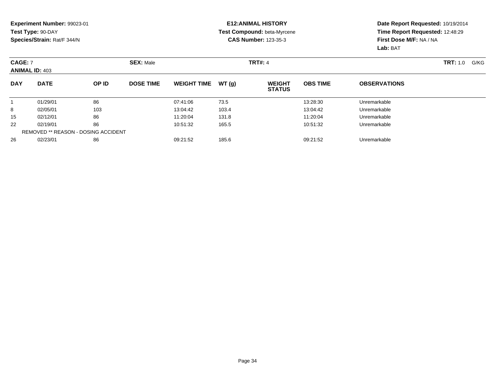#### **E12:ANIMAL HISTORY Test Compound:** beta-Myrcene**CAS Number:** 123-35-3

| <b>CAGE: 7</b> | <b>ANIMAL ID: 403</b> |                                            | <b>SEX: Male</b> |                    |       | <b>TRT#: 4</b>                 |                 |                     | TRT: 1.0<br>G/KG |
|----------------|-----------------------|--------------------------------------------|------------------|--------------------|-------|--------------------------------|-----------------|---------------------|------------------|
| <b>DAY</b>     | <b>DATE</b>           | OP ID                                      | <b>DOSE TIME</b> | <b>WEIGHT TIME</b> | WT(g) | <b>WEIGHT</b><br><b>STATUS</b> | <b>OBS TIME</b> | <b>OBSERVATIONS</b> |                  |
|                | 01/29/01              | 86                                         |                  | 07:41:06           | 73.5  |                                | 13:28:30        | Unremarkable        |                  |
| 8              | 02/05/01              | 103                                        |                  | 13:04:42           | 103.4 |                                | 13:04:42        | Unremarkable        |                  |
| 15             | 02/12/01              | 86                                         |                  | 11:20:04           | 131.8 |                                | 11:20:04        | Unremarkable        |                  |
| 22             | 02/19/01              | 86                                         |                  | 10:51:32           | 165.5 |                                | 10:51:32        | Unremarkable        |                  |
|                |                       | <b>REMOVED ** REASON - DOSING ACCIDENT</b> |                  |                    |       |                                |                 |                     |                  |
| 26             | 02/23/01              | 86                                         |                  | 09:21:52           | 185.6 |                                | 09:21:52        | Unremarkable        |                  |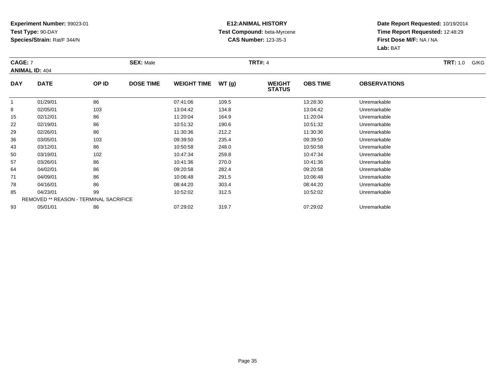### **E12:ANIMAL HISTORY Test Compound:** beta-Myrcene**CAS Number:** 123-35-3

| CAGE: 7    | <b>ANIMAL ID: 404</b>                         |       | <b>SEX: Male</b> |                    |       | <b>TRT#: 4</b>                 |                 |                     | <b>TRT:</b> 1.0<br>G/KG |
|------------|-----------------------------------------------|-------|------------------|--------------------|-------|--------------------------------|-----------------|---------------------|-------------------------|
| <b>DAY</b> | <b>DATE</b>                                   | OP ID | <b>DOSE TIME</b> | <b>WEIGHT TIME</b> | WT(g) | <b>WEIGHT</b><br><b>STATUS</b> | <b>OBS TIME</b> | <b>OBSERVATIONS</b> |                         |
| 1          | 01/29/01                                      | 86    |                  | 07:41:06           | 109.5 |                                | 13:28:30        | Unremarkable        |                         |
| 8          | 02/05/01                                      | 103   |                  | 13:04:42           | 134.8 |                                | 13:04:42        | Unremarkable        |                         |
| 15         | 02/12/01                                      | 86    |                  | 11:20:04           | 164.9 |                                | 11:20:04        | Unremarkable        |                         |
| 22         | 02/19/01                                      | 86    |                  | 10:51:32           | 190.6 |                                | 10:51:32        | Unremarkable        |                         |
| 29         | 02/26/01                                      | 86    |                  | 11:30:36           | 212.2 |                                | 11:30:36        | Unremarkable        |                         |
| 36         | 03/05/01                                      | 103   |                  | 09:39:50           | 235.4 |                                | 09:39:50        | Unremarkable        |                         |
| 43         | 03/12/01                                      | 86    |                  | 10:50:58           | 248.0 |                                | 10:50:58        | Unremarkable        |                         |
| 50         | 03/19/01                                      | 102   |                  | 10:47:34           | 259.8 |                                | 10:47:34        | Unremarkable        |                         |
| 57         | 03/26/01                                      | 86    |                  | 10:41:36           | 270.0 |                                | 10:41:36        | Unremarkable        |                         |
| 64         | 04/02/01                                      | 86    |                  | 09:20:58           | 282.4 |                                | 09:20:58        | Unremarkable        |                         |
| 71         | 04/09/01                                      | 86    |                  | 10:06:48           | 291.5 |                                | 10:06:48        | Unremarkable        |                         |
| 78         | 04/16/01                                      | 86    |                  | 08:44:20           | 303.4 |                                | 08:44:20        | Unremarkable        |                         |
| 85         | 04/23/01                                      | 99    |                  | 10:52:02           | 312.5 |                                | 10:52:02        | Unremarkable        |                         |
|            | <b>REMOVED ** REASON - TERMINAL SACRIFICE</b> |       |                  |                    |       |                                |                 |                     |                         |
| 93         | 05/01/01                                      | 86    |                  | 07:29:02           | 319.7 |                                | 07:29:02        | Unremarkable        |                         |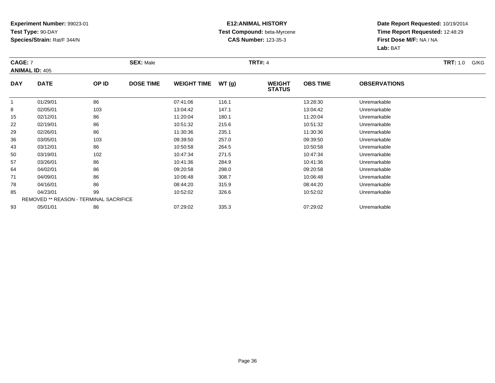### **E12:ANIMAL HISTORY Test Compound:** beta-Myrcene**CAS Number:** 123-35-3

| CAGE: 7               |                                               |       | <b>SEX: Male</b> |                    | TRT#: 4 |                                |                 |                     |  |
|-----------------------|-----------------------------------------------|-------|------------------|--------------------|---------|--------------------------------|-----------------|---------------------|--|
| <b>ANIMAL ID: 405</b> |                                               |       |                  |                    |         |                                |                 |                     |  |
| <b>DAY</b>            | <b>DATE</b>                                   | OP ID | <b>DOSE TIME</b> | <b>WEIGHT TIME</b> | WT(g)   | <b>WEIGHT</b><br><b>STATUS</b> | <b>OBS TIME</b> | <b>OBSERVATIONS</b> |  |
|                       | 01/29/01                                      | 86    |                  | 07:41:06           | 116.1   |                                | 13:28:30        | Unremarkable        |  |
| 8                     | 02/05/01                                      | 103   |                  | 13:04:42           | 147.1   |                                | 13:04:42        | Unremarkable        |  |
| 15                    | 02/12/01                                      | 86    |                  | 11:20:04           | 180.1   |                                | 11:20:04        | Unremarkable        |  |
| 22                    | 02/19/01                                      | 86    |                  | 10:51:32           | 215.6   |                                | 10:51:32        | Unremarkable        |  |
| 29                    | 02/26/01                                      | 86    |                  | 11:30:36           | 235.1   |                                | 11:30:36        | Unremarkable        |  |
| 36                    | 03/05/01                                      | 103   |                  | 09:39:50           | 257.0   |                                | 09:39:50        | Unremarkable        |  |
| 43                    | 03/12/01                                      | 86    |                  | 10:50:58           | 264.5   |                                | 10:50:58        | Unremarkable        |  |
| 50                    | 03/19/01                                      | 102   |                  | 10:47:34           | 271.5   |                                | 10:47:34        | Unremarkable        |  |
| 57                    | 03/26/01                                      | 86    |                  | 10:41:36           | 284.9   |                                | 10:41:36        | Unremarkable        |  |
| 64                    | 04/02/01                                      | 86    |                  | 09:20:58           | 298.0   |                                | 09:20:58        | Unremarkable        |  |
| 71                    | 04/09/01                                      | 86    |                  | 10:06:48           | 308.7   |                                | 10:06:48        | Unremarkable        |  |
| 78                    | 04/16/01                                      | 86    |                  | 08:44:20           | 315.9   |                                | 08:44:20        | Unremarkable        |  |
| 85                    | 04/23/01                                      | 99    |                  | 10:52:02           | 326.6   |                                | 10:52:02        | Unremarkable        |  |
|                       | <b>REMOVED ** REASON - TERMINAL SACRIFICE</b> |       |                  |                    |         |                                |                 |                     |  |
| 93                    | 05/01/01                                      | 86    |                  | 07:29:02           | 335.3   |                                | 07:29:02        | Unremarkable        |  |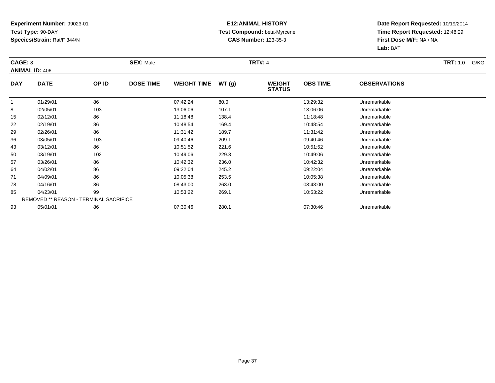### **E12:ANIMAL HISTORY Test Compound:** beta-Myrcene**CAS Number:** 123-35-3

| CAGE: 8    | <b>ANIMAL ID: 406</b>                         |       | <b>SEX: Male</b> |                    |       | <b>TRT#: 4</b>                 |                 |                     | <b>TRT:</b> 1.0<br>G/KG |
|------------|-----------------------------------------------|-------|------------------|--------------------|-------|--------------------------------|-----------------|---------------------|-------------------------|
| <b>DAY</b> | <b>DATE</b>                                   | OP ID | <b>DOSE TIME</b> | <b>WEIGHT TIME</b> | WT(g) | <b>WEIGHT</b><br><b>STATUS</b> | <b>OBS TIME</b> | <b>OBSERVATIONS</b> |                         |
| -1         | 01/29/01                                      | 86    |                  | 07:42:24           | 80.0  |                                | 13:29:32        | Unremarkable        |                         |
| 8          | 02/05/01                                      | 103   |                  | 13:06:06           | 107.1 |                                | 13:06:06        | Unremarkable        |                         |
| 15         | 02/12/01                                      | 86    |                  | 11:18:48           | 138.4 |                                | 11:18:48        | Unremarkable        |                         |
| 22         | 02/19/01                                      | 86    |                  | 10:48:54           | 169.4 |                                | 10:48:54        | Unremarkable        |                         |
| 29         | 02/26/01                                      | 86    |                  | 11:31:42           | 189.7 |                                | 11:31:42        | Unremarkable        |                         |
| 36         | 03/05/01                                      | 103   |                  | 09:40:46           | 209.1 |                                | 09:40:46        | Unremarkable        |                         |
| 43         | 03/12/01                                      | 86    |                  | 10:51:52           | 221.6 |                                | 10:51:52        | Unremarkable        |                         |
| 50         | 03/19/01                                      | 102   |                  | 10:49:06           | 229.3 |                                | 10:49:06        | Unremarkable        |                         |
| 57         | 03/26/01                                      | 86    |                  | 10:42:32           | 236.0 |                                | 10:42:32        | Unremarkable        |                         |
| 64         | 04/02/01                                      | 86    |                  | 09:22:04           | 245.2 |                                | 09:22:04        | Unremarkable        |                         |
| 71         | 04/09/01                                      | 86    |                  | 10:05:38           | 253.5 |                                | 10:05:38        | Unremarkable        |                         |
| 78         | 04/16/01                                      | 86    |                  | 08:43:00           | 263.0 |                                | 08:43:00        | Unremarkable        |                         |
| 85         | 04/23/01                                      | 99    |                  | 10:53:22           | 269.1 |                                | 10:53:22        | Unremarkable        |                         |
|            | <b>REMOVED ** REASON - TERMINAL SACRIFICE</b> |       |                  |                    |       |                                |                 |                     |                         |
| 93         | 05/01/01                                      | 86    |                  | 07:30:46           | 280.1 |                                | 07:30:46        | Unremarkable        |                         |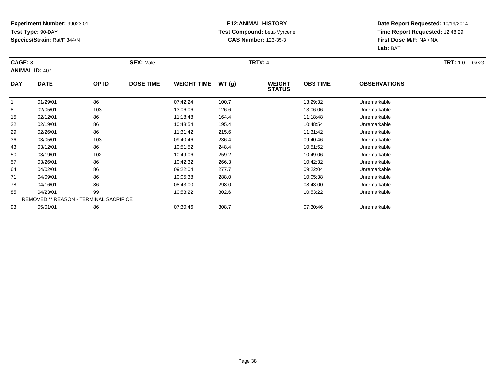### **E12:ANIMAL HISTORY Test Compound:** beta-Myrcene**CAS Number:** 123-35-3

| CAGE: 8    | <b>ANIMAL ID: 407</b>                         |       | <b>SEX: Male</b> |                    |       | <b>TRT#: 4</b>                 |                 |                     | <b>TRT:</b> 1.0<br>G/KG |
|------------|-----------------------------------------------|-------|------------------|--------------------|-------|--------------------------------|-----------------|---------------------|-------------------------|
| <b>DAY</b> | <b>DATE</b>                                   | OP ID | <b>DOSE TIME</b> | <b>WEIGHT TIME</b> | WT(g) | <b>WEIGHT</b><br><b>STATUS</b> | <b>OBS TIME</b> | <b>OBSERVATIONS</b> |                         |
|            | 01/29/01                                      | 86    |                  | 07:42:24           | 100.7 |                                | 13:29:32        | Unremarkable        |                         |
| 8          | 02/05/01                                      | 103   |                  | 13:06:06           | 126.6 |                                | 13:06:06        | Unremarkable        |                         |
| 15         | 02/12/01                                      | 86    |                  | 11:18:48           | 164.4 |                                | 11:18:48        | Unremarkable        |                         |
| 22         | 02/19/01                                      | 86    |                  | 10:48:54           | 195.4 |                                | 10:48:54        | Unremarkable        |                         |
| 29         | 02/26/01                                      | 86    |                  | 11:31:42           | 215.6 |                                | 11:31:42        | Unremarkable        |                         |
| 36         | 03/05/01                                      | 103   |                  | 09:40:46           | 236.4 |                                | 09:40:46        | Unremarkable        |                         |
| 43         | 03/12/01                                      | 86    |                  | 10:51:52           | 248.4 |                                | 10:51:52        | Unremarkable        |                         |
| 50         | 03/19/01                                      | 102   |                  | 10:49:06           | 259.2 |                                | 10:49:06        | Unremarkable        |                         |
| 57         | 03/26/01                                      | 86    |                  | 10:42:32           | 266.3 |                                | 10:42:32        | Unremarkable        |                         |
| 64         | 04/02/01                                      | 86    |                  | 09:22:04           | 277.7 |                                | 09:22:04        | Unremarkable        |                         |
| 71         | 04/09/01                                      | 86    |                  | 10:05:38           | 288.0 |                                | 10:05:38        | Unremarkable        |                         |
| 78         | 04/16/01                                      | 86    |                  | 08:43:00           | 298.0 |                                | 08:43:00        | Unremarkable        |                         |
| 85         | 04/23/01                                      | 99    |                  | 10:53:22           | 302.6 |                                | 10:53:22        | Unremarkable        |                         |
|            | <b>REMOVED ** REASON - TERMINAL SACRIFICE</b> |       |                  |                    |       |                                |                 |                     |                         |
| 93         | 05/01/01                                      | 86    |                  | 07:30:46           | 308.7 |                                | 07:30:46        | Unremarkable        |                         |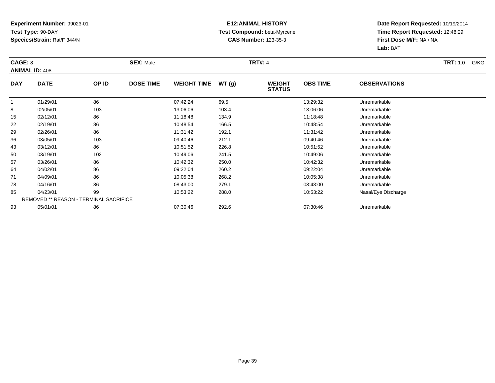### **E12:ANIMAL HISTORY Test Compound:** beta-Myrcene**CAS Number:** 123-35-3

| CAGE: 8    | <b>ANIMAL ID: 408</b>                         |       | <b>SEX: Male</b> |                    |        | <b>TRT#: 4</b>                 |                 |                     | <b>TRT:</b> 1.0<br>G/KG |
|------------|-----------------------------------------------|-------|------------------|--------------------|--------|--------------------------------|-----------------|---------------------|-------------------------|
| <b>DAY</b> | <b>DATE</b>                                   | OP ID | <b>DOSE TIME</b> | <b>WEIGHT TIME</b> | WT (g) | <b>WEIGHT</b><br><b>STATUS</b> | <b>OBS TIME</b> | <b>OBSERVATIONS</b> |                         |
| 1          | 01/29/01                                      | 86    |                  | 07:42:24           | 69.5   |                                | 13:29:32        | Unremarkable        |                         |
| 8          | 02/05/01                                      | 103   |                  | 13:06:06           | 103.4  |                                | 13:06:06        | Unremarkable        |                         |
| 15         | 02/12/01                                      | 86    |                  | 11:18:48           | 134.9  |                                | 11:18:48        | Unremarkable        |                         |
| 22         | 02/19/01                                      | 86    |                  | 10:48:54           | 166.5  |                                | 10:48:54        | Unremarkable        |                         |
| 29         | 02/26/01                                      | 86    |                  | 11:31:42           | 192.1  |                                | 11:31:42        | Unremarkable        |                         |
| 36         | 03/05/01                                      | 103   |                  | 09:40:46           | 212.1  |                                | 09:40:46        | Unremarkable        |                         |
| 43         | 03/12/01                                      | 86    |                  | 10:51:52           | 226.8  |                                | 10:51:52        | Unremarkable        |                         |
| 50         | 03/19/01                                      | 102   |                  | 10:49:06           | 241.5  |                                | 10:49:06        | Unremarkable        |                         |
| 57         | 03/26/01                                      | 86    |                  | 10:42:32           | 250.0  |                                | 10:42:32        | Unremarkable        |                         |
| 64         | 04/02/01                                      | 86    |                  | 09:22:04           | 260.2  |                                | 09:22:04        | Unremarkable        |                         |
| 71         | 04/09/01                                      | 86    |                  | 10:05:38           | 268.2  |                                | 10:05:38        | Unremarkable        |                         |
| 78         | 04/16/01                                      | 86    |                  | 08:43:00           | 279.1  |                                | 08:43:00        | Unremarkable        |                         |
| 85         | 04/23/01                                      | 99    |                  | 10:53:22           | 288.0  |                                | 10:53:22        | Nasal/Eye Discharge |                         |
|            | <b>REMOVED ** REASON - TERMINAL SACRIFICE</b> |       |                  |                    |        |                                |                 |                     |                         |
| 93         | 05/01/01                                      | 86    |                  | 07:30:46           | 292.6  |                                | 07:30:46        | Unremarkable        |                         |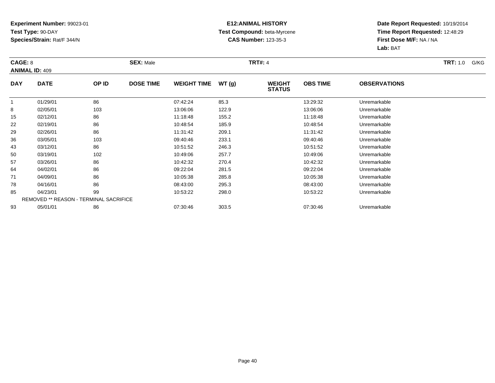### **E12:ANIMAL HISTORY Test Compound:** beta-Myrcene**CAS Number:** 123-35-3

| CAGE: 8    | <b>ANIMAL ID: 409</b>                         |       | <b>SEX: Male</b> |                    |       | <b>TRT#: 4</b>                 |                 |                     | <b>TRT:</b> 1.0<br>G/KG |
|------------|-----------------------------------------------|-------|------------------|--------------------|-------|--------------------------------|-----------------|---------------------|-------------------------|
| <b>DAY</b> | <b>DATE</b>                                   | OP ID | <b>DOSE TIME</b> | <b>WEIGHT TIME</b> | WT(g) | <b>WEIGHT</b><br><b>STATUS</b> | <b>OBS TIME</b> | <b>OBSERVATIONS</b> |                         |
|            | 01/29/01                                      | 86    |                  | 07:42:24           | 85.3  |                                | 13:29:32        | Unremarkable        |                         |
| 8          | 02/05/01                                      | 103   |                  | 13:06:06           | 122.9 |                                | 13:06:06        | Unremarkable        |                         |
| 15         | 02/12/01                                      | 86    |                  | 11:18:48           | 155.2 |                                | 11:18:48        | Unremarkable        |                         |
| 22         | 02/19/01                                      | 86    |                  | 10:48:54           | 185.9 |                                | 10:48:54        | Unremarkable        |                         |
| 29         | 02/26/01                                      | 86    |                  | 11:31:42           | 209.1 |                                | 11:31:42        | Unremarkable        |                         |
| 36         | 03/05/01                                      | 103   |                  | 09:40:46           | 233.1 |                                | 09:40:46        | Unremarkable        |                         |
| 43         | 03/12/01                                      | 86    |                  | 10:51:52           | 246.3 |                                | 10:51:52        | Unremarkable        |                         |
| 50         | 03/19/01                                      | 102   |                  | 10:49:06           | 257.7 |                                | 10:49:06        | Unremarkable        |                         |
| 57         | 03/26/01                                      | 86    |                  | 10:42:32           | 270.4 |                                | 10:42:32        | Unremarkable        |                         |
| 64         | 04/02/01                                      | 86    |                  | 09:22:04           | 281.5 |                                | 09:22:04        | Unremarkable        |                         |
| 71         | 04/09/01                                      | 86    |                  | 10:05:38           | 285.8 |                                | 10:05:38        | Unremarkable        |                         |
| 78         | 04/16/01                                      | 86    |                  | 08:43:00           | 295.3 |                                | 08:43:00        | Unremarkable        |                         |
| 85         | 04/23/01                                      | 99    |                  | 10:53:22           | 298.0 |                                | 10:53:22        | Unremarkable        |                         |
|            | <b>REMOVED ** REASON - TERMINAL SACRIFICE</b> |       |                  |                    |       |                                |                 |                     |                         |
| 93         | 05/01/01                                      | 86    |                  | 07:30:46           | 303.5 |                                | 07:30:46        | Unremarkable        |                         |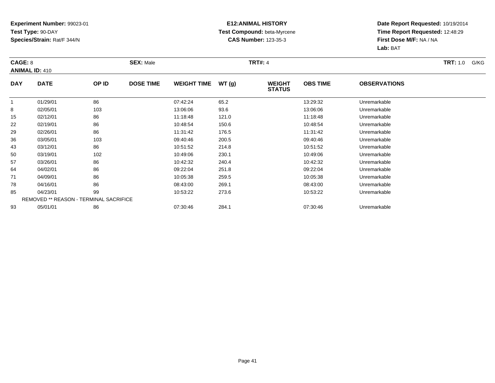### **E12:ANIMAL HISTORY Test Compound:** beta-Myrcene**CAS Number:** 123-35-3

| CAGE: 8    | <b>ANIMAL ID: 410</b>                         |       | <b>SEX: Male</b> |                    |       | <b>TRT#: 4</b>                 |                 |                     | <b>TRT:</b> 1.0<br>G/KG |
|------------|-----------------------------------------------|-------|------------------|--------------------|-------|--------------------------------|-----------------|---------------------|-------------------------|
| <b>DAY</b> | <b>DATE</b>                                   | OP ID | <b>DOSE TIME</b> | <b>WEIGHT TIME</b> | WT(g) | <b>WEIGHT</b><br><b>STATUS</b> | <b>OBS TIME</b> | <b>OBSERVATIONS</b> |                         |
|            | 01/29/01                                      | 86    |                  | 07:42:24           | 65.2  |                                | 13:29:32        | Unremarkable        |                         |
| 8          | 02/05/01                                      | 103   |                  | 13:06:06           | 93.6  |                                | 13:06:06        | Unremarkable        |                         |
| 15         | 02/12/01                                      | 86    |                  | 11:18:48           | 121.0 |                                | 11:18:48        | Unremarkable        |                         |
| 22         | 02/19/01                                      | 86    |                  | 10:48:54           | 150.6 |                                | 10:48:54        | Unremarkable        |                         |
| 29         | 02/26/01                                      | 86    |                  | 11:31:42           | 176.5 |                                | 11:31:42        | Unremarkable        |                         |
| 36         | 03/05/01                                      | 103   |                  | 09:40:46           | 200.5 |                                | 09:40:46        | Unremarkable        |                         |
| 43         | 03/12/01                                      | 86    |                  | 10:51:52           | 214.8 |                                | 10:51:52        | Unremarkable        |                         |
| 50         | 03/19/01                                      | 102   |                  | 10:49:06           | 230.1 |                                | 10:49:06        | Unremarkable        |                         |
| 57         | 03/26/01                                      | 86    |                  | 10:42:32           | 240.4 |                                | 10:42:32        | Unremarkable        |                         |
| 64         | 04/02/01                                      | 86    |                  | 09:22:04           | 251.8 |                                | 09:22:04        | Unremarkable        |                         |
| 71         | 04/09/01                                      | 86    |                  | 10:05:38           | 259.5 |                                | 10:05:38        | Unremarkable        |                         |
| 78         | 04/16/01                                      | 86    |                  | 08:43:00           | 269.1 |                                | 08:43:00        | Unremarkable        |                         |
| 85         | 04/23/01                                      | 99    |                  | 10:53:22           | 273.6 |                                | 10:53:22        | Unremarkable        |                         |
|            | <b>REMOVED ** REASON - TERMINAL SACRIFICE</b> |       |                  |                    |       |                                |                 |                     |                         |
| 93         | 05/01/01                                      | 86    |                  | 07:30:46           | 284.1 |                                | 07:30:46        | Unremarkable        |                         |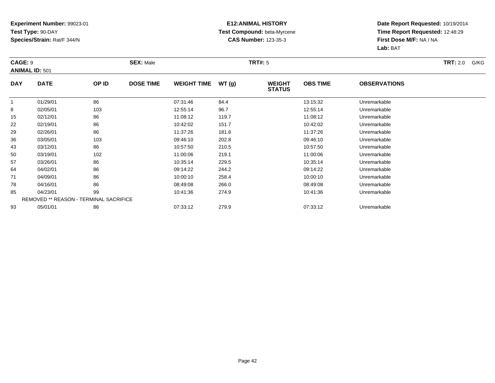### **E12:ANIMAL HISTORY Test Compound:** beta-Myrcene**CAS Number:** 123-35-3

| CAGE: 9    | <b>ANIMAL ID: 501</b>                         |       | <b>SEX: Male</b> |                    |       | <b>TRT#:</b> 5                 |                 |                     | TRT: 2.0<br>G/KG |
|------------|-----------------------------------------------|-------|------------------|--------------------|-------|--------------------------------|-----------------|---------------------|------------------|
| <b>DAY</b> | <b>DATE</b>                                   | OP ID | <b>DOSE TIME</b> | <b>WEIGHT TIME</b> | WT(g) | <b>WEIGHT</b><br><b>STATUS</b> | <b>OBS TIME</b> | <b>OBSERVATIONS</b> |                  |
|            | 01/29/01                                      | 86    |                  | 07:31:46           | 84.4  |                                | 13:15:32        | Unremarkable        |                  |
| 8          | 02/05/01                                      | 103   |                  | 12:55:14           | 96.7  |                                | 12:55:14        | Unremarkable        |                  |
| 15         | 02/12/01                                      | 86    |                  | 11:08:12           | 119.7 |                                | 11:08:12        | Unremarkable        |                  |
| 22         | 02/19/01                                      | 86    |                  | 10:42:02           | 151.7 |                                | 10:42:02        | Unremarkable        |                  |
| 29         | 02/26/01                                      | 86    |                  | 11:37:26           | 181.6 |                                | 11:37:26        | Unremarkable        |                  |
| 36         | 03/05/01                                      | 103   |                  | 09:46:10           | 202.8 |                                | 09:46:10        | Unremarkable        |                  |
| 43         | 03/12/01                                      | 86    |                  | 10:57:50           | 210.5 |                                | 10:57:50        | Unremarkable        |                  |
| 50         | 03/19/01                                      | 102   |                  | 11:00:06           | 219.1 |                                | 11:00:06        | Unremarkable        |                  |
| 57         | 03/26/01                                      | 86    |                  | 10:35:14           | 229.5 |                                | 10:35:14        | Unremarkable        |                  |
| 64         | 04/02/01                                      | 86    |                  | 09:14:22           | 244.2 |                                | 09:14:22        | Unremarkable        |                  |
| 71         | 04/09/01                                      | 86    |                  | 10:00:10           | 258.4 |                                | 10:00:10        | Unremarkable        |                  |
| 78         | 04/16/01                                      | 86    |                  | 08:49:08           | 266.0 |                                | 08:49:08        | Unremarkable        |                  |
| 85         | 04/23/01                                      | 99    |                  | 10:41:36           | 274.9 |                                | 10:41:36        | Unremarkable        |                  |
|            | <b>REMOVED ** REASON - TERMINAL SACRIFICE</b> |       |                  |                    |       |                                |                 |                     |                  |
| 93         | 05/01/01                                      | 86    |                  | 07:33:12           | 279.9 |                                | 07:33:12        | Unremarkable        |                  |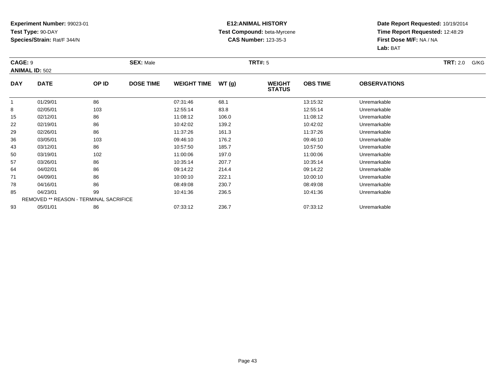### **E12:ANIMAL HISTORY Test Compound:** beta-Myrcene**CAS Number:** 123-35-3

| CAGE: 9    | <b>ANIMAL ID: 502</b>                         |       | <b>SEX: Male</b> |                    |       | <b>TRT#:</b> 5                 |                 |                     | <b>TRT:</b> 2.0<br>G/KG |
|------------|-----------------------------------------------|-------|------------------|--------------------|-------|--------------------------------|-----------------|---------------------|-------------------------|
| <b>DAY</b> | <b>DATE</b>                                   | OP ID | <b>DOSE TIME</b> | <b>WEIGHT TIME</b> | WT(g) | <b>WEIGHT</b><br><b>STATUS</b> | <b>OBS TIME</b> | <b>OBSERVATIONS</b> |                         |
|            | 01/29/01                                      | 86    |                  | 07:31:46           | 68.1  |                                | 13:15:32        | Unremarkable        |                         |
| 8          | 02/05/01                                      | 103   |                  | 12:55:14           | 83.8  |                                | 12:55:14        | Unremarkable        |                         |
| 15         | 02/12/01                                      | 86    |                  | 11:08:12           | 106.0 |                                | 11:08:12        | Unremarkable        |                         |
| 22         | 02/19/01                                      | 86    |                  | 10:42:02           | 139.2 |                                | 10:42:02        | Unremarkable        |                         |
| 29         | 02/26/01                                      | 86    |                  | 11:37:26           | 161.3 |                                | 11:37:26        | Unremarkable        |                         |
| 36         | 03/05/01                                      | 103   |                  | 09:46:10           | 176.2 |                                | 09:46:10        | Unremarkable        |                         |
| 43         | 03/12/01                                      | 86    |                  | 10:57:50           | 185.7 |                                | 10:57:50        | Unremarkable        |                         |
| 50         | 03/19/01                                      | 102   |                  | 11:00:06           | 197.0 |                                | 11:00:06        | Unremarkable        |                         |
| 57         | 03/26/01                                      | 86    |                  | 10:35:14           | 207.7 |                                | 10:35:14        | Unremarkable        |                         |
| 64         | 04/02/01                                      | 86    |                  | 09:14:22           | 214.4 |                                | 09:14:22        | Unremarkable        |                         |
| 71         | 04/09/01                                      | 86    |                  | 10:00:10           | 222.1 |                                | 10:00:10        | Unremarkable        |                         |
| 78         | 04/16/01                                      | 86    |                  | 08:49:08           | 230.7 |                                | 08:49:08        | Unremarkable        |                         |
| 85         | 04/23/01                                      | 99    |                  | 10:41:36           | 236.5 |                                | 10:41:36        | Unremarkable        |                         |
|            | <b>REMOVED ** REASON - TERMINAL SACRIFICE</b> |       |                  |                    |       |                                |                 |                     |                         |
| 93         | 05/01/01                                      | 86    |                  | 07:33:12           | 236.7 |                                | 07:33:12        | Unremarkable        |                         |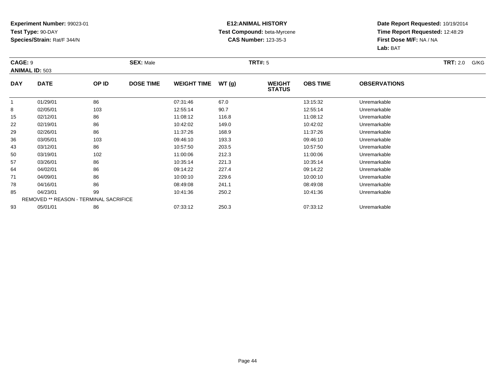### **E12:ANIMAL HISTORY Test Compound:** beta-Myrcene**CAS Number:** 123-35-3

| CAGE: 9    | <b>ANIMAL ID: 503</b>                         |       | <b>SEX: Male</b> |                    |       | <b>TRT#:</b> 5                 |                 |                     | <b>TRT:</b> 2.0<br>G/KG |
|------------|-----------------------------------------------|-------|------------------|--------------------|-------|--------------------------------|-----------------|---------------------|-------------------------|
| <b>DAY</b> | <b>DATE</b>                                   | OP ID | <b>DOSE TIME</b> | <b>WEIGHT TIME</b> | WT(g) | <b>WEIGHT</b><br><b>STATUS</b> | <b>OBS TIME</b> | <b>OBSERVATIONS</b> |                         |
|            | 01/29/01                                      | 86    |                  | 07:31:46           | 67.0  |                                | 13:15:32        | Unremarkable        |                         |
| 8          | 02/05/01                                      | 103   |                  | 12:55:14           | 90.7  |                                | 12:55:14        | Unremarkable        |                         |
| 15         | 02/12/01                                      | 86    |                  | 11:08:12           | 116.8 |                                | 11:08:12        | Unremarkable        |                         |
| 22         | 02/19/01                                      | 86    |                  | 10:42:02           | 149.0 |                                | 10:42:02        | Unremarkable        |                         |
| 29         | 02/26/01                                      | 86    |                  | 11:37:26           | 168.9 |                                | 11:37:26        | Unremarkable        |                         |
| 36         | 03/05/01                                      | 103   |                  | 09:46:10           | 193.3 |                                | 09:46:10        | Unremarkable        |                         |
| 43         | 03/12/01                                      | 86    |                  | 10:57:50           | 203.5 |                                | 10:57:50        | Unremarkable        |                         |
| 50         | 03/19/01                                      | 102   |                  | 11:00:06           | 212.3 |                                | 11:00:06        | Unremarkable        |                         |
| 57         | 03/26/01                                      | 86    |                  | 10:35:14           | 221.3 |                                | 10:35:14        | Unremarkable        |                         |
| 64         | 04/02/01                                      | 86    |                  | 09:14:22           | 227.4 |                                | 09:14:22        | Unremarkable        |                         |
| 71         | 04/09/01                                      | 86    |                  | 10:00:10           | 229.6 |                                | 10:00:10        | Unremarkable        |                         |
| 78         | 04/16/01                                      | 86    |                  | 08:49:08           | 241.1 |                                | 08:49:08        | Unremarkable        |                         |
| 85         | 04/23/01                                      | 99    |                  | 10:41:36           | 250.2 |                                | 10:41:36        | Unremarkable        |                         |
|            | <b>REMOVED ** REASON - TERMINAL SACRIFICE</b> |       |                  |                    |       |                                |                 |                     |                         |
| 93         | 05/01/01                                      | 86    |                  | 07:33:12           | 250.3 |                                | 07:33:12        | Unremarkable        |                         |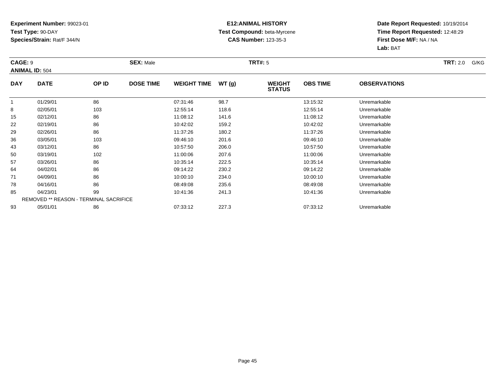### **E12:ANIMAL HISTORY Test Compound:** beta-Myrcene**CAS Number:** 123-35-3

| CAGE: 9    | <b>ANIMAL ID: 504</b>                         |       | <b>SEX: Male</b> |                    |       | <b>TRT#:</b> 5                 |                 |                     | <b>TRT:</b> 2.0<br>G/KG |
|------------|-----------------------------------------------|-------|------------------|--------------------|-------|--------------------------------|-----------------|---------------------|-------------------------|
| <b>DAY</b> | <b>DATE</b>                                   | OP ID | <b>DOSE TIME</b> | <b>WEIGHT TIME</b> | WT(g) | <b>WEIGHT</b><br><b>STATUS</b> | <b>OBS TIME</b> | <b>OBSERVATIONS</b> |                         |
|            | 01/29/01                                      | 86    |                  | 07:31:46           | 98.7  |                                | 13:15:32        | Unremarkable        |                         |
| 8          | 02/05/01                                      | 103   |                  | 12:55:14           | 118.6 |                                | 12:55:14        | Unremarkable        |                         |
| 15         | 02/12/01                                      | 86    |                  | 11:08:12           | 141.6 |                                | 11:08:12        | Unremarkable        |                         |
| 22         | 02/19/01                                      | 86    |                  | 10:42:02           | 159.2 |                                | 10:42:02        | Unremarkable        |                         |
| 29         | 02/26/01                                      | 86    |                  | 11:37:26           | 180.2 |                                | 11:37:26        | Unremarkable        |                         |
| 36         | 03/05/01                                      | 103   |                  | 09:46:10           | 201.6 |                                | 09:46:10        | Unremarkable        |                         |
| 43         | 03/12/01                                      | 86    |                  | 10:57:50           | 206.0 |                                | 10:57:50        | Unremarkable        |                         |
| 50         | 03/19/01                                      | 102   |                  | 11:00:06           | 207.6 |                                | 11:00:06        | Unremarkable        |                         |
| 57         | 03/26/01                                      | 86    |                  | 10:35:14           | 222.5 |                                | 10:35:14        | Unremarkable        |                         |
| 64         | 04/02/01                                      | 86    |                  | 09:14:22           | 230.2 |                                | 09:14:22        | Unremarkable        |                         |
| 71         | 04/09/01                                      | 86    |                  | 10:00:10           | 234.0 |                                | 10:00:10        | Unremarkable        |                         |
| 78         | 04/16/01                                      | 86    |                  | 08:49:08           | 235.6 |                                | 08:49:08        | Unremarkable        |                         |
| 85         | 04/23/01                                      | 99    |                  | 10:41:36           | 241.3 |                                | 10:41:36        | Unremarkable        |                         |
|            | <b>REMOVED ** REASON - TERMINAL SACRIFICE</b> |       |                  |                    |       |                                |                 |                     |                         |
| 93         | 05/01/01                                      | 86    |                  | 07:33:12           | 227.3 |                                | 07:33:12        | Unremarkable        |                         |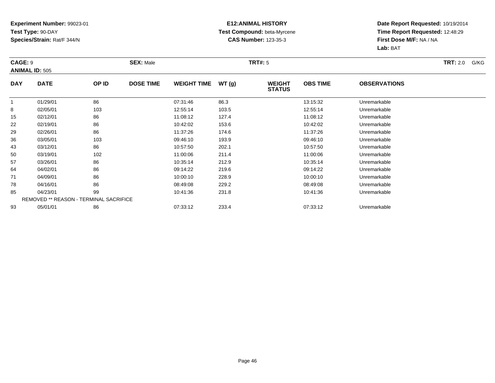### **E12:ANIMAL HISTORY Test Compound:** beta-Myrcene**CAS Number:** 123-35-3

| CAGE: 9    | <b>ANIMAL ID: 505</b>                         |       | <b>SEX: Male</b> |                    |       | <b>TRT#:</b> 5                 |                 |                     | <b>TRT:</b> 2.0<br>G/KG |
|------------|-----------------------------------------------|-------|------------------|--------------------|-------|--------------------------------|-----------------|---------------------|-------------------------|
| <b>DAY</b> | <b>DATE</b>                                   | OP ID | <b>DOSE TIME</b> | <b>WEIGHT TIME</b> | WT(g) | <b>WEIGHT</b><br><b>STATUS</b> | <b>OBS TIME</b> | <b>OBSERVATIONS</b> |                         |
|            | 01/29/01                                      | 86    |                  | 07:31:46           | 86.3  |                                | 13:15:32        | Unremarkable        |                         |
| 8          | 02/05/01                                      | 103   |                  | 12:55:14           | 103.5 |                                | 12:55:14        | Unremarkable        |                         |
| 15         | 02/12/01                                      | 86    |                  | 11:08:12           | 127.4 |                                | 11:08:12        | Unremarkable        |                         |
| 22         | 02/19/01                                      | 86    |                  | 10:42:02           | 153.6 |                                | 10:42:02        | Unremarkable        |                         |
| 29         | 02/26/01                                      | 86    |                  | 11:37:26           | 174.6 |                                | 11:37:26        | Unremarkable        |                         |
| 36         | 03/05/01                                      | 103   |                  | 09:46:10           | 193.9 |                                | 09:46:10        | Unremarkable        |                         |
| 43         | 03/12/01                                      | 86    |                  | 10:57:50           | 202.1 |                                | 10:57:50        | Unremarkable        |                         |
| 50         | 03/19/01                                      | 102   |                  | 11:00:06           | 211.4 |                                | 11:00:06        | Unremarkable        |                         |
| 57         | 03/26/01                                      | 86    |                  | 10:35:14           | 212.9 |                                | 10:35:14        | Unremarkable        |                         |
| 64         | 04/02/01                                      | 86    |                  | 09:14:22           | 219.6 |                                | 09:14:22        | Unremarkable        |                         |
| 71         | 04/09/01                                      | 86    |                  | 10:00:10           | 228.9 |                                | 10:00:10        | Unremarkable        |                         |
| 78         | 04/16/01                                      | 86    |                  | 08:49:08           | 229.2 |                                | 08:49:08        | Unremarkable        |                         |
| 85         | 04/23/01                                      | 99    |                  | 10:41:36           | 231.8 |                                | 10:41:36        | Unremarkable        |                         |
|            | <b>REMOVED ** REASON - TERMINAL SACRIFICE</b> |       |                  |                    |       |                                |                 |                     |                         |
| 93         | 05/01/01                                      | 86    |                  | 07:33:12           | 233.4 |                                | 07:33:12        | Unremarkable        |                         |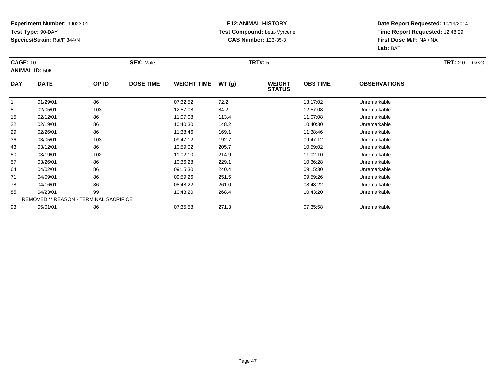### **E12:ANIMAL HISTORY Test Compound:** beta-Myrcene**CAS Number:** 123-35-3

| <b>CAGE: 10</b> | <b>ANIMAL ID: 506</b>                         |       | <b>SEX: Male</b> |                    |       | <b>TRT#:</b> 5                 |                 |                     | TRT: 2.0<br>G/KG |
|-----------------|-----------------------------------------------|-------|------------------|--------------------|-------|--------------------------------|-----------------|---------------------|------------------|
| <b>DAY</b>      | <b>DATE</b>                                   | OP ID | <b>DOSE TIME</b> | <b>WEIGHT TIME</b> | WT(g) | <b>WEIGHT</b><br><b>STATUS</b> | <b>OBS TIME</b> | <b>OBSERVATIONS</b> |                  |
|                 | 01/29/01                                      | 86    |                  | 07:32:52           | 72.2  |                                | 13:17:02        | Unremarkable        |                  |
| 8               | 02/05/01                                      | 103   |                  | 12:57:08           | 84.2  |                                | 12:57:08        | Unremarkable        |                  |
| 15              | 02/12/01                                      | 86    |                  | 11:07:08           | 113.4 |                                | 11:07:08        | Unremarkable        |                  |
| 22              | 02/19/01                                      | 86    |                  | 10:40:30           | 148.2 |                                | 10:40:30        | Unremarkable        |                  |
| 29              | 02/26/01                                      | 86    |                  | 11:38:46           | 169.1 |                                | 11:38:46        | Unremarkable        |                  |
| 36              | 03/05/01                                      | 103   |                  | 09:47:12           | 192.7 |                                | 09:47:12        | Unremarkable        |                  |
| 43              | 03/12/01                                      | 86    |                  | 10:59:02           | 205.7 |                                | 10:59:02        | Unremarkable        |                  |
| 50              | 03/19/01                                      | 102   |                  | 11:02:10           | 214.9 |                                | 11:02:10        | Unremarkable        |                  |
| 57              | 03/26/01                                      | 86    |                  | 10:36:28           | 229.1 |                                | 10:36:28        | Unremarkable        |                  |
| 64              | 04/02/01                                      | 86    |                  | 09:15:30           | 240.4 |                                | 09:15:30        | Unremarkable        |                  |
| 71              | 04/09/01                                      | 86    |                  | 09:59:26           | 251.5 |                                | 09:59:26        | Unremarkable        |                  |
| 78              | 04/16/01                                      | 86    |                  | 08:48:22           | 261.0 |                                | 08:48:22        | Unremarkable        |                  |
| 85              | 04/23/01                                      | 99    |                  | 10:43:20           | 268.4 |                                | 10:43:20        | Unremarkable        |                  |
|                 | <b>REMOVED ** REASON - TERMINAL SACRIFICE</b> |       |                  |                    |       |                                |                 |                     |                  |
| 93              | 05/01/01                                      | 86    |                  | 07:35:58           | 271.3 |                                | 07:35:58        | Unremarkable        |                  |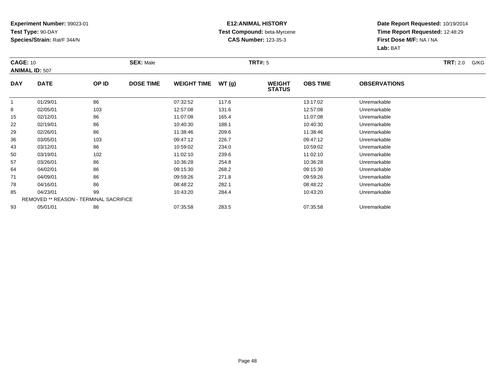### **E12:ANIMAL HISTORY Test Compound:** beta-Myrcene**CAS Number:** 123-35-3

| <b>CAGE: 10</b> |                                               |       | <b>SEX: Male</b> |                    |       | TRT#: 5                        |                 |                     | TRT: 2.0<br>G/KG |
|-----------------|-----------------------------------------------|-------|------------------|--------------------|-------|--------------------------------|-----------------|---------------------|------------------|
|                 | <b>ANIMAL ID: 507</b>                         |       |                  |                    |       |                                |                 |                     |                  |
| <b>DAY</b>      | <b>DATE</b>                                   | OP ID | <b>DOSE TIME</b> | <b>WEIGHT TIME</b> | WT(g) | <b>WEIGHT</b><br><b>STATUS</b> | <b>OBS TIME</b> | <b>OBSERVATIONS</b> |                  |
|                 | 01/29/01                                      | 86    |                  | 07:32:52           | 117.6 |                                | 13:17:02        | Unremarkable        |                  |
| 8               | 02/05/01                                      | 103   |                  | 12:57:08           | 131.6 |                                | 12:57:08        | Unremarkable        |                  |
| 15              | 02/12/01                                      | 86    |                  | 11:07:08           | 165.4 |                                | 11:07:08        | Unremarkable        |                  |
| 22              | 02/19/01                                      | 86    |                  | 10:40:30           | 188.1 |                                | 10:40:30        | Unremarkable        |                  |
| 29              | 02/26/01                                      | 86    |                  | 11:38:46           | 209.6 |                                | 11:38:46        | Unremarkable        |                  |
| 36              | 03/05/01                                      | 103   |                  | 09:47:12           | 226.7 |                                | 09:47:12        | Unremarkable        |                  |
| 43              | 03/12/01                                      | 86    |                  | 10:59:02           | 234.0 |                                | 10:59:02        | Unremarkable        |                  |
| 50              | 03/19/01                                      | 102   |                  | 11:02:10           | 239.6 |                                | 11:02:10        | Unremarkable        |                  |
| 57              | 03/26/01                                      | 86    |                  | 10:36:28           | 254.8 |                                | 10:36:28        | Unremarkable        |                  |
| 64              | 04/02/01                                      | 86    |                  | 09:15:30           | 268.2 |                                | 09:15:30        | Unremarkable        |                  |
| 71              | 04/09/01                                      | 86    |                  | 09:59:26           | 271.8 |                                | 09:59:26        | Unremarkable        |                  |
| 78              | 04/16/01                                      | 86    |                  | 08:48:22           | 282.1 |                                | 08:48:22        | Unremarkable        |                  |
| 85              | 04/23/01                                      | 99    |                  | 10:43:20           | 284.4 |                                | 10:43:20        | Unremarkable        |                  |
|                 | <b>REMOVED ** REASON - TERMINAL SACRIFICE</b> |       |                  |                    |       |                                |                 |                     |                  |
| 93              | 05/01/01                                      | 86    |                  | 07:35:58           | 283.5 |                                | 07:35:58        | Unremarkable        |                  |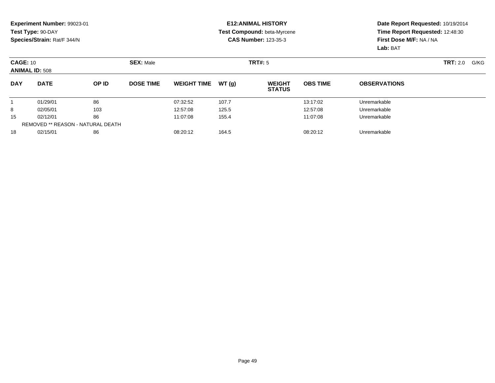#### **E12:ANIMAL HISTORY Test Compound:** beta-Myrcene**CAS Number:** 123-35-3

| <b>CAGE: 10</b><br><b>ANIMAL ID: 508</b> |                                          | <b>SEX: Male</b> |                  |                    | TRT#: 5 |                                |                 |                     |  |
|------------------------------------------|------------------------------------------|------------------|------------------|--------------------|---------|--------------------------------|-----------------|---------------------|--|
| <b>DAY</b>                               | <b>DATE</b>                              | OP ID            | <b>DOSE TIME</b> | <b>WEIGHT TIME</b> | WT(q)   | <b>WEIGHT</b><br><b>STATUS</b> | <b>OBS TIME</b> | <b>OBSERVATIONS</b> |  |
|                                          | 01/29/01                                 | 86               |                  | 07:32:52           | 107.7   |                                | 13:17:02        | Unremarkable        |  |
| 8                                        | 02/05/01                                 | 103              |                  | 12:57:08           | 125.5   |                                | 12:57:08        | Unremarkable        |  |
| 15                                       | 02/12/01                                 | 86               |                  | 11:07:08           | 155.4   |                                | 11:07:08        | Unremarkable        |  |
|                                          | <b>REMOVED ** REASON - NATURAL DEATH</b> |                  |                  |                    |         |                                |                 |                     |  |
| 18                                       | 02/15/01                                 | 86               |                  | 08:20:12           | 164.5   |                                | 08:20:12        | Unremarkable        |  |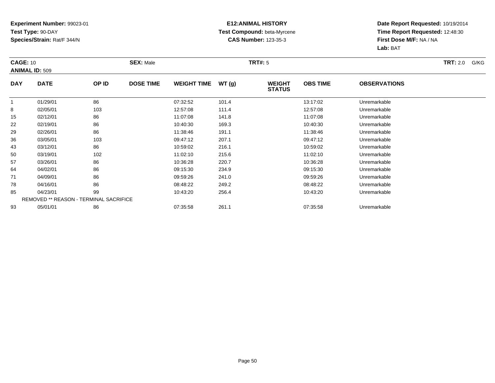### **E12:ANIMAL HISTORY Test Compound:** beta-Myrcene**CAS Number:** 123-35-3

| <b>CAGE: 10</b> | <b>ANIMAL ID: 509</b>                         |       | <b>SEX: Male</b> |                    |       | <b>TRT#:</b> 5                 |                 |                     | <b>TRT:</b> 2.0<br>G/KG |
|-----------------|-----------------------------------------------|-------|------------------|--------------------|-------|--------------------------------|-----------------|---------------------|-------------------------|
| <b>DAY</b>      | <b>DATE</b>                                   | OP ID | <b>DOSE TIME</b> | <b>WEIGHT TIME</b> | WT(g) | <b>WEIGHT</b><br><b>STATUS</b> | <b>OBS TIME</b> | <b>OBSERVATIONS</b> |                         |
|                 | 01/29/01                                      | 86    |                  | 07:32:52           | 101.4 |                                | 13:17:02        | Unremarkable        |                         |
| 8               | 02/05/01                                      | 103   |                  | 12:57:08           | 111.4 |                                | 12:57:08        | Unremarkable        |                         |
| 15              | 02/12/01                                      | 86    |                  | 11:07:08           | 141.8 |                                | 11:07:08        | Unremarkable        |                         |
| 22              | 02/19/01                                      | 86    |                  | 10:40:30           | 169.3 |                                | 10:40:30        | Unremarkable        |                         |
| 29              | 02/26/01                                      | 86    |                  | 11:38:46           | 191.1 |                                | 11:38:46        | Unremarkable        |                         |
| 36              | 03/05/01                                      | 103   |                  | 09:47:12           | 207.1 |                                | 09:47:12        | Unremarkable        |                         |
| 43              | 03/12/01                                      | 86    |                  | 10:59:02           | 216.1 |                                | 10:59:02        | Unremarkable        |                         |
| 50              | 03/19/01                                      | 102   |                  | 11:02:10           | 215.6 |                                | 11:02:10        | Unremarkable        |                         |
| 57              | 03/26/01                                      | 86    |                  | 10:36:28           | 220.7 |                                | 10:36:28        | Unremarkable        |                         |
| 64              | 04/02/01                                      | 86    |                  | 09:15:30           | 234.9 |                                | 09:15:30        | Unremarkable        |                         |
| 71              | 04/09/01                                      | 86    |                  | 09:59:26           | 241.0 |                                | 09:59:26        | Unremarkable        |                         |
| 78              | 04/16/01                                      | 86    |                  | 08:48:22           | 249.2 |                                | 08:48:22        | Unremarkable        |                         |
| 85              | 04/23/01                                      | 99    |                  | 10:43:20           | 256.4 |                                | 10:43:20        | Unremarkable        |                         |
|                 | <b>REMOVED ** REASON - TERMINAL SACRIFICE</b> |       |                  |                    |       |                                |                 |                     |                         |
| 93              | 05/01/01                                      | 86    |                  | 07:35:58           | 261.1 |                                | 07:35:58        | Unremarkable        |                         |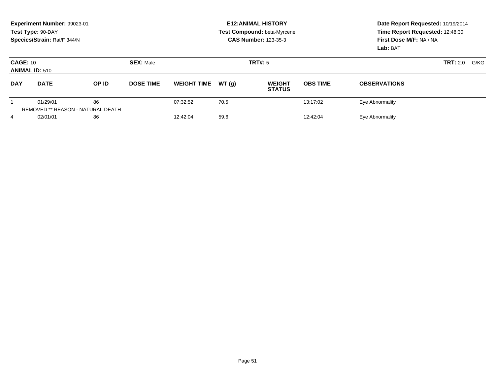|                                          | Experiment Number: 99023-01<br>Test Type: 90-DAY<br>Species/Strain: Rat/F 344/N |                                                |                  |                    |         | <b>E12: ANIMAL HISTORY</b><br>Test Compound: beta-Myrcene<br><b>CAS Number: 123-35-3</b> | Date Report Requested: 10/19/2014<br>Time Report Requested: 12:48:30<br>First Dose M/F: NA / NA<br>Lab: BAT |                     |  |
|------------------------------------------|---------------------------------------------------------------------------------|------------------------------------------------|------------------|--------------------|---------|------------------------------------------------------------------------------------------|-------------------------------------------------------------------------------------------------------------|---------------------|--|
| <b>CAGE: 10</b><br><b>ANIMAL ID: 510</b> |                                                                                 |                                                | <b>SEX: Male</b> |                    | TRT#: 5 |                                                                                          | <b>TRT:</b> 2.0<br>G/KG                                                                                     |                     |  |
| <b>DAY</b>                               | <b>DATE</b>                                                                     | OP ID                                          | <b>DOSE TIME</b> | <b>WEIGHT TIME</b> | WT(q)   | <b>WEIGHT</b><br><b>STATUS</b>                                                           | <b>OBS TIME</b>                                                                                             | <b>OBSERVATIONS</b> |  |
|                                          | 01/29/01                                                                        | 86<br><b>REMOVED ** REASON - NATURAL DEATH</b> |                  | 07:32:52           | 70.5    |                                                                                          | 13:17:02                                                                                                    | Eye Abnormality     |  |
| 4                                        | 02/01/01                                                                        | 86                                             |                  | 12:42:04           | 59.6    |                                                                                          | 12:42:04                                                                                                    | Eye Abnormality     |  |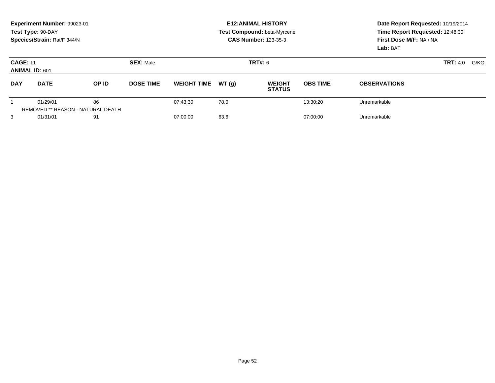|                                          | Experiment Number: 99023-01<br>Test Type: 90-DAY<br>Species/Strain: Rat/F 344/N |       |                  | <b>E12: ANIMAL HISTORY</b><br>Test Compound: beta-Myrcene<br><b>CAS Number: 123-35-3</b> | Date Report Requested: 10/19/2014<br>Time Report Requested: 12:48:30<br>First Dose M/F: NA / NA<br>Lab: BAT |                                |                 |                     |      |
|------------------------------------------|---------------------------------------------------------------------------------|-------|------------------|------------------------------------------------------------------------------------------|-------------------------------------------------------------------------------------------------------------|--------------------------------|-----------------|---------------------|------|
| <b>CAGE: 11</b><br><b>ANIMAL ID: 601</b> |                                                                                 |       | <b>SEX: Male</b> |                                                                                          |                                                                                                             | <b>TRT#: 6</b>                 |                 | <b>TRT:</b> 4.0     | G/KG |
| <b>DAY</b>                               | <b>DATE</b>                                                                     | OP ID | <b>DOSE TIME</b> | <b>WEIGHT TIME</b>                                                                       | WT (q)                                                                                                      | <b>WEIGHT</b><br><b>STATUS</b> | <b>OBS TIME</b> | <b>OBSERVATIONS</b> |      |
|                                          | 01/29/01<br><b>REMOVED ** REASON - NATURAL DEATH</b>                            | 86    |                  | 07:43:30                                                                                 | 78.0                                                                                                        |                                | 13:30:20        | Unremarkable        |      |
| 3                                        | 01/31/01                                                                        | 91    |                  | 07:00:00                                                                                 | 63.6                                                                                                        |                                | 07:00:00        | Unremarkable        |      |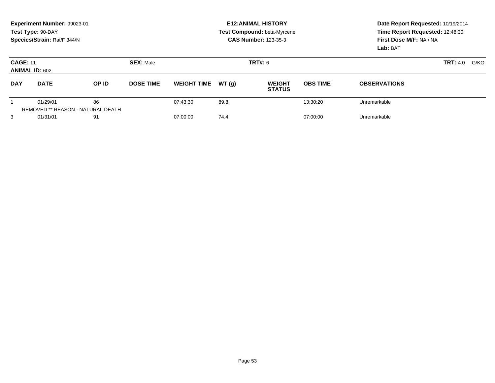|                                          | Experiment Number: 99023-01<br>Test Type: 90-DAY<br>Species/Strain: Rat/F 344/N |       |                                    | <b>E12: ANIMAL HISTORY</b><br>Test Compound: beta-Myrcene<br><b>CAS Number: 123-35-3</b> | Date Report Requested: 10/19/2014<br>Time Report Requested: 12:48:30<br>First Dose M/F: NA / NA<br>Lab: BAT |                                |                 |                     |      |
|------------------------------------------|---------------------------------------------------------------------------------|-------|------------------------------------|------------------------------------------------------------------------------------------|-------------------------------------------------------------------------------------------------------------|--------------------------------|-----------------|---------------------|------|
| <b>CAGE: 11</b><br><b>ANIMAL ID: 602</b> |                                                                                 |       | <b>SEX: Male</b><br><b>TRT#: 6</b> |                                                                                          |                                                                                                             |                                |                 | <b>TRT:</b> 4.0     | G/KG |
| <b>DAY</b>                               | <b>DATE</b>                                                                     | OP ID | <b>DOSE TIME</b>                   | <b>WEIGHT TIME</b>                                                                       | WT (q)                                                                                                      | <b>WEIGHT</b><br><b>STATUS</b> | <b>OBS TIME</b> | <b>OBSERVATIONS</b> |      |
|                                          | 01/29/01<br><b>REMOVED ** REASON - NATURAL DEATH</b>                            | 86    |                                    | 07:43:30                                                                                 | 89.8                                                                                                        |                                | 13:30:20        | Unremarkable        |      |
| 3                                        | 01/31/01                                                                        | 91    |                                    | 07:00:00                                                                                 | 74.4                                                                                                        |                                | 07:00:00        | Unremarkable        |      |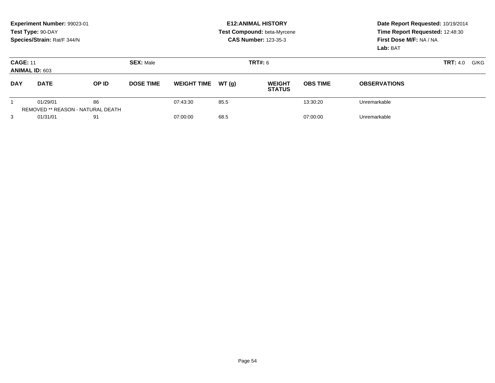|                                          | Experiment Number: 99023-01<br>Test Type: 90-DAY<br>Species/Strain: Rat/F 344/N |                                                |                                    | <b>E12: ANIMAL HISTORY</b><br>Test Compound: beta-Myrcene<br><b>CAS Number: 123-35-3</b> | Date Report Requested: 10/19/2014<br>Time Report Requested: 12:48:30<br>First Dose M/F: NA / NA<br>Lab: BAT |                                |                 |                     |      |
|------------------------------------------|---------------------------------------------------------------------------------|------------------------------------------------|------------------------------------|------------------------------------------------------------------------------------------|-------------------------------------------------------------------------------------------------------------|--------------------------------|-----------------|---------------------|------|
| <b>CAGE: 11</b><br><b>ANIMAL ID: 603</b> |                                                                                 |                                                | <b>SEX: Male</b><br><b>TRT#: 6</b> |                                                                                          |                                                                                                             |                                |                 | <b>TRT:</b> 4.0     | G/KG |
| <b>DAY</b>                               | <b>DATE</b>                                                                     | OP ID                                          | <b>DOSE TIME</b>                   | <b>WEIGHT TIME</b>                                                                       | WT (q)                                                                                                      | <b>WEIGHT</b><br><b>STATUS</b> | <b>OBS TIME</b> | <b>OBSERVATIONS</b> |      |
|                                          | 01/29/01                                                                        | 86<br><b>REMOVED ** REASON - NATURAL DEATH</b> |                                    | 07:43:30                                                                                 | 85.5                                                                                                        |                                | 13:30:20        | Unremarkable        |      |
| 3                                        | 01/31/01                                                                        | 91                                             |                                    | 07:00:00                                                                                 | 68.5                                                                                                        |                                | 07:00:00        | Unremarkable        |      |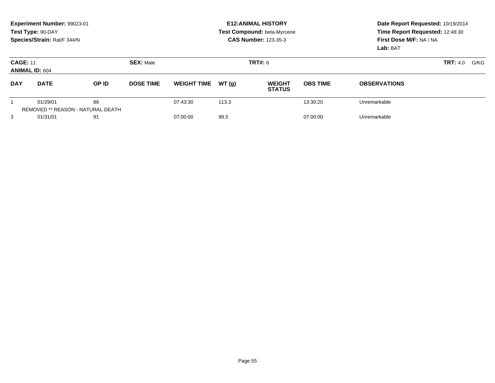|                                          | Experiment Number: 99023-01<br>Test Type: 90-DAY<br>Species/Strain: Rat/F 344/N |                                                |                  | <b>E12: ANIMAL HISTORY</b><br>Test Compound: beta-Myrcene<br><b>CAS Number: 123-35-3</b> | Date Report Requested: 10/19/2014<br>Time Report Requested: 12:48:30<br>First Dose M/F: NA / NA<br>Lab: BAT |                                |                 |                     |                         |
|------------------------------------------|---------------------------------------------------------------------------------|------------------------------------------------|------------------|------------------------------------------------------------------------------------------|-------------------------------------------------------------------------------------------------------------|--------------------------------|-----------------|---------------------|-------------------------|
| <b>CAGE: 11</b><br><b>ANIMAL ID: 604</b> |                                                                                 |                                                | <b>SEX: Male</b> |                                                                                          |                                                                                                             | <b>TRT#: 6</b>                 |                 |                     | <b>TRT:</b> 4.0<br>G/KG |
| <b>DAY</b>                               | <b>DATE</b>                                                                     | OP ID                                          | <b>DOSE TIME</b> | <b>WEIGHT TIME</b>                                                                       | WT(g)                                                                                                       | <b>WEIGHT</b><br><b>STATUS</b> | <b>OBS TIME</b> | <b>OBSERVATIONS</b> |                         |
|                                          | 01/29/01                                                                        | 86<br><b>REMOVED ** REASON - NATURAL DEATH</b> |                  | 07:43:30                                                                                 | 113.3                                                                                                       |                                | 13:30:20        | Unremarkable        |                         |
| 3                                        | 01/31/01                                                                        | 91                                             |                  | 07:00:00                                                                                 | 99.5                                                                                                        |                                | 07:00:00        | Unremarkable        |                         |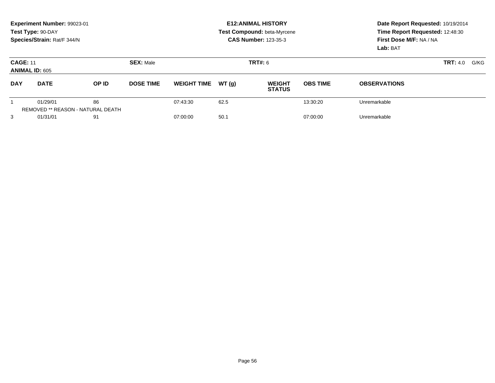|                                          | Experiment Number: 99023-01<br>Test Type: 90-DAY<br>Species/Strain: Rat/F 344/N |                                                |                                    | <b>E12: ANIMAL HISTORY</b><br>Test Compound: beta-Myrcene<br><b>CAS Number: 123-35-3</b> | Date Report Requested: 10/19/2014<br>Time Report Requested: 12:48:30<br>First Dose M/F: NA / NA<br>Lab: BAT |                                |                 |                     |                         |
|------------------------------------------|---------------------------------------------------------------------------------|------------------------------------------------|------------------------------------|------------------------------------------------------------------------------------------|-------------------------------------------------------------------------------------------------------------|--------------------------------|-----------------|---------------------|-------------------------|
| <b>CAGE: 11</b><br><b>ANIMAL ID: 605</b> |                                                                                 |                                                | <b>SEX: Male</b><br><b>TRT#: 6</b> |                                                                                          |                                                                                                             |                                |                 |                     | <b>TRT:</b> 4.0<br>G/KG |
| <b>DAY</b>                               | <b>DATE</b>                                                                     | OP ID                                          | <b>DOSE TIME</b>                   | <b>WEIGHT TIME</b>                                                                       | WT(g)                                                                                                       | <b>WEIGHT</b><br><b>STATUS</b> | <b>OBS TIME</b> | <b>OBSERVATIONS</b> |                         |
|                                          | 01/29/01                                                                        | 86<br><b>REMOVED ** REASON - NATURAL DEATH</b> |                                    | 07:43:30                                                                                 | 62.5                                                                                                        |                                | 13:30:20        | Unremarkable        |                         |
| 3                                        | 01/31/01                                                                        | 91                                             |                                    | 07:00:00                                                                                 | 50.1                                                                                                        |                                | 07:00:00        | Unremarkable        |                         |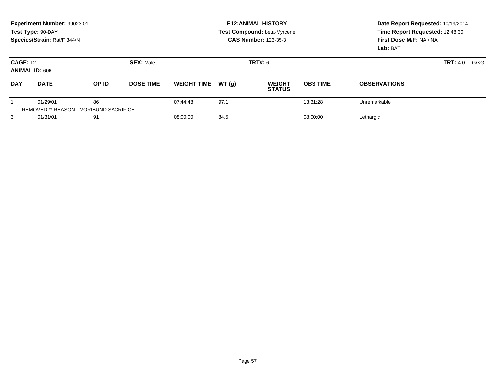|                                          | Experiment Number: 99023-01<br>Test Type: 90-DAY<br>Species/Strain: Rat/F 344/N |                                                     |                  | <b>E12: ANIMAL HISTORY</b><br>Test Compound: beta-Myrcene<br><b>CAS Number: 123-35-3</b> | Date Report Requested: 10/19/2014<br>Time Report Requested: 12:48:30<br>First Dose M/F: NA / NA<br>Lab: BAT |                                |                 |                     |  |
|------------------------------------------|---------------------------------------------------------------------------------|-----------------------------------------------------|------------------|------------------------------------------------------------------------------------------|-------------------------------------------------------------------------------------------------------------|--------------------------------|-----------------|---------------------|--|
| <b>CAGE: 12</b><br><b>ANIMAL ID: 606</b> |                                                                                 |                                                     | <b>SEX: Male</b> |                                                                                          | TRT#: 6                                                                                                     |                                | <b>TRT:</b> 4.0 |                     |  |
| <b>DAY</b>                               | <b>DATE</b>                                                                     | OP ID                                               | <b>DOSE TIME</b> | <b>WEIGHT TIME</b>                                                                       | WT(q)                                                                                                       | <b>WEIGHT</b><br><b>STATUS</b> | <b>OBS TIME</b> | <b>OBSERVATIONS</b> |  |
|                                          | 01/29/01                                                                        | 86<br><b>REMOVED ** REASON - MORIBUND SACRIFICE</b> |                  | 07:44:48                                                                                 | 97.1                                                                                                        |                                | 13:31:28        | Unremarkable        |  |
| 3                                        | 01/31/01                                                                        | 91                                                  |                  | 08:00:00                                                                                 | 84.5                                                                                                        |                                | 08:00:00        | Lethargic           |  |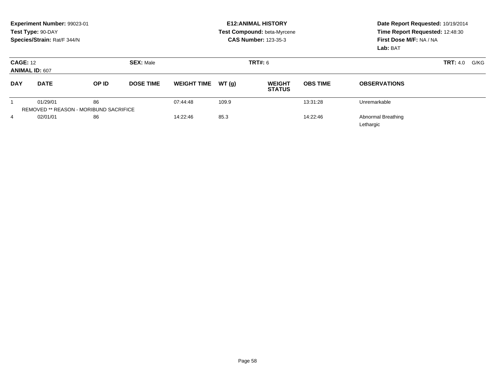|                                          | Experiment Number: 99023-01<br>Test Type: 90-DAY<br>Species/Strain: Rat/F 344/N |       |                  |                    |       | <b>E12: ANIMAL HISTORY</b><br>Test Compound: beta-Myrcene<br><b>CAS Number: 123-35-3</b> | Date Report Requested: 10/19/2014<br>Time Report Requested: 12:48:30<br>First Dose M/F: NA / NA<br>Lab: BAT |                     |                         |
|------------------------------------------|---------------------------------------------------------------------------------|-------|------------------|--------------------|-------|------------------------------------------------------------------------------------------|-------------------------------------------------------------------------------------------------------------|---------------------|-------------------------|
| <b>CAGE: 12</b><br><b>ANIMAL ID: 607</b> |                                                                                 |       | <b>SEX: Male</b> |                    |       | <b>TRT#: 6</b>                                                                           |                                                                                                             |                     | <b>TRT:</b> 4.0<br>G/KG |
| <b>DAY</b>                               | <b>DATE</b>                                                                     | OP ID | <b>DOSE TIME</b> | <b>WEIGHT TIME</b> | WT(q) | <b>WEIGHT</b><br><b>STATUS</b>                                                           | <b>OBS TIME</b>                                                                                             | <b>OBSERVATIONS</b> |                         |
|                                          | 01/29/01                                                                        | 86    |                  | 07:44:48           | 109.9 |                                                                                          | 13:31:28                                                                                                    | Unremarkable        |                         |
|                                          | <b>REMOVED ** REASON - MORIBUND SACRIFICE</b>                                   |       |                  |                    |       |                                                                                          |                                                                                                             |                     |                         |
| $\overline{4}$                           | 86<br>02/01/01                                                                  |       | 14:22:46         | 85.3               |       | 14:22:46                                                                                 | Abnormal Breathing<br>Lethargic                                                                             |                     |                         |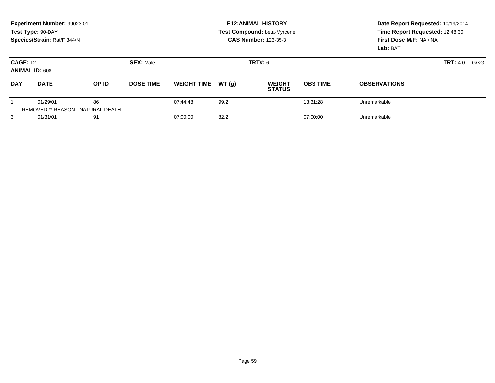|                                          | Experiment Number: 99023-01<br>Test Type: 90-DAY<br>Species/Strain: Rat/F 344/N |                                                |                                    | <b>E12: ANIMAL HISTORY</b><br>Test Compound: beta-Myrcene<br><b>CAS Number: 123-35-3</b> | Date Report Requested: 10/19/2014<br>Time Report Requested: 12:48:30<br>First Dose M/F: NA / NA<br>Lab: BAT |                                |                 |                     |      |
|------------------------------------------|---------------------------------------------------------------------------------|------------------------------------------------|------------------------------------|------------------------------------------------------------------------------------------|-------------------------------------------------------------------------------------------------------------|--------------------------------|-----------------|---------------------|------|
| <b>CAGE: 12</b><br><b>ANIMAL ID: 608</b> |                                                                                 |                                                | <b>SEX: Male</b><br><b>TRT#: 6</b> |                                                                                          |                                                                                                             |                                |                 | <b>TRT:</b> 4.0     | G/KG |
| <b>DAY</b>                               | <b>DATE</b>                                                                     | OP ID                                          | <b>DOSE TIME</b>                   | <b>WEIGHT TIME</b>                                                                       | WT (q)                                                                                                      | <b>WEIGHT</b><br><b>STATUS</b> | <b>OBS TIME</b> | <b>OBSERVATIONS</b> |      |
|                                          | 01/29/01                                                                        | 86<br><b>REMOVED ** REASON - NATURAL DEATH</b> |                                    | 07:44:48                                                                                 | 99.2                                                                                                        |                                | 13:31:28        | Unremarkable        |      |
| 3                                        | 01/31/01                                                                        | 91                                             |                                    | 07:00:00                                                                                 | 82.2                                                                                                        |                                | 07:00:00        | Unremarkable        |      |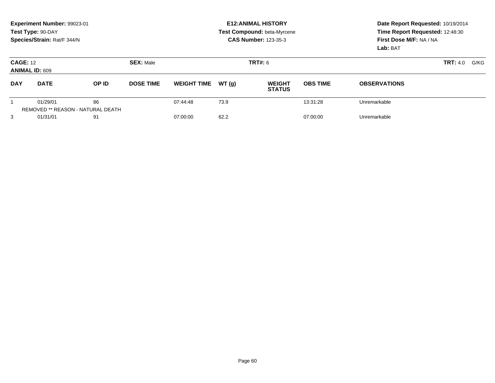|                                          | Experiment Number: 99023-01<br>Test Type: 90-DAY<br>Species/Strain: Rat/F 344/N |       |                                    | <b>E12: ANIMAL HISTORY</b><br>Test Compound: beta-Myrcene<br><b>CAS Number: 123-35-3</b> | Date Report Requested: 10/19/2014<br>Time Report Requested: 12:48:30<br>First Dose M/F: NA / NA<br>Lab: BAT |                                |                 |                     |      |
|------------------------------------------|---------------------------------------------------------------------------------|-------|------------------------------------|------------------------------------------------------------------------------------------|-------------------------------------------------------------------------------------------------------------|--------------------------------|-----------------|---------------------|------|
| <b>CAGE: 12</b><br><b>ANIMAL ID: 609</b> |                                                                                 |       | <b>SEX: Male</b><br><b>TRT#: 6</b> |                                                                                          |                                                                                                             |                                |                 | <b>TRT:</b> 4.0     | G/KG |
| <b>DAY</b>                               | <b>DATE</b>                                                                     | OP ID | <b>DOSE TIME</b>                   | <b>WEIGHT TIME</b>                                                                       | WT (q)                                                                                                      | <b>WEIGHT</b><br><b>STATUS</b> | <b>OBS TIME</b> | <b>OBSERVATIONS</b> |      |
|                                          | 01/29/01<br><b>REMOVED ** REASON - NATURAL DEATH</b>                            | 86    |                                    | 07:44:48                                                                                 | 73.9                                                                                                        |                                | 13:31:28        | Unremarkable        |      |
| 3                                        | 01/31/01                                                                        | 91    |                                    | 07:00:00                                                                                 | 62.2                                                                                                        |                                | 07:00:00        | Unremarkable        |      |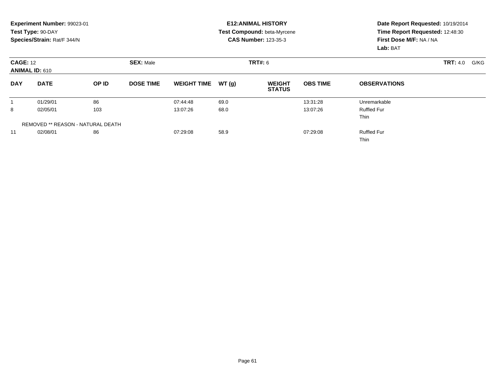|            | Experiment Number: 99023-01<br>Test Type: 90-DAY<br>Species/Strain: Rat/F 344/N |       |                  |                    |       | <b>E12: ANIMAL HISTORY</b><br>Test Compound: beta-Myrcene<br><b>CAS Number: 123-35-3</b> | Date Report Requested: 10/19/2014<br>Time Report Requested: 12:48:30<br>First Dose M/F: NA / NA<br>Lab: BAT |                                   |                 |      |
|------------|---------------------------------------------------------------------------------|-------|------------------|--------------------|-------|------------------------------------------------------------------------------------------|-------------------------------------------------------------------------------------------------------------|-----------------------------------|-----------------|------|
|            | <b>SEX: Male</b><br><b>CAGE: 12</b><br><b>ANIMAL ID: 610</b>                    |       |                  | <b>TRT#: 6</b>     |       |                                                                                          |                                                                                                             |                                   | <b>TRT: 4.0</b> | G/KG |
| <b>DAY</b> | <b>DATE</b>                                                                     | OP ID | <b>DOSE TIME</b> | <b>WEIGHT TIME</b> | WT(g) | <b>WEIGHT</b><br><b>STATUS</b>                                                           | <b>OBS TIME</b>                                                                                             | <b>OBSERVATIONS</b>               |                 |      |
|            | 01/29/01                                                                        | 86    |                  | 07:44:48           | 69.0  |                                                                                          | 13:31:28                                                                                                    | Unremarkable                      |                 |      |
| 8          | 02/05/01                                                                        | 103   |                  | 13:07:26           | 68.0  |                                                                                          | 13:07:26                                                                                                    | <b>Ruffled Fur</b><br><b>Thin</b> |                 |      |
|            | <b>REMOVED ** REASON - NATURAL DEATH</b>                                        |       |                  |                    |       |                                                                                          |                                                                                                             |                                   |                 |      |
| 11         | 02/08/01                                                                        | 86    |                  | 07:29:08           | 58.9  |                                                                                          | 07:29:08                                                                                                    | <b>Ruffled Fur</b><br>Thin        |                 |      |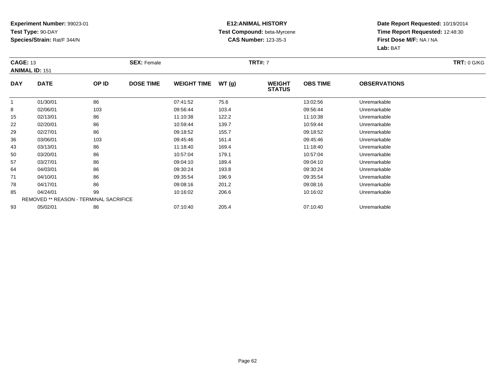### **E12:ANIMAL HISTORY Test Compound:** beta-Myrcene**CAS Number:** 123-35-3

| <b>CAGE: 13</b> | <b>ANIMAL ID: 151</b>                         |       | <b>SEX: Female</b> |                    |       | <b>TRT#: 7</b>                 |                 |                     | <b>TRT: 0 G/KG</b> |
|-----------------|-----------------------------------------------|-------|--------------------|--------------------|-------|--------------------------------|-----------------|---------------------|--------------------|
| <b>DAY</b>      | <b>DATE</b>                                   | OP ID | <b>DOSE TIME</b>   | <b>WEIGHT TIME</b> | WT(g) | <b>WEIGHT</b><br><b>STATUS</b> | <b>OBS TIME</b> | <b>OBSERVATIONS</b> |                    |
|                 | 01/30/01                                      | 86    |                    | 07:41:52           | 75.6  |                                | 13:02:56        | Unremarkable        |                    |
| 8               | 02/06/01                                      | 103   |                    | 09:56:44           | 103.4 |                                | 09:56:44        | Unremarkable        |                    |
| 15              | 02/13/01                                      | 86    |                    | 11:10:38           | 122.2 |                                | 11:10:38        | Unremarkable        |                    |
| 22              | 02/20/01                                      | 86    |                    | 10:59:44           | 139.7 |                                | 10:59:44        | Unremarkable        |                    |
| 29              | 02/27/01                                      | 86    |                    | 09:18:52           | 155.7 |                                | 09:18:52        | Unremarkable        |                    |
| 36              | 03/06/01                                      | 103   |                    | 09:45:46           | 161.4 |                                | 09:45:46        | Unremarkable        |                    |
| 43              | 03/13/01                                      | 86    |                    | 11:18:40           | 169.4 |                                | 11:18:40        | Unremarkable        |                    |
| 50              | 03/20/01                                      | 86    |                    | 10:57:04           | 179.1 |                                | 10:57:04        | Unremarkable        |                    |
| 57              | 03/27/01                                      | 86    |                    | 09:04:10           | 189.4 |                                | 09:04:10        | Unremarkable        |                    |
| 64              | 04/03/01                                      | 86    |                    | 09:30:24           | 193.8 |                                | 09:30:24        | Unremarkable        |                    |
| 71              | 04/10/01                                      | 86    |                    | 09:35:54           | 196.9 |                                | 09:35:54        | Unremarkable        |                    |
| 78              | 04/17/01                                      | 86    |                    | 09:08:16           | 201.2 |                                | 09:08:16        | Unremarkable        |                    |
| 85              | 04/24/01                                      | 99    |                    | 10:16:02           | 206.6 |                                | 10:16:02        | Unremarkable        |                    |
|                 | <b>REMOVED ** REASON - TERMINAL SACRIFICE</b> |       |                    |                    |       |                                |                 |                     |                    |
| 93              | 05/02/01                                      | 86    |                    | 07:10:40           | 205.4 |                                | 07:10:40        | Unremarkable        |                    |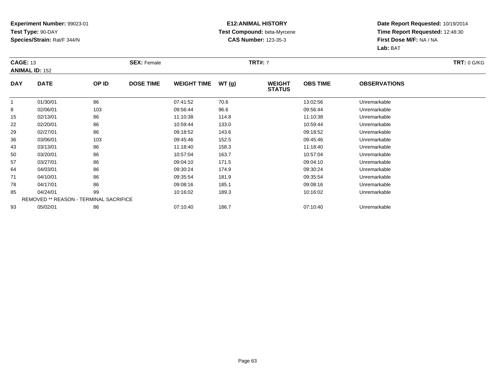### **E12:ANIMAL HISTORY Test Compound:** beta-Myrcene**CAS Number:** 123-35-3

| <b>CAGE: 13</b> |                                               |       | <b>SEX: Female</b> |                    |       | <b>TRT#: 7</b>                 |                 |                     | <b>TRT: 0 G/KG</b> |
|-----------------|-----------------------------------------------|-------|--------------------|--------------------|-------|--------------------------------|-----------------|---------------------|--------------------|
|                 | <b>ANIMAL ID: 152</b>                         |       |                    |                    |       |                                |                 |                     |                    |
| <b>DAY</b>      | <b>DATE</b>                                   | OP ID | <b>DOSE TIME</b>   | <b>WEIGHT TIME</b> | WT(g) | <b>WEIGHT</b><br><b>STATUS</b> | <b>OBS TIME</b> | <b>OBSERVATIONS</b> |                    |
|                 | 01/30/01                                      | 86    |                    | 07:41:52           | 70.6  |                                | 13:02:56        | Unremarkable        |                    |
| 8               | 02/06/01                                      | 103   |                    | 09:56:44           | 96.6  |                                | 09:56:44        | Unremarkable        |                    |
| 15              | 02/13/01                                      | 86    |                    | 11:10:38           | 114.8 |                                | 11:10:38        | Unremarkable        |                    |
| 22              | 02/20/01                                      | 86    |                    | 10:59:44           | 133.0 |                                | 10:59:44        | Unremarkable        |                    |
| 29              | 02/27/01                                      | 86    |                    | 09:18:52           | 143.6 |                                | 09:18:52        | Unremarkable        |                    |
| 36              | 03/06/01                                      | 103   |                    | 09:45:46           | 152.5 |                                | 09:45:46        | Unremarkable        |                    |
| 43              | 03/13/01                                      | 86    |                    | 11:18:40           | 158.3 |                                | 11:18:40        | Unremarkable        |                    |
| 50              | 03/20/01                                      | 86    |                    | 10:57:04           | 163.7 |                                | 10:57:04        | Unremarkable        |                    |
| 57              | 03/27/01                                      | 86    |                    | 09:04:10           | 171.5 |                                | 09:04:10        | Unremarkable        |                    |
| 64              | 04/03/01                                      | 86    |                    | 09:30:24           | 174.9 |                                | 09:30:24        | Unremarkable        |                    |
| 71              | 04/10/01                                      | 86    |                    | 09:35:54           | 181.9 |                                | 09:35:54        | Unremarkable        |                    |
| 78              | 04/17/01                                      | 86    |                    | 09:08:16           | 185.1 |                                | 09:08:16        | Unremarkable        |                    |
| 85              | 04/24/01                                      | 99    |                    | 10:16:02           | 189.3 |                                | 10:16:02        | Unremarkable        |                    |
|                 | <b>REMOVED ** REASON - TERMINAL SACRIFICE</b> |       |                    |                    |       |                                |                 |                     |                    |
| 93              | 05/02/01                                      | 86    |                    | 07:10:40           | 186.7 |                                | 07:10:40        | Unremarkable        |                    |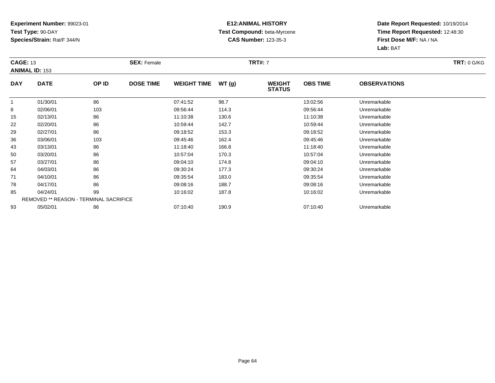### **E12:ANIMAL HISTORY Test Compound:** beta-Myrcene**CAS Number:** 123-35-3

| <b>CAGE: 13</b> | <b>ANIMAL ID: 153</b>                         |       | <b>SEX: Female</b> |                    |       | <b>TRT#: 7</b>                 |                 |                     | <b>TRT: 0 G/KG</b> |
|-----------------|-----------------------------------------------|-------|--------------------|--------------------|-------|--------------------------------|-----------------|---------------------|--------------------|
| <b>DAY</b>      | <b>DATE</b>                                   | OP ID | <b>DOSE TIME</b>   | <b>WEIGHT TIME</b> | WT(g) | <b>WEIGHT</b><br><b>STATUS</b> | <b>OBS TIME</b> | <b>OBSERVATIONS</b> |                    |
|                 | 01/30/01                                      | 86    |                    | 07:41:52           | 98.7  |                                | 13:02:56        | Unremarkable        |                    |
| 8               | 02/06/01                                      | 103   |                    | 09:56:44           | 114.3 |                                | 09:56:44        | Unremarkable        |                    |
| 15              | 02/13/01                                      | 86    |                    | 11:10:38           | 130.6 |                                | 11:10:38        | Unremarkable        |                    |
| 22              | 02/20/01                                      | 86    |                    | 10:59:44           | 142.7 |                                | 10:59:44        | Unremarkable        |                    |
| 29              | 02/27/01                                      | 86    |                    | 09:18:52           | 153.3 |                                | 09:18:52        | Unremarkable        |                    |
| 36              | 03/06/01                                      | 103   |                    | 09:45:46           | 162.4 |                                | 09:45:46        | Unremarkable        |                    |
| 43              | 03/13/01                                      | 86    |                    | 11:18:40           | 166.8 |                                | 11:18:40        | Unremarkable        |                    |
| 50              | 03/20/01                                      | 86    |                    | 10:57:04           | 170.3 |                                | 10:57:04        | Unremarkable        |                    |
| 57              | 03/27/01                                      | 86    |                    | 09:04:10           | 174.8 |                                | 09:04:10        | Unremarkable        |                    |
| 64              | 04/03/01                                      | 86    |                    | 09:30:24           | 177.3 |                                | 09:30:24        | Unremarkable        |                    |
| 71              | 04/10/01                                      | 86    |                    | 09:35:54           | 183.0 |                                | 09:35:54        | Unremarkable        |                    |
| 78              | 04/17/01                                      | 86    |                    | 09:08:16           | 188.7 |                                | 09:08:16        | Unremarkable        |                    |
| 85              | 04/24/01                                      | 99    |                    | 10:16:02           | 187.8 |                                | 10:16:02        | Unremarkable        |                    |
|                 | <b>REMOVED ** REASON - TERMINAL SACRIFICE</b> |       |                    |                    |       |                                |                 |                     |                    |
| 93              | 05/02/01                                      | 86    |                    | 07:10:40           | 190.9 |                                | 07:10:40        | Unremarkable        |                    |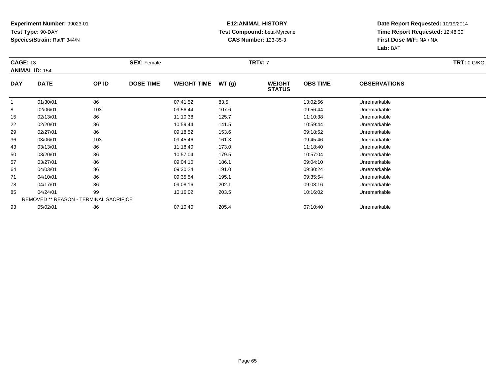### **E12:ANIMAL HISTORY Test Compound:** beta-Myrcene**CAS Number:** 123-35-3

| <b>CAGE: 13</b> | <b>ANIMAL ID: 154</b>                         |       | <b>SEX: Female</b> |                    |       | <b>TRT#: 7</b>                 |                 |                     | <b>TRT: 0 G/KG</b> |
|-----------------|-----------------------------------------------|-------|--------------------|--------------------|-------|--------------------------------|-----------------|---------------------|--------------------|
| <b>DAY</b>      | <b>DATE</b>                                   | OP ID | <b>DOSE TIME</b>   | <b>WEIGHT TIME</b> | WT(g) | <b>WEIGHT</b><br><b>STATUS</b> | <b>OBS TIME</b> | <b>OBSERVATIONS</b> |                    |
|                 | 01/30/01                                      | 86    |                    | 07:41:52           | 83.5  |                                | 13:02:56        | Unremarkable        |                    |
| 8               | 02/06/01                                      | 103   |                    | 09:56:44           | 107.6 |                                | 09:56:44        | Unremarkable        |                    |
| 15              | 02/13/01                                      | 86    |                    | 11:10:38           | 125.7 |                                | 11:10:38        | Unremarkable        |                    |
| 22              | 02/20/01                                      | 86    |                    | 10:59:44           | 141.5 |                                | 10:59:44        | Unremarkable        |                    |
| 29              | 02/27/01                                      | 86    |                    | 09:18:52           | 153.6 |                                | 09:18:52        | Unremarkable        |                    |
| 36              | 03/06/01                                      | 103   |                    | 09:45:46           | 161.3 |                                | 09:45:46        | Unremarkable        |                    |
| 43              | 03/13/01                                      | 86    |                    | 11:18:40           | 173.0 |                                | 11:18:40        | Unremarkable        |                    |
| 50              | 03/20/01                                      | 86    |                    | 10:57:04           | 179.5 |                                | 10:57:04        | Unremarkable        |                    |
| 57              | 03/27/01                                      | 86    |                    | 09:04:10           | 186.1 |                                | 09:04:10        | Unremarkable        |                    |
| 64              | 04/03/01                                      | 86    |                    | 09:30:24           | 191.0 |                                | 09:30:24        | Unremarkable        |                    |
| 71              | 04/10/01                                      | 86    |                    | 09:35:54           | 195.1 |                                | 09:35:54        | Unremarkable        |                    |
| 78              | 04/17/01                                      | 86    |                    | 09:08:16           | 202.1 |                                | 09:08:16        | Unremarkable        |                    |
| 85              | 04/24/01                                      | 99    |                    | 10:16:02           | 203.5 |                                | 10:16:02        | Unremarkable        |                    |
|                 | <b>REMOVED ** REASON - TERMINAL SACRIFICE</b> |       |                    |                    |       |                                |                 |                     |                    |
| 93              | 05/02/01                                      | 86    |                    | 07:10:40           | 205.4 |                                | 07:10:40        | Unremarkable        |                    |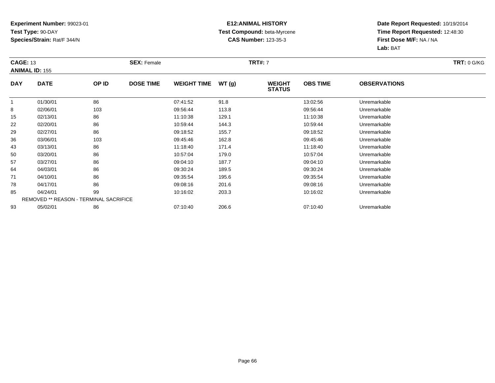### **E12:ANIMAL HISTORY Test Compound:** beta-Myrcene**CAS Number:** 123-35-3

| <b>CAGE: 13</b> | <b>ANIMAL ID: 155</b>                         |       | <b>SEX: Female</b> |                    |       | <b>TRT#: 7</b>                 |                 |                     | <b>TRT: 0 G/KG</b> |
|-----------------|-----------------------------------------------|-------|--------------------|--------------------|-------|--------------------------------|-----------------|---------------------|--------------------|
| <b>DAY</b>      | <b>DATE</b>                                   | OP ID | <b>DOSE TIME</b>   | <b>WEIGHT TIME</b> | WT(g) | <b>WEIGHT</b><br><b>STATUS</b> | <b>OBS TIME</b> | <b>OBSERVATIONS</b> |                    |
|                 | 01/30/01                                      | 86    |                    | 07:41:52           | 91.8  |                                | 13:02:56        | Unremarkable        |                    |
| 8               | 02/06/01                                      | 103   |                    | 09:56:44           | 113.8 |                                | 09:56:44        | Unremarkable        |                    |
| 15              | 02/13/01                                      | 86    |                    | 11:10:38           | 129.1 |                                | 11:10:38        | Unremarkable        |                    |
| 22              | 02/20/01                                      | 86    |                    | 10:59:44           | 144.3 |                                | 10:59:44        | Unremarkable        |                    |
| 29              | 02/27/01                                      | 86    |                    | 09:18:52           | 155.7 |                                | 09:18:52        | Unremarkable        |                    |
| 36              | 03/06/01                                      | 103   |                    | 09:45:46           | 162.8 |                                | 09:45:46        | Unremarkable        |                    |
| 43              | 03/13/01                                      | 86    |                    | 11:18:40           | 171.4 |                                | 11:18:40        | Unremarkable        |                    |
| 50              | 03/20/01                                      | 86    |                    | 10:57:04           | 179.0 |                                | 10:57:04        | Unremarkable        |                    |
| 57              | 03/27/01                                      | 86    |                    | 09:04:10           | 187.7 |                                | 09:04:10        | Unremarkable        |                    |
| 64              | 04/03/01                                      | 86    |                    | 09:30:24           | 189.5 |                                | 09:30:24        | Unremarkable        |                    |
| 71              | 04/10/01                                      | 86    |                    | 09:35:54           | 195.6 |                                | 09:35:54        | Unremarkable        |                    |
| 78              | 04/17/01                                      | 86    |                    | 09:08:16           | 201.6 |                                | 09:08:16        | Unremarkable        |                    |
| 85              | 04/24/01                                      | 99    |                    | 10:16:02           | 203.3 |                                | 10:16:02        | Unremarkable        |                    |
|                 | <b>REMOVED ** REASON - TERMINAL SACRIFICE</b> |       |                    |                    |       |                                |                 |                     |                    |
| 93              | 05/02/01                                      | 86    |                    | 07:10:40           | 206.6 |                                | 07:10:40        | Unremarkable        |                    |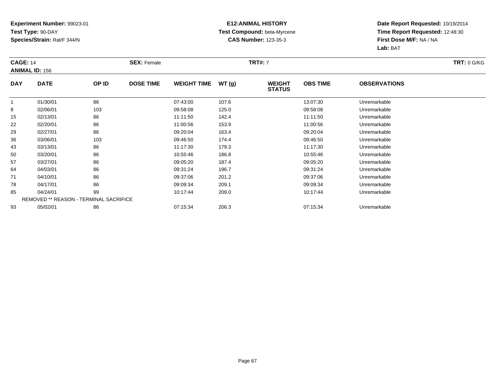### **E12:ANIMAL HISTORY Test Compound:** beta-Myrcene**CAS Number:** 123-35-3

| <b>CAGE: 14</b> |                                               |       | <b>SEX: Female</b> |                    |       | <b>TRT#: 7</b>                 |                 |                     | <b>TRT: 0 G/KG</b> |
|-----------------|-----------------------------------------------|-------|--------------------|--------------------|-------|--------------------------------|-----------------|---------------------|--------------------|
|                 | <b>ANIMAL ID: 156</b>                         |       |                    |                    |       |                                |                 |                     |                    |
| <b>DAY</b>      | <b>DATE</b>                                   | OP ID | <b>DOSE TIME</b>   | <b>WEIGHT TIME</b> | WT(g) | <b>WEIGHT</b><br><b>STATUS</b> | <b>OBS TIME</b> | <b>OBSERVATIONS</b> |                    |
|                 | 01/30/01                                      | 86    |                    | 07:43:00           | 107.6 |                                | 13:07:30        | Unremarkable        |                    |
| 8               | 02/06/01                                      | 103   |                    | 09:58:08           | 125.0 |                                | 09:58:08        | Unremarkable        |                    |
| 15              | 02/13/01                                      | 86    |                    | 11:11:50           | 142.4 |                                | 11:11:50        | Unremarkable        |                    |
| 22              | 02/20/01                                      | 86    |                    | 11:00:56           | 153.9 |                                | 11:00:56        | Unremarkable        |                    |
| 29              | 02/27/01                                      | 86    |                    | 09:20:04           | 163.4 |                                | 09:20:04        | Unremarkable        |                    |
| 36              | 03/06/01                                      | 103   |                    | 09:46:50           | 174.4 |                                | 09:46:50        | Unremarkable        |                    |
| 43              | 03/13/01                                      | 86    |                    | 11:17:30           | 179.3 |                                | 11:17:30        | Unremarkable        |                    |
| 50              | 03/20/01                                      | 86    |                    | 10:55:46           | 186.8 |                                | 10:55:46        | Unremarkable        |                    |
| 57              | 03/27/01                                      | 86    |                    | 09:05:20           | 187.4 |                                | 09:05:20        | Unremarkable        |                    |
| 64              | 04/03/01                                      | 86    |                    | 09:31:24           | 196.7 |                                | 09:31:24        | Unremarkable        |                    |
| 71              | 04/10/01                                      | 86    |                    | 09:37:06           | 201.2 |                                | 09:37:06        | Unremarkable        |                    |
| 78              | 04/17/01                                      | 86    |                    | 09:09:34           | 209.1 |                                | 09:09:34        | Unremarkable        |                    |
| 85              | 04/24/01                                      | 99    |                    | 10:17:44           | 209.0 |                                | 10:17:44        | Unremarkable        |                    |
|                 | <b>REMOVED ** REASON - TERMINAL SACRIFICE</b> |       |                    |                    |       |                                |                 |                     |                    |
| 93              | 05/02/01                                      | 86    |                    | 07:15:34           | 206.3 |                                | 07:15:34        | Unremarkable        |                    |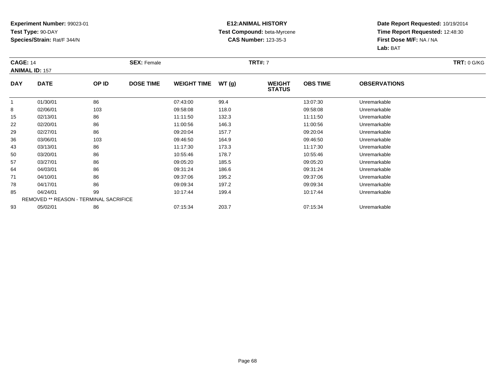### **E12:ANIMAL HISTORY Test Compound:** beta-Myrcene**CAS Number:** 123-35-3

| <b>CAGE: 14</b> |                                               |       | <b>SEX: Female</b> |                    |       | <b>TRT#: 7</b>                 |                 |                     | <b>TRT: 0 G/KG</b> |
|-----------------|-----------------------------------------------|-------|--------------------|--------------------|-------|--------------------------------|-----------------|---------------------|--------------------|
|                 | <b>ANIMAL ID: 157</b>                         |       |                    |                    |       |                                |                 |                     |                    |
| <b>DAY</b>      | <b>DATE</b>                                   | OP ID | <b>DOSE TIME</b>   | <b>WEIGHT TIME</b> | WT(g) | <b>WEIGHT</b><br><b>STATUS</b> | <b>OBS TIME</b> | <b>OBSERVATIONS</b> |                    |
|                 | 01/30/01                                      | 86    |                    | 07:43:00           | 99.4  |                                | 13:07:30        | Unremarkable        |                    |
| 8               | 02/06/01                                      | 103   |                    | 09:58:08           | 118.0 |                                | 09:58:08        | Unremarkable        |                    |
| 15              | 02/13/01                                      | 86    |                    | 11:11:50           | 132.3 |                                | 11:11:50        | Unremarkable        |                    |
| 22              | 02/20/01                                      | 86    |                    | 11:00:56           | 146.3 |                                | 11:00:56        | Unremarkable        |                    |
| 29              | 02/27/01                                      | 86    |                    | 09:20:04           | 157.7 |                                | 09:20:04        | Unremarkable        |                    |
| 36              | 03/06/01                                      | 103   |                    | 09:46:50           | 164.9 |                                | 09:46:50        | Unremarkable        |                    |
| 43              | 03/13/01                                      | 86    |                    | 11:17:30           | 173.3 |                                | 11:17:30        | Unremarkable        |                    |
| 50              | 03/20/01                                      | 86    |                    | 10:55:46           | 178.7 |                                | 10:55:46        | Unremarkable        |                    |
| 57              | 03/27/01                                      | 86    |                    | 09:05:20           | 185.5 |                                | 09:05:20        | Unremarkable        |                    |
| 64              | 04/03/01                                      | 86    |                    | 09:31:24           | 186.6 |                                | 09:31:24        | Unremarkable        |                    |
| 71              | 04/10/01                                      | 86    |                    | 09:37:06           | 195.2 |                                | 09:37:06        | Unremarkable        |                    |
| 78              | 04/17/01                                      | 86    |                    | 09:09:34           | 197.2 |                                | 09:09:34        | Unremarkable        |                    |
| 85              | 04/24/01                                      | 99    |                    | 10:17:44           | 199.4 |                                | 10:17:44        | Unremarkable        |                    |
|                 | <b>REMOVED ** REASON - TERMINAL SACRIFICE</b> |       |                    |                    |       |                                |                 |                     |                    |
| 93              | 05/02/01                                      | 86    |                    | 07:15:34           | 203.7 |                                | 07:15:34        | Unremarkable        |                    |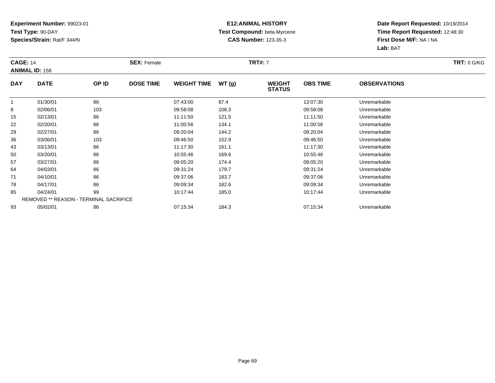### **E12:ANIMAL HISTORY Test Compound:** beta-Myrcene**CAS Number:** 123-35-3

| <b>CAGE: 14</b> |                                               |       | <b>SEX: Female</b> |                    |       | <b>TRT#: 7</b>                 |                 |                     | <b>TRT: 0 G/KG</b> |
|-----------------|-----------------------------------------------|-------|--------------------|--------------------|-------|--------------------------------|-----------------|---------------------|--------------------|
|                 | <b>ANIMAL ID: 158</b>                         |       |                    |                    |       |                                |                 |                     |                    |
| <b>DAY</b>      | <b>DATE</b>                                   | OP ID | <b>DOSE TIME</b>   | <b>WEIGHT TIME</b> | WT(g) | <b>WEIGHT</b><br><b>STATUS</b> | <b>OBS TIME</b> | <b>OBSERVATIONS</b> |                    |
|                 | 01/30/01                                      | 86    |                    | 07:43:00           | 87.4  |                                | 13:07:30        | Unremarkable        |                    |
| 8               | 02/06/01                                      | 103   |                    | 09:58:08           | 106.3 |                                | 09:58:08        | Unremarkable        |                    |
| 15              | 02/13/01                                      | 86    |                    | 11:11:50           | 121.5 |                                | 11:11:50        | Unremarkable        |                    |
| 22              | 02/20/01                                      | 86    |                    | 11:00:56           | 134.1 |                                | 11:00:56        | Unremarkable        |                    |
| 29              | 02/27/01                                      | 86    |                    | 09:20:04           | 144.2 |                                | 09:20:04        | Unremarkable        |                    |
| 36              | 03/06/01                                      | 103   |                    | 09:46:50           | 152.9 |                                | 09:46:50        | Unremarkable        |                    |
| 43              | 03/13/01                                      | 86    |                    | 11:17:30           | 161.1 |                                | 11:17:30        | Unremarkable        |                    |
| 50              | 03/20/01                                      | 86    |                    | 10:55:46           | 169.6 |                                | 10:55:46        | Unremarkable        |                    |
| 57              | 03/27/01                                      | 86    |                    | 09:05:20           | 174.4 |                                | 09:05:20        | Unremarkable        |                    |
| 64              | 04/03/01                                      | 86    |                    | 09:31:24           | 179.7 |                                | 09:31:24        | Unremarkable        |                    |
| 71              | 04/10/01                                      | 86    |                    | 09:37:06           | 183.7 |                                | 09:37:06        | Unremarkable        |                    |
| 78              | 04/17/01                                      | 86    |                    | 09:09:34           | 182.6 |                                | 09:09:34        | Unremarkable        |                    |
| 85              | 04/24/01                                      | 99    |                    | 10:17:44           | 185.0 |                                | 10:17:44        | Unremarkable        |                    |
|                 | <b>REMOVED ** REASON - TERMINAL SACRIFICE</b> |       |                    |                    |       |                                |                 |                     |                    |
| 93              | 05/02/01                                      | 86    |                    | 07:15:34           | 184.3 |                                | 07:15:34        | Unremarkable        |                    |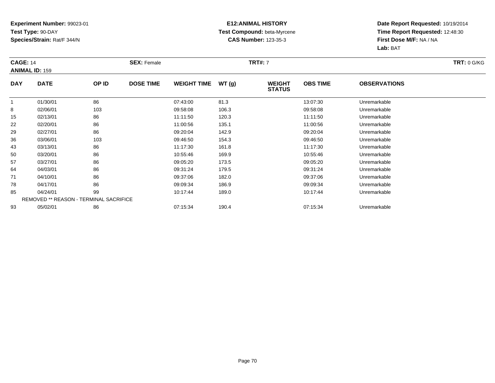### **E12:ANIMAL HISTORY Test Compound:** beta-Myrcene**CAS Number:** 123-35-3

| <b>CAGE: 14</b> |                                               |       | <b>SEX: Female</b> |                    |       | <b>TRT#: 7</b>                 |                 |                     | <b>TRT: 0 G/KG</b> |
|-----------------|-----------------------------------------------|-------|--------------------|--------------------|-------|--------------------------------|-----------------|---------------------|--------------------|
|                 | <b>ANIMAL ID: 159</b>                         |       |                    |                    |       |                                |                 |                     |                    |
| <b>DAY</b>      | <b>DATE</b>                                   | OP ID | <b>DOSE TIME</b>   | <b>WEIGHT TIME</b> | WT(g) | <b>WEIGHT</b><br><b>STATUS</b> | <b>OBS TIME</b> | <b>OBSERVATIONS</b> |                    |
|                 | 01/30/01                                      | 86    |                    | 07:43:00           | 81.3  |                                | 13:07:30        | Unremarkable        |                    |
| 8               | 02/06/01                                      | 103   |                    | 09:58:08           | 106.3 |                                | 09:58:08        | Unremarkable        |                    |
| 15              | 02/13/01                                      | 86    |                    | 11:11:50           | 120.3 |                                | 11:11:50        | Unremarkable        |                    |
| 22              | 02/20/01                                      | 86    |                    | 11:00:56           | 135.1 |                                | 11:00:56        | Unremarkable        |                    |
| 29              | 02/27/01                                      | 86    |                    | 09:20:04           | 142.9 |                                | 09:20:04        | Unremarkable        |                    |
| 36              | 03/06/01                                      | 103   |                    | 09:46:50           | 154.3 |                                | 09:46:50        | Unremarkable        |                    |
| 43              | 03/13/01                                      | 86    |                    | 11:17:30           | 161.8 |                                | 11:17:30        | Unremarkable        |                    |
| 50              | 03/20/01                                      | 86    |                    | 10:55:46           | 169.9 |                                | 10:55:46        | Unremarkable        |                    |
| 57              | 03/27/01                                      | 86    |                    | 09:05:20           | 173.5 |                                | 09:05:20        | Unremarkable        |                    |
| 64              | 04/03/01                                      | 86    |                    | 09:31:24           | 179.5 |                                | 09:31:24        | Unremarkable        |                    |
| 71              | 04/10/01                                      | 86    |                    | 09:37:06           | 182.0 |                                | 09:37:06        | Unremarkable        |                    |
| 78              | 04/17/01                                      | 86    |                    | 09:09:34           | 186.9 |                                | 09:09:34        | Unremarkable        |                    |
| 85              | 04/24/01                                      | 99    |                    | 10:17:44           | 189.0 |                                | 10:17:44        | Unremarkable        |                    |
|                 | <b>REMOVED ** REASON - TERMINAL SACRIFICE</b> |       |                    |                    |       |                                |                 |                     |                    |
| 93              | 05/02/01                                      | 86    |                    | 07:15:34           | 190.4 |                                | 07:15:34        | Unremarkable        |                    |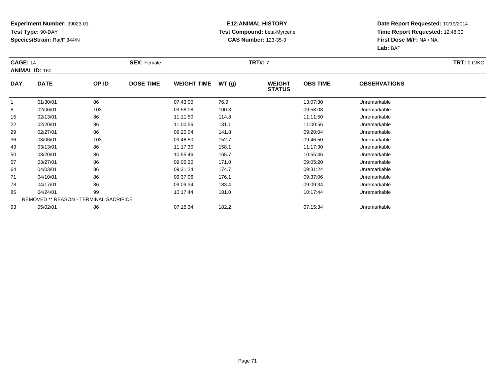### **E12:ANIMAL HISTORY Test Compound:** beta-Myrcene**CAS Number:** 123-35-3

| <b>CAGE: 14</b> | <b>ANIMAL ID: 160</b>                         |       | <b>SEX: Female</b> |                    |       | <b>TRT#: 7</b>                 |                 |                     | <b>TRT: 0 G/KG</b> |
|-----------------|-----------------------------------------------|-------|--------------------|--------------------|-------|--------------------------------|-----------------|---------------------|--------------------|
| <b>DAY</b>      | <b>DATE</b>                                   | OP ID | <b>DOSE TIME</b>   | <b>WEIGHT TIME</b> | WT(g) | <b>WEIGHT</b><br><b>STATUS</b> | <b>OBS TIME</b> | <b>OBSERVATIONS</b> |                    |
|                 | 01/30/01                                      | 86    |                    | 07:43:00           | 76.9  |                                | 13:07:30        | Unremarkable        |                    |
| 8               | 02/06/01                                      | 103   |                    | 09:58:08           | 100.3 |                                | 09:58:08        | Unremarkable        |                    |
| 15              | 02/13/01                                      | 86    |                    | 11:11:50           | 114.8 |                                | 11:11:50        | Unremarkable        |                    |
| 22              | 02/20/01                                      | 86    |                    | 11:00:56           | 131.1 |                                | 11:00:56        | Unremarkable        |                    |
| 29              | 02/27/01                                      | 86    |                    | 09:20:04           | 141.8 |                                | 09:20:04        | Unremarkable        |                    |
| 36              | 03/06/01                                      | 103   |                    | 09:46:50           | 152.7 |                                | 09:46:50        | Unremarkable        |                    |
| 43              | 03/13/01                                      | 86    |                    | 11:17:30           | 158.1 |                                | 11:17:30        | Unremarkable        |                    |
| 50              | 03/20/01                                      | 86    |                    | 10:55:46           | 165.7 |                                | 10:55:46        | Unremarkable        |                    |
| 57              | 03/27/01                                      | 86    |                    | 09:05:20           | 171.0 |                                | 09:05:20        | Unremarkable        |                    |
| 64              | 04/03/01                                      | 86    |                    | 09:31:24           | 174.7 |                                | 09:31:24        | Unremarkable        |                    |
| 71              | 04/10/01                                      | 86    |                    | 09:37:06           | 176.1 |                                | 09:37:06        | Unremarkable        |                    |
| 78              | 04/17/01                                      | 86    |                    | 09:09:34           | 183.4 |                                | 09:09:34        | Unremarkable        |                    |
| 85              | 04/24/01                                      | 99    |                    | 10:17:44           | 181.0 |                                | 10:17:44        | Unremarkable        |                    |
|                 | <b>REMOVED ** REASON - TERMINAL SACRIFICE</b> |       |                    |                    |       |                                |                 |                     |                    |
| 93              | 05/02/01                                      | 86    |                    | 07:15:34           | 182.2 |                                | 07:15:34        | Unremarkable        |                    |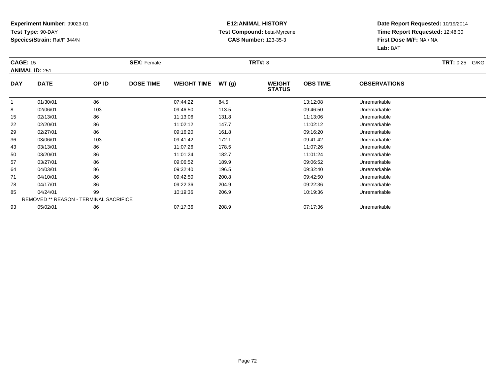#### **E12:ANIMAL HISTORY Test Compound:** beta-Myrcene**CAS Number:** 123-35-3

| <b>CAGE: 15</b> | <b>ANIMAL ID: 251</b>                         |       | <b>SEX: Female</b> |                    |       | <b>TRT#: 8</b>                 |                 |                     | <b>TRT: 0.25 G/KG</b> |
|-----------------|-----------------------------------------------|-------|--------------------|--------------------|-------|--------------------------------|-----------------|---------------------|-----------------------|
| <b>DAY</b>      | <b>DATE</b>                                   | OP ID | <b>DOSE TIME</b>   | <b>WEIGHT TIME</b> | WT(g) | <b>WEIGHT</b><br><b>STATUS</b> | <b>OBS TIME</b> | <b>OBSERVATIONS</b> |                       |
|                 | 01/30/01                                      | 86    |                    | 07:44:22           | 84.5  |                                | 13:12:08        | Unremarkable        |                       |
| 8               | 02/06/01                                      | 103   |                    | 09:46:50           | 113.5 |                                | 09:46:50        | Unremarkable        |                       |
| 15              | 02/13/01                                      | 86    |                    | 11:13:06           | 131.8 |                                | 11:13:06        | Unremarkable        |                       |
| 22              | 02/20/01                                      | 86    |                    | 11:02:12           | 147.7 |                                | 11:02:12        | Unremarkable        |                       |
| 29              | 02/27/01                                      | 86    |                    | 09:16:20           | 161.8 |                                | 09:16:20        | Unremarkable        |                       |
| 36              | 03/06/01                                      | 103   |                    | 09:41:42           | 172.1 |                                | 09:41:42        | Unremarkable        |                       |
| 43              | 03/13/01                                      | 86    |                    | 11:07:26           | 178.5 |                                | 11:07:26        | Unremarkable        |                       |
| 50              | 03/20/01                                      | 86    |                    | 11:01:24           | 182.7 |                                | 11:01:24        | Unremarkable        |                       |
| 57              | 03/27/01                                      | 86    |                    | 09:06:52           | 189.9 |                                | 09:06:52        | Unremarkable        |                       |
| 64              | 04/03/01                                      | 86    |                    | 09:32:40           | 196.5 |                                | 09:32:40        | Unremarkable        |                       |
| 71              | 04/10/01                                      | 86    |                    | 09:42:50           | 200.8 |                                | 09:42:50        | Unremarkable        |                       |
| 78              | 04/17/01                                      | 86    |                    | 09:22:36           | 204.9 |                                | 09:22:36        | Unremarkable        |                       |
| 85              | 04/24/01                                      | 99    |                    | 10:19:36           | 206.9 |                                | 10:19:36        | Unremarkable        |                       |
|                 | <b>REMOVED ** REASON - TERMINAL SACRIFICE</b> |       |                    |                    |       |                                |                 |                     |                       |
| 93              | 05/02/01                                      | 86    |                    | 07:17:36           | 208.9 |                                | 07:17:36        | Unremarkable        |                       |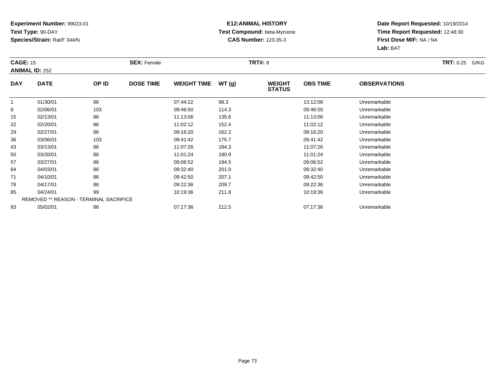### **E12:ANIMAL HISTORY Test Compound:** beta-Myrcene**CAS Number:** 123-35-3

| <b>CAGE: 15</b> | <b>ANIMAL ID: 252</b>                         |       | <b>SEX: Female</b> |                    |       | <b>TRT#: 8</b>                 |                 |                     | <b>TRT:</b> 0.25 G/KG |
|-----------------|-----------------------------------------------|-------|--------------------|--------------------|-------|--------------------------------|-----------------|---------------------|-----------------------|
| <b>DAY</b>      | <b>DATE</b>                                   | OP ID | <b>DOSE TIME</b>   | <b>WEIGHT TIME</b> | WT(g) | <b>WEIGHT</b><br><b>STATUS</b> | <b>OBS TIME</b> | <b>OBSERVATIONS</b> |                       |
| -1              | 01/30/01                                      | 86    |                    | 07:44:22           | 98.3  |                                | 13:12:08        | Unremarkable        |                       |
| 8               | 02/06/01                                      | 103   |                    | 09:46:50           | 114.3 |                                | 09:46:50        | Unremarkable        |                       |
| 15              | 02/13/01                                      | 86    |                    | 11:13:06           | 135.6 |                                | 11:13:06        | Unremarkable        |                       |
| 22              | 02/20/01                                      | 86    |                    | 11:02:12           | 152.4 |                                | 11:02:12        | Unremarkable        |                       |
| 29              | 02/27/01                                      | 86    |                    | 09:16:20           | 162.2 |                                | 09:16:20        | Unremarkable        |                       |
| 36              | 03/06/01                                      | 103   |                    | 09:41:42           | 175.7 |                                | 09:41:42        | Unremarkable        |                       |
| 43              | 03/13/01                                      | 86    |                    | 11:07:26           | 184.3 |                                | 11:07:26        | Unremarkable        |                       |
| 50              | 03/20/01                                      | 86    |                    | 11:01:24           | 190.9 |                                | 11:01:24        | Unremarkable        |                       |
| 57              | 03/27/01                                      | 86    |                    | 09:06:52           | 194.5 |                                | 09:06:52        | Unremarkable        |                       |
| 64              | 04/03/01                                      | 86    |                    | 09:32:40           | 201.0 |                                | 09:32:40        | Unremarkable        |                       |
| 71              | 04/10/01                                      | 86    |                    | 09:42:50           | 207.1 |                                | 09:42:50        | Unremarkable        |                       |
| 78              | 04/17/01                                      | 86    |                    | 09:22:36           | 209.7 |                                | 09:22:36        | Unremarkable        |                       |
| 85              | 04/24/01                                      | 99    |                    | 10:19:36           | 211.8 |                                | 10:19:36        | Unremarkable        |                       |
|                 | <b>REMOVED ** REASON - TERMINAL SACRIFICE</b> |       |                    |                    |       |                                |                 |                     |                       |
| 93              | 05/02/01                                      | 86    |                    | 07:17:36           | 212.5 |                                | 07:17:36        | Unremarkable        |                       |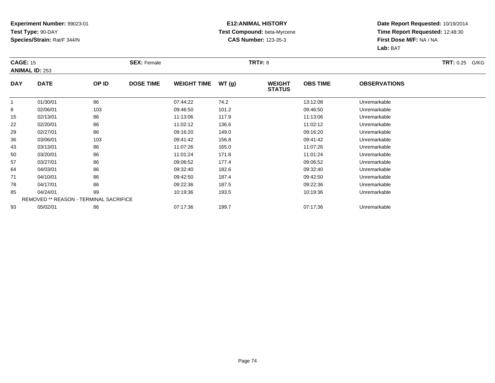### **E12:ANIMAL HISTORY Test Compound:** beta-Myrcene**CAS Number:** 123-35-3

| <b>CAGE: 15</b> | <b>ANIMAL ID: 253</b>                         |       | <b>SEX: Female</b> |                    |       | <b>TRT#: 8</b>                 |                 |                     | <b>TRT: 0.25 G/KG</b> |
|-----------------|-----------------------------------------------|-------|--------------------|--------------------|-------|--------------------------------|-----------------|---------------------|-----------------------|
| <b>DAY</b>      | <b>DATE</b>                                   | OP ID | <b>DOSE TIME</b>   | <b>WEIGHT TIME</b> | WT(g) | <b>WEIGHT</b><br><b>STATUS</b> | <b>OBS TIME</b> | <b>OBSERVATIONS</b> |                       |
|                 | 01/30/01                                      | 86    |                    | 07:44:22           | 74.2  |                                | 13:12:08        | Unremarkable        |                       |
| 8               | 02/06/01                                      | 103   |                    | 09:46:50           | 101.2 |                                | 09:46:50        | Unremarkable        |                       |
| 15              | 02/13/01                                      | 86    |                    | 11:13:06           | 117.9 |                                | 11:13:06        | Unremarkable        |                       |
| 22              | 02/20/01                                      | 86    |                    | 11:02:12           | 136.6 |                                | 11:02:12        | Unremarkable        |                       |
| 29              | 02/27/01                                      | 86    |                    | 09:16:20           | 149.0 |                                | 09:16:20        | Unremarkable        |                       |
| 36              | 03/06/01                                      | 103   |                    | 09:41:42           | 156.8 |                                | 09:41:42        | Unremarkable        |                       |
| 43              | 03/13/01                                      | 86    |                    | 11:07:26           | 165.0 |                                | 11:07:26        | Unremarkable        |                       |
| 50              | 03/20/01                                      | 86    |                    | 11:01:24           | 171.8 |                                | 11:01:24        | Unremarkable        |                       |
| 57              | 03/27/01                                      | 86    |                    | 09:06:52           | 177.4 |                                | 09:06:52        | Unremarkable        |                       |
| 64              | 04/03/01                                      | 86    |                    | 09:32:40           | 182.6 |                                | 09:32:40        | Unremarkable        |                       |
| 71              | 04/10/01                                      | 86    |                    | 09:42:50           | 187.4 |                                | 09:42:50        | Unremarkable        |                       |
| 78              | 04/17/01                                      | 86    |                    | 09:22:36           | 187.5 |                                | 09:22:36        | Unremarkable        |                       |
| 85              | 04/24/01                                      | 99    |                    | 10:19:36           | 193.5 |                                | 10:19:36        | Unremarkable        |                       |
|                 | <b>REMOVED ** REASON - TERMINAL SACRIFICE</b> |       |                    |                    |       |                                |                 |                     |                       |
| 93              | 05/02/01                                      | 86    |                    | 07:17:36           | 199.7 |                                | 07:17:36        | Unremarkable        |                       |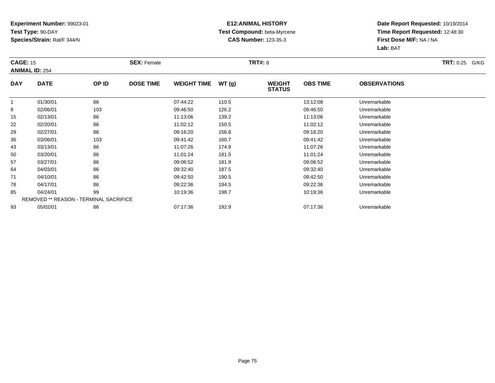### **E12:ANIMAL HISTORY Test Compound:** beta-Myrcene**CAS Number:** 123-35-3

| <b>CAGE: 15</b> | <b>ANIMAL ID: 254</b>                         |       | <b>SEX: Female</b> |                    |       | <b>TRT#: 8</b>                 |                 |                     | <b>TRT: 0.25 G/KG</b> |
|-----------------|-----------------------------------------------|-------|--------------------|--------------------|-------|--------------------------------|-----------------|---------------------|-----------------------|
| <b>DAY</b>      | <b>DATE</b>                                   | OP ID | <b>DOSE TIME</b>   | <b>WEIGHT TIME</b> | WT(g) | <b>WEIGHT</b><br><b>STATUS</b> | <b>OBS TIME</b> | <b>OBSERVATIONS</b> |                       |
|                 | 01/30/01                                      | 86    |                    | 07:44:22           | 110.5 |                                | 13:12:08        | Unremarkable        |                       |
| 8               | 02/06/01                                      | 103   |                    | 09:46:50           | 126.2 |                                | 09:46:50        | Unremarkable        |                       |
| 15              | 02/13/01                                      | 86    |                    | 11:13:06           | 139.2 |                                | 11:13:06        | Unremarkable        |                       |
| 22              | 02/20/01                                      | 86    |                    | 11:02:12           | 150.5 |                                | 11:02:12        | Unremarkable        |                       |
| 29              | 02/27/01                                      | 86    |                    | 09:16:20           | 156.8 |                                | 09:16:20        | Unremarkable        |                       |
| 36              | 03/06/01                                      | 103   |                    | 09:41:42           | 160.7 |                                | 09:41:42        | Unremarkable        |                       |
| 43              | 03/13/01                                      | 86    |                    | 11:07:26           | 174.9 |                                | 11:07:26        | Unremarkable        |                       |
| 50              | 03/20/01                                      | 86    |                    | 11:01:24           | 181.5 |                                | 11:01:24        | Unremarkable        |                       |
| 57              | 03/27/01                                      | 86    |                    | 09:06:52           | 181.9 |                                | 09:06:52        | Unremarkable        |                       |
| 64              | 04/03/01                                      | 86    |                    | 09:32:40           | 187.5 |                                | 09:32:40        | Unremarkable        |                       |
| 71              | 04/10/01                                      | 86    |                    | 09:42:50           | 190.5 |                                | 09:42:50        | Unremarkable        |                       |
| 78              | 04/17/01                                      | 86    |                    | 09:22:36           | 194.5 |                                | 09:22:36        | Unremarkable        |                       |
| 85              | 04/24/01                                      | 99    |                    | 10:19:36           | 198.7 |                                | 10:19:36        | Unremarkable        |                       |
|                 | <b>REMOVED ** REASON - TERMINAL SACRIFICE</b> |       |                    |                    |       |                                |                 |                     |                       |
| 93              | 05/02/01                                      | 86    |                    | 07:17:36           | 192.9 |                                | 07:17:36        | Unremarkable        |                       |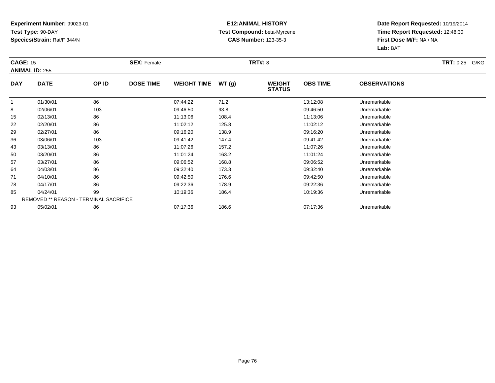### **E12:ANIMAL HISTORY Test Compound:** beta-Myrcene**CAS Number:** 123-35-3

| <b>CAGE: 15</b> | <b>ANIMAL ID: 255</b>                         |       | <b>SEX: Female</b> |                    |       | <b>TRT#: 8</b>                 |                 |                     | <b>TRT: 0.25 G/KG</b> |
|-----------------|-----------------------------------------------|-------|--------------------|--------------------|-------|--------------------------------|-----------------|---------------------|-----------------------|
| <b>DAY</b>      | <b>DATE</b>                                   | OP ID | <b>DOSE TIME</b>   | <b>WEIGHT TIME</b> | WT(g) | <b>WEIGHT</b><br><b>STATUS</b> | <b>OBS TIME</b> | <b>OBSERVATIONS</b> |                       |
|                 | 01/30/01                                      | 86    |                    | 07:44:22           | 71.2  |                                | 13:12:08        | Unremarkable        |                       |
| 8               | 02/06/01                                      | 103   |                    | 09:46:50           | 93.8  |                                | 09:46:50        | Unremarkable        |                       |
| 15              | 02/13/01                                      | 86    |                    | 11:13:06           | 108.4 |                                | 11:13:06        | Unremarkable        |                       |
| 22              | 02/20/01                                      | 86    |                    | 11:02:12           | 125.8 |                                | 11:02:12        | Unremarkable        |                       |
| 29              | 02/27/01                                      | 86    |                    | 09:16:20           | 138.9 |                                | 09:16:20        | Unremarkable        |                       |
| 36              | 03/06/01                                      | 103   |                    | 09:41:42           | 147.4 |                                | 09:41:42        | Unremarkable        |                       |
| 43              | 03/13/01                                      | 86    |                    | 11:07:26           | 157.2 |                                | 11:07:26        | Unremarkable        |                       |
| 50              | 03/20/01                                      | 86    |                    | 11:01:24           | 163.2 |                                | 11:01:24        | Unremarkable        |                       |
| 57              | 03/27/01                                      | 86    |                    | 09:06:52           | 168.8 |                                | 09:06:52        | Unremarkable        |                       |
| 64              | 04/03/01                                      | 86    |                    | 09:32:40           | 173.3 |                                | 09:32:40        | Unremarkable        |                       |
| 71              | 04/10/01                                      | 86    |                    | 09:42:50           | 176.6 |                                | 09:42:50        | Unremarkable        |                       |
| 78              | 04/17/01                                      | 86    |                    | 09:22:36           | 178.9 |                                | 09:22:36        | Unremarkable        |                       |
| 85              | 04/24/01                                      | 99    |                    | 10:19:36           | 186.4 |                                | 10:19:36        | Unremarkable        |                       |
|                 | <b>REMOVED ** REASON - TERMINAL SACRIFICE</b> |       |                    |                    |       |                                |                 |                     |                       |
| 93              | 05/02/01                                      | 86    |                    | 07:17:36           | 186.6 |                                | 07:17:36        | Unremarkable        |                       |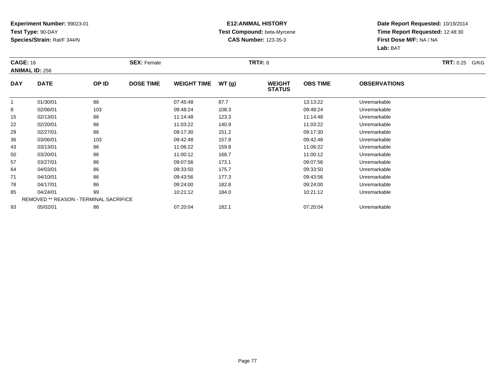### **E12:ANIMAL HISTORY Test Compound:** beta-Myrcene**CAS Number:** 123-35-3

| <b>CAGE: 16</b> | <b>ANIMAL ID: 256</b>                         |       | <b>SEX: Female</b> |                    |       | <b>TRT#: 8</b>                 |                 |                     | <b>TRT: 0.25 G/KG</b> |
|-----------------|-----------------------------------------------|-------|--------------------|--------------------|-------|--------------------------------|-----------------|---------------------|-----------------------|
| <b>DAY</b>      | <b>DATE</b>                                   | OP ID | <b>DOSE TIME</b>   | <b>WEIGHT TIME</b> | WT(g) | <b>WEIGHT</b><br><b>STATUS</b> | <b>OBS TIME</b> | <b>OBSERVATIONS</b> |                       |
|                 | 01/30/01                                      | 86    |                    | 07:45:48           | 87.7  |                                | 13:13:22        | Unremarkable        |                       |
| 8               | 02/06/01                                      | 103   |                    | 09:48:24           | 108.3 |                                | 09:48:24        | Unremarkable        |                       |
| 15              | 02/13/01                                      | 86    |                    | 11:14:48           | 123.3 |                                | 11:14:48        | Unremarkable        |                       |
| 22              | 02/20/01                                      | 86    |                    | 11:03:22           | 140.9 |                                | 11:03:22        | Unremarkable        |                       |
| 29              | 02/27/01                                      | 86    |                    | 09:17:30           | 151.2 |                                | 09:17:30        | Unremarkable        |                       |
| 36              | 03/06/01                                      | 103   |                    | 09:42:48           | 157.8 |                                | 09:42:48        | Unremarkable        |                       |
| 43              | 03/13/01                                      | 86    |                    | 11:06:22           | 159.8 |                                | 11:06:22        | Unremarkable        |                       |
| 50              | 03/20/01                                      | 86    |                    | 11:00:12           | 168.7 |                                | 11:00:12        | Unremarkable        |                       |
| 57              | 03/27/01                                      | 86    |                    | 09:07:56           | 173.1 |                                | 09:07:56        | Unremarkable        |                       |
| 64              | 04/03/01                                      | 86    |                    | 09:33:50           | 175.7 |                                | 09:33:50        | Unremarkable        |                       |
| 71              | 04/10/01                                      | 86    |                    | 09:43:56           | 177.3 |                                | 09:43:56        | Unremarkable        |                       |
| 78              | 04/17/01                                      | 86    |                    | 09:24:00           | 182.8 |                                | 09:24:00        | Unremarkable        |                       |
| 85              | 04/24/01                                      | 99    |                    | 10:21:12           | 184.0 |                                | 10:21:12        | Unremarkable        |                       |
|                 | <b>REMOVED ** REASON - TERMINAL SACRIFICE</b> |       |                    |                    |       |                                |                 |                     |                       |
| 93              | 05/02/01                                      | 86    |                    | 07:20:04           | 182.1 |                                | 07:20:04        | Unremarkable        |                       |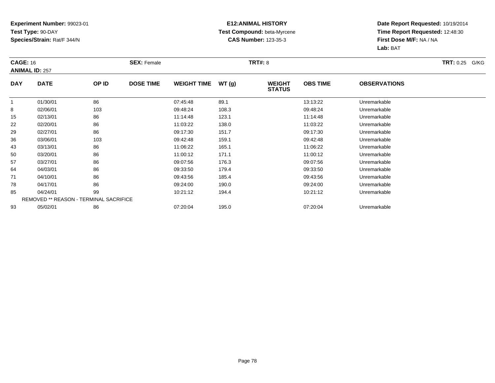### **E12:ANIMAL HISTORY Test Compound:** beta-Myrcene**CAS Number:** 123-35-3

| <b>CAGE: 16</b> | <b>ANIMAL ID: 257</b>                         |       | <b>SEX: Female</b> |                    |       | <b>TRT#: 8</b>                 |                 |                     | <b>TRT: 0.25 G/KG</b> |
|-----------------|-----------------------------------------------|-------|--------------------|--------------------|-------|--------------------------------|-----------------|---------------------|-----------------------|
| <b>DAY</b>      | <b>DATE</b>                                   | OP ID | <b>DOSE TIME</b>   | <b>WEIGHT TIME</b> | WT(g) | <b>WEIGHT</b><br><b>STATUS</b> | <b>OBS TIME</b> | <b>OBSERVATIONS</b> |                       |
| -1              | 01/30/01                                      | 86    |                    | 07:45:48           | 89.1  |                                | 13:13:22        | Unremarkable        |                       |
| 8               | 02/06/01                                      | 103   |                    | 09:48:24           | 108.3 |                                | 09:48:24        | Unremarkable        |                       |
| 15              | 02/13/01                                      | 86    |                    | 11:14:48           | 123.1 |                                | 11:14:48        | Unremarkable        |                       |
| 22              | 02/20/01                                      | 86    |                    | 11:03:22           | 138.0 |                                | 11:03:22        | Unremarkable        |                       |
| 29              | 02/27/01                                      | 86    |                    | 09:17:30           | 151.7 |                                | 09:17:30        | Unremarkable        |                       |
| 36              | 03/06/01                                      | 103   |                    | 09:42:48           | 159.1 |                                | 09:42:48        | Unremarkable        |                       |
| 43              | 03/13/01                                      | 86    |                    | 11:06:22           | 165.1 |                                | 11:06:22        | Unremarkable        |                       |
| 50              | 03/20/01                                      | 86    |                    | 11:00:12           | 171.1 |                                | 11:00:12        | Unremarkable        |                       |
| 57              | 03/27/01                                      | 86    |                    | 09:07:56           | 176.3 |                                | 09:07:56        | Unremarkable        |                       |
| 64              | 04/03/01                                      | 86    |                    | 09:33:50           | 179.4 |                                | 09:33:50        | Unremarkable        |                       |
| 71              | 04/10/01                                      | 86    |                    | 09:43:56           | 185.4 |                                | 09:43:56        | Unremarkable        |                       |
| 78              | 04/17/01                                      | 86    |                    | 09:24:00           | 190.0 |                                | 09:24:00        | Unremarkable        |                       |
| 85              | 04/24/01                                      | 99    |                    | 10:21:12           | 194.4 |                                | 10:21:12        | Unremarkable        |                       |
|                 | <b>REMOVED ** REASON - TERMINAL SACRIFICE</b> |       |                    |                    |       |                                |                 |                     |                       |
| 93              | 05/02/01                                      | 86    |                    | 07:20:04           | 195.0 |                                | 07:20:04        | Unremarkable        |                       |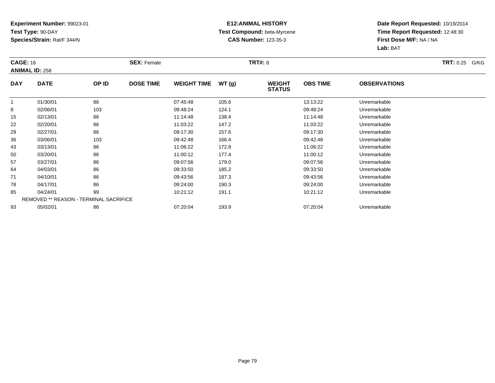### **E12:ANIMAL HISTORY Test Compound:** beta-Myrcene**CAS Number:** 123-35-3

| <b>CAGE: 16</b> | <b>ANIMAL ID: 258</b>                         |       | <b>SEX: Female</b> |                    |       | <b>TRT#: 8</b>                 |                 |                     | <b>TRT: 0.25 G/KG</b> |
|-----------------|-----------------------------------------------|-------|--------------------|--------------------|-------|--------------------------------|-----------------|---------------------|-----------------------|
| <b>DAY</b>      | <b>DATE</b>                                   | OP ID | <b>DOSE TIME</b>   | <b>WEIGHT TIME</b> | WT(g) | <b>WEIGHT</b><br><b>STATUS</b> | <b>OBS TIME</b> | <b>OBSERVATIONS</b> |                       |
|                 | 01/30/01                                      | 86    |                    | 07:45:48           | 105.6 |                                | 13:13:22        | Unremarkable        |                       |
| 8               | 02/06/01                                      | 103   |                    | 09:48:24           | 124.1 |                                | 09:48:24        | Unremarkable        |                       |
| 15              | 02/13/01                                      | 86    |                    | 11:14:48           | 138.4 |                                | 11:14:48        | Unremarkable        |                       |
| 22              | 02/20/01                                      | 86    |                    | 11:03:22           | 147.2 |                                | 11:03:22        | Unremarkable        |                       |
| 29              | 02/27/01                                      | 86    |                    | 09:17:30           | 157.6 |                                | 09:17:30        | Unremarkable        |                       |
| 36              | 03/06/01                                      | 103   |                    | 09:42:48           | 166.4 |                                | 09:42:48        | Unremarkable        |                       |
| 43              | 03/13/01                                      | 86    |                    | 11:06:22           | 172.8 |                                | 11:06:22        | Unremarkable        |                       |
| 50              | 03/20/01                                      | 86    |                    | 11:00:12           | 177.4 |                                | 11:00:12        | Unremarkable        |                       |
| 57              | 03/27/01                                      | 86    |                    | 09:07:56           | 179.0 |                                | 09:07:56        | Unremarkable        |                       |
| 64              | 04/03/01                                      | 86    |                    | 09:33:50           | 185.2 |                                | 09:33:50        | Unremarkable        |                       |
| 71              | 04/10/01                                      | 86    |                    | 09:43:56           | 187.3 |                                | 09:43:56        | Unremarkable        |                       |
| 78              | 04/17/01                                      | 86    |                    | 09:24:00           | 190.3 |                                | 09:24:00        | Unremarkable        |                       |
| 85              | 04/24/01                                      | 99    |                    | 10:21:12           | 191.1 |                                | 10:21:12        | Unremarkable        |                       |
|                 | <b>REMOVED ** REASON - TERMINAL SACRIFICE</b> |       |                    |                    |       |                                |                 |                     |                       |
| 93              | 05/02/01                                      | 86    |                    | 07:20:04           | 193.9 |                                | 07:20:04        | Unremarkable        |                       |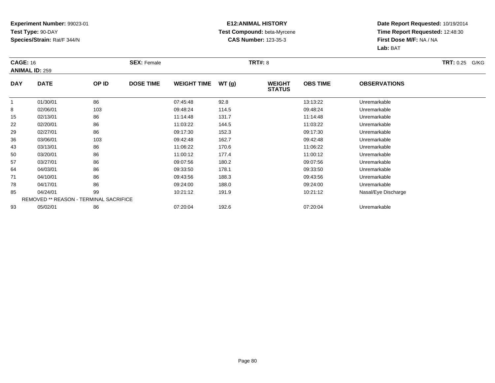### **E12:ANIMAL HISTORY Test Compound:** beta-Myrcene**CAS Number:** 123-35-3

| <b>CAGE: 16</b> |                                               |       | <b>SEX: Female</b> |                    |       | <b>TRT#: 8</b>                 |                 |                     | <b>TRT: 0.25</b><br>G/KG |
|-----------------|-----------------------------------------------|-------|--------------------|--------------------|-------|--------------------------------|-----------------|---------------------|--------------------------|
|                 | <b>ANIMAL ID: 259</b>                         |       |                    |                    |       |                                |                 |                     |                          |
| <b>DAY</b>      | <b>DATE</b>                                   | OP ID | <b>DOSE TIME</b>   | <b>WEIGHT TIME</b> | WT(g) | <b>WEIGHT</b><br><b>STATUS</b> | <b>OBS TIME</b> | <b>OBSERVATIONS</b> |                          |
| $\mathbf{1}$    | 01/30/01                                      | 86    |                    | 07:45:48           | 92.8  |                                | 13:13:22        | Unremarkable        |                          |
| 8               | 02/06/01                                      | 103   |                    | 09:48:24           | 114.5 |                                | 09:48:24        | Unremarkable        |                          |
| 15              | 02/13/01                                      | 86    |                    | 11:14:48           | 131.7 |                                | 11:14:48        | Unremarkable        |                          |
| 22              | 02/20/01                                      | 86    |                    | 11:03:22           | 144.5 |                                | 11:03:22        | Unremarkable        |                          |
| 29              | 02/27/01                                      | 86    |                    | 09:17:30           | 152.3 |                                | 09:17:30        | Unremarkable        |                          |
| 36              | 03/06/01                                      | 103   |                    | 09:42:48           | 162.7 |                                | 09:42:48        | Unremarkable        |                          |
| 43              | 03/13/01                                      | 86    |                    | 11:06:22           | 170.6 |                                | 11:06:22        | Unremarkable        |                          |
| 50              | 03/20/01                                      | 86    |                    | 11:00:12           | 177.4 |                                | 11:00:12        | Unremarkable        |                          |
| 57              | 03/27/01                                      | 86    |                    | 09:07:56           | 180.2 |                                | 09:07:56        | Unremarkable        |                          |
| 64              | 04/03/01                                      | 86    |                    | 09:33:50           | 178.1 |                                | 09:33:50        | Unremarkable        |                          |
| 71              | 04/10/01                                      | 86    |                    | 09:43:56           | 188.3 |                                | 09:43:56        | Unremarkable        |                          |
| 78              | 04/17/01                                      | 86    |                    | 09:24:00           | 188.0 |                                | 09:24:00        | Unremarkable        |                          |
| 85              | 04/24/01                                      | 99    |                    | 10:21:12           | 191.9 |                                | 10:21:12        | Nasal/Eye Discharge |                          |
|                 | <b>REMOVED ** REASON - TERMINAL SACRIFICE</b> |       |                    |                    |       |                                |                 |                     |                          |
| 93              | 05/02/01                                      | 86    |                    | 07:20:04           | 192.6 |                                | 07:20:04        | Unremarkable        |                          |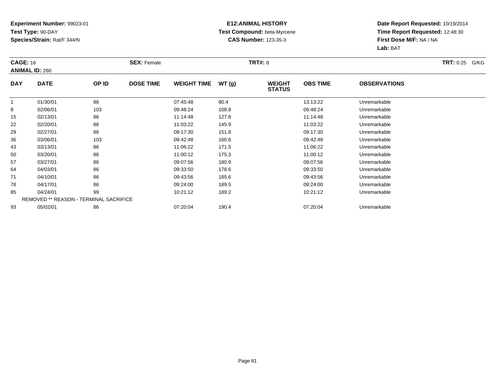### **E12:ANIMAL HISTORY Test Compound:** beta-Myrcene**CAS Number:** 123-35-3

| <b>CAGE: 16</b> |                                               |       | <b>SEX: Female</b> |                    |       | <b>TRT#: 8</b>                 |                 |                     | <b>TRT: 0.25 G/KG</b> |
|-----------------|-----------------------------------------------|-------|--------------------|--------------------|-------|--------------------------------|-----------------|---------------------|-----------------------|
|                 | <b>ANIMAL ID: 260</b>                         |       |                    |                    |       |                                |                 |                     |                       |
| <b>DAY</b>      | <b>DATE</b>                                   | OP ID | <b>DOSE TIME</b>   | <b>WEIGHT TIME</b> | WT(g) | <b>WEIGHT</b><br><b>STATUS</b> | <b>OBS TIME</b> | <b>OBSERVATIONS</b> |                       |
| 1               | 01/30/01                                      | 86    |                    | 07:45:48           | 80.4  |                                | 13:13:22        | Unremarkable        |                       |
| 8               | 02/06/01                                      | 103   |                    | 09:48:24           | 108.8 |                                | 09:48:24        | Unremarkable        |                       |
| 15              | 02/13/01                                      | 86    |                    | 11:14:48           | 127.8 |                                | 11:14:48        | Unremarkable        |                       |
| 22              | 02/20/01                                      | 86    |                    | 11:03:22           | 145.9 |                                | 11:03:22        | Unremarkable        |                       |
| 29              | 02/27/01                                      | 86    |                    | 09:17:30           | 151.8 |                                | 09:17:30        | Unremarkable        |                       |
| 36              | 03/06/01                                      | 103   |                    | 09:42:48           | 160.6 |                                | 09:42:48        | Unremarkable        |                       |
| 43              | 03/13/01                                      | 86    |                    | 11:06:22           | 171.5 |                                | 11:06:22        | Unremarkable        |                       |
| 50              | 03/20/01                                      | 86    |                    | 11:00:12           | 175.3 |                                | 11:00:12        | Unremarkable        |                       |
| 57              | 03/27/01                                      | 86    |                    | 09:07:56           | 180.9 |                                | 09:07:56        | Unremarkable        |                       |
| 64              | 04/03/01                                      | 86    |                    | 09:33:50           | 178.6 |                                | 09:33:50        | Unremarkable        |                       |
| 71              | 04/10/01                                      | 86    |                    | 09:43:56           | 185.6 |                                | 09:43:56        | Unremarkable        |                       |
| 78              | 04/17/01                                      | 86    |                    | 09:24:00           | 189.5 |                                | 09:24:00        | Unremarkable        |                       |
| 85              | 04/24/01                                      | 99    |                    | 10:21:12           | 189.2 |                                | 10:21:12        | Unremarkable        |                       |
|                 | <b>REMOVED ** REASON - TERMINAL SACRIFICE</b> |       |                    |                    |       |                                |                 |                     |                       |
| 93              | 05/02/01                                      | 86    |                    | 07:20:04           | 190.4 |                                | 07:20:04        | Unremarkable        |                       |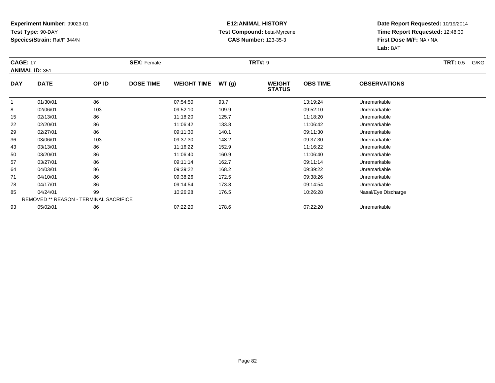### **E12:ANIMAL HISTORY Test Compound:** beta-Myrcene**CAS Number:** 123-35-3

| <b>CAGE: 17</b> | <b>ANIMAL ID: 351</b>                         |       | <b>SEX: Female</b> |                    |       | <b>TRT#: 9</b>                 |                 |                     | <b>TRT:</b> 0.5<br>G/KG |
|-----------------|-----------------------------------------------|-------|--------------------|--------------------|-------|--------------------------------|-----------------|---------------------|-------------------------|
| <b>DAY</b>      | <b>DATE</b>                                   | OP ID | <b>DOSE TIME</b>   | <b>WEIGHT TIME</b> | WT(g) | <b>WEIGHT</b><br><b>STATUS</b> | <b>OBS TIME</b> | <b>OBSERVATIONS</b> |                         |
|                 | 01/30/01                                      | 86    |                    | 07:54:50           | 93.7  |                                | 13:19:24        | Unremarkable        |                         |
| 8               | 02/06/01                                      | 103   |                    | 09:52:10           | 109.9 |                                | 09:52:10        | Unremarkable        |                         |
| 15              | 02/13/01                                      | 86    |                    | 11:18:20           | 125.7 |                                | 11:18:20        | Unremarkable        |                         |
| 22              | 02/20/01                                      | 86    |                    | 11:06:42           | 133.8 |                                | 11:06:42        | Unremarkable        |                         |
| 29              | 02/27/01                                      | 86    |                    | 09:11:30           | 140.1 |                                | 09:11:30        | Unremarkable        |                         |
| 36              | 03/06/01                                      | 103   |                    | 09:37:30           | 148.2 |                                | 09:37:30        | Unremarkable        |                         |
| 43              | 03/13/01                                      | 86    |                    | 11:16:22           | 152.9 |                                | 11:16:22        | Unremarkable        |                         |
| 50              | 03/20/01                                      | 86    |                    | 11:06:40           | 160.9 |                                | 11:06:40        | Unremarkable        |                         |
| 57              | 03/27/01                                      | 86    |                    | 09:11:14           | 162.7 |                                | 09:11:14        | Unremarkable        |                         |
| 64              | 04/03/01                                      | 86    |                    | 09:39:22           | 168.2 |                                | 09:39:22        | Unremarkable        |                         |
| 71              | 04/10/01                                      | 86    |                    | 09:38:26           | 172.5 |                                | 09:38:26        | Unremarkable        |                         |
| 78              | 04/17/01                                      | 86    |                    | 09:14:54           | 173.8 |                                | 09:14:54        | Unremarkable        |                         |
| 85              | 04/24/01                                      | 99    |                    | 10:26:28           | 176.5 |                                | 10:26:28        | Nasal/Eye Discharge |                         |
|                 | <b>REMOVED ** REASON - TERMINAL SACRIFICE</b> |       |                    |                    |       |                                |                 |                     |                         |
| 93              | 05/02/01                                      | 86    |                    | 07:22:20           | 178.6 |                                | 07:22:20        | Unremarkable        |                         |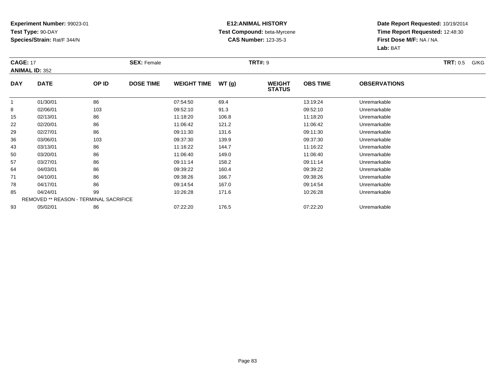### **E12:ANIMAL HISTORY Test Compound:** beta-Myrcene**CAS Number:** 123-35-3

| <b>CAGE: 17</b> | <b>ANIMAL ID: 352</b>                         |       | <b>SEX: Female</b> |                    |       | <b>TRT#: 9</b>                 |                 |                     | <b>TRT:</b> 0.5<br>G/KG |
|-----------------|-----------------------------------------------|-------|--------------------|--------------------|-------|--------------------------------|-----------------|---------------------|-------------------------|
| <b>DAY</b>      | <b>DATE</b>                                   | OP ID | <b>DOSE TIME</b>   | <b>WEIGHT TIME</b> | WT(g) | <b>WEIGHT</b><br><b>STATUS</b> | <b>OBS TIME</b> | <b>OBSERVATIONS</b> |                         |
| -1              | 01/30/01                                      | 86    |                    | 07:54:50           | 69.4  |                                | 13:19:24        | Unremarkable        |                         |
| 8               | 02/06/01                                      | 103   |                    | 09:52:10           | 91.3  |                                | 09:52:10        | Unremarkable        |                         |
| 15              | 02/13/01                                      | 86    |                    | 11:18:20           | 106.8 |                                | 11:18:20        | Unremarkable        |                         |
| 22              | 02/20/01                                      | 86    |                    | 11:06:42           | 121.2 |                                | 11:06:42        | Unremarkable        |                         |
| 29              | 02/27/01                                      | 86    |                    | 09:11:30           | 131.6 |                                | 09:11:30        | Unremarkable        |                         |
| 36              | 03/06/01                                      | 103   |                    | 09:37:30           | 139.9 |                                | 09:37:30        | Unremarkable        |                         |
| 43              | 03/13/01                                      | 86    |                    | 11:16:22           | 144.7 |                                | 11:16:22        | Unremarkable        |                         |
| 50              | 03/20/01                                      | 86    |                    | 11:06:40           | 149.0 |                                | 11:06:40        | Unremarkable        |                         |
| 57              | 03/27/01                                      | 86    |                    | 09:11:14           | 158.2 |                                | 09:11:14        | Unremarkable        |                         |
| 64              | 04/03/01                                      | 86    |                    | 09:39:22           | 160.4 |                                | 09:39:22        | Unremarkable        |                         |
| 71              | 04/10/01                                      | 86    |                    | 09:38:26           | 166.7 |                                | 09:38:26        | Unremarkable        |                         |
| 78              | 04/17/01                                      | 86    |                    | 09:14:54           | 167.0 |                                | 09:14:54        | Unremarkable        |                         |
| 85              | 04/24/01                                      | 99    |                    | 10:26:28           | 171.6 |                                | 10:26:28        | Unremarkable        |                         |
|                 | <b>REMOVED ** REASON - TERMINAL SACRIFICE</b> |       |                    |                    |       |                                |                 |                     |                         |
| 93              | 05/02/01                                      | 86    |                    | 07:22:20           | 176.5 |                                | 07:22:20        | Unremarkable        |                         |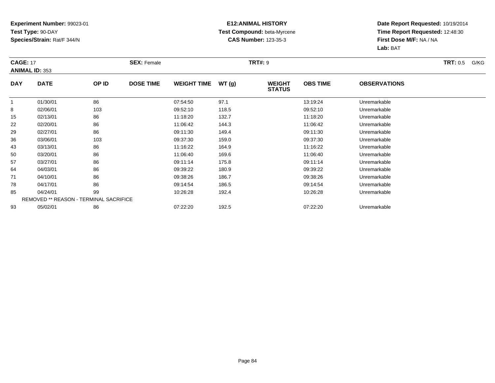### **E12:ANIMAL HISTORY Test Compound:** beta-Myrcene**CAS Number:** 123-35-3

| <b>CAGE: 17</b> | <b>ANIMAL ID: 353</b>                         |       | <b>SEX: Female</b> |                    |       | <b>TRT#: 9</b>                 |                 |                     | <b>TRT: 0.5</b><br>G/KG |
|-----------------|-----------------------------------------------|-------|--------------------|--------------------|-------|--------------------------------|-----------------|---------------------|-------------------------|
| <b>DAY</b>      | <b>DATE</b>                                   | OP ID | <b>DOSE TIME</b>   | <b>WEIGHT TIME</b> | WT(g) | <b>WEIGHT</b><br><b>STATUS</b> | <b>OBS TIME</b> | <b>OBSERVATIONS</b> |                         |
|                 | 01/30/01                                      | 86    |                    | 07:54:50           | 97.1  |                                | 13:19:24        | Unremarkable        |                         |
| 8               | 02/06/01                                      | 103   |                    | 09:52:10           | 118.5 |                                | 09:52:10        | Unremarkable        |                         |
| 15              | 02/13/01                                      | 86    |                    | 11:18:20           | 132.7 |                                | 11:18:20        | Unremarkable        |                         |
| 22              | 02/20/01                                      | 86    |                    | 11:06:42           | 144.3 |                                | 11:06:42        | Unremarkable        |                         |
| 29              | 02/27/01                                      | 86    |                    | 09:11:30           | 149.4 |                                | 09:11:30        | Unremarkable        |                         |
| 36              | 03/06/01                                      | 103   |                    | 09:37:30           | 159.0 |                                | 09:37:30        | Unremarkable        |                         |
| 43              | 03/13/01                                      | 86    |                    | 11:16:22           | 164.9 |                                | 11:16:22        | Unremarkable        |                         |
| 50              | 03/20/01                                      | 86    |                    | 11:06:40           | 169.6 |                                | 11:06:40        | Unremarkable        |                         |
| 57              | 03/27/01                                      | 86    |                    | 09:11:14           | 175.8 |                                | 09:11:14        | Unremarkable        |                         |
| 64              | 04/03/01                                      | 86    |                    | 09:39:22           | 180.9 |                                | 09:39:22        | Unremarkable        |                         |
| 71              | 04/10/01                                      | 86    |                    | 09:38:26           | 186.7 |                                | 09:38:26        | Unremarkable        |                         |
| 78              | 04/17/01                                      | 86    |                    | 09:14:54           | 186.5 |                                | 09:14:54        | Unremarkable        |                         |
| 85              | 04/24/01                                      | 99    |                    | 10:26:28           | 192.4 |                                | 10:26:28        | Unremarkable        |                         |
|                 | <b>REMOVED ** REASON - TERMINAL SACRIFICE</b> |       |                    |                    |       |                                |                 |                     |                         |
| 93              | 05/02/01                                      | 86    |                    | 07:22:20           | 192.5 |                                | 07:22:20        | Unremarkable        |                         |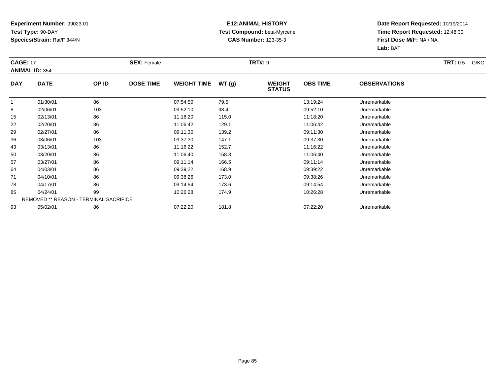### **E12:ANIMAL HISTORY Test Compound:** beta-Myrcene**CAS Number:** 123-35-3

| <b>CAGE: 17</b> | <b>ANIMAL ID: 354</b>                         |       | <b>SEX: Female</b> |                    |       | <b>TRT#: 9</b>                 |                 |                     | <b>TRT:</b> 0.5<br>G/KG |
|-----------------|-----------------------------------------------|-------|--------------------|--------------------|-------|--------------------------------|-----------------|---------------------|-------------------------|
| <b>DAY</b>      | <b>DATE</b>                                   | OP ID | <b>DOSE TIME</b>   | <b>WEIGHT TIME</b> | WT(g) | <b>WEIGHT</b><br><b>STATUS</b> | <b>OBS TIME</b> | <b>OBSERVATIONS</b> |                         |
|                 | 01/30/01                                      | 86    |                    | 07:54:50           | 79.5  |                                | 13:19:24        | Unremarkable        |                         |
| 8               | 02/06/01                                      | 103   |                    | 09:52:10           | 98.4  |                                | 09:52:10        | Unremarkable        |                         |
| 15              | 02/13/01                                      | 86    |                    | 11:18:20           | 115.0 |                                | 11:18:20        | Unremarkable        |                         |
| 22              | 02/20/01                                      | 86    |                    | 11:06:42           | 129.1 |                                | 11:06:42        | Unremarkable        |                         |
| 29              | 02/27/01                                      | 86    |                    | 09:11:30           | 139.2 |                                | 09:11:30        | Unremarkable        |                         |
| 36              | 03/06/01                                      | 103   |                    | 09:37:30           | 147.1 |                                | 09:37:30        | Unremarkable        |                         |
| 43              | 03/13/01                                      | 86    |                    | 11:16:22           | 152.7 |                                | 11:16:22        | Unremarkable        |                         |
| 50              | 03/20/01                                      | 86    |                    | 11:06:40           | 158.3 |                                | 11:06:40        | Unremarkable        |                         |
| 57              | 03/27/01                                      | 86    |                    | 09:11:14           | 166.5 |                                | 09:11:14        | Unremarkable        |                         |
| 64              | 04/03/01                                      | 86    |                    | 09:39:22           | 168.9 |                                | 09:39:22        | Unremarkable        |                         |
| 71              | 04/10/01                                      | 86    |                    | 09:38:26           | 173.0 |                                | 09:38:26        | Unremarkable        |                         |
| 78              | 04/17/01                                      | 86    |                    | 09:14:54           | 173.6 |                                | 09:14:54        | Unremarkable        |                         |
| 85              | 04/24/01                                      | 99    |                    | 10:26:28           | 174.9 |                                | 10:26:28        | Unremarkable        |                         |
|                 | <b>REMOVED ** REASON - TERMINAL SACRIFICE</b> |       |                    |                    |       |                                |                 |                     |                         |
| 93              | 05/02/01                                      | 86    |                    | 07:22:20           | 181.8 |                                | 07:22:20        | Unremarkable        |                         |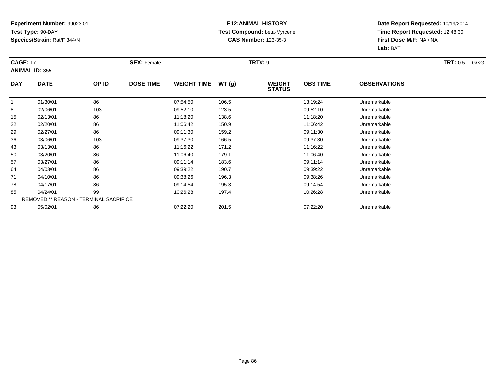### **E12:ANIMAL HISTORY Test Compound:** beta-Myrcene**CAS Number:** 123-35-3

| <b>CAGE: 17</b> | <b>ANIMAL ID: 355</b>                         |       | <b>SEX: Female</b> |                    |       | <b>TRT#: 9</b>                 |                 |                     | <b>TRT: 0.5</b><br>G/KG |
|-----------------|-----------------------------------------------|-------|--------------------|--------------------|-------|--------------------------------|-----------------|---------------------|-------------------------|
| <b>DAY</b>      | <b>DATE</b>                                   | OP ID | <b>DOSE TIME</b>   | <b>WEIGHT TIME</b> | WT(g) | <b>WEIGHT</b><br><b>STATUS</b> | <b>OBS TIME</b> | <b>OBSERVATIONS</b> |                         |
| -1              | 01/30/01                                      | 86    |                    | 07:54:50           | 106.5 |                                | 13:19:24        | Unremarkable        |                         |
| 8               | 02/06/01                                      | 103   |                    | 09:52:10           | 123.5 |                                | 09:52:10        | Unremarkable        |                         |
| 15              | 02/13/01                                      | 86    |                    | 11:18:20           | 138.6 |                                | 11:18:20        | Unremarkable        |                         |
| 22              | 02/20/01                                      | 86    |                    | 11:06:42           | 150.9 |                                | 11:06:42        | Unremarkable        |                         |
| 29              | 02/27/01                                      | 86    |                    | 09:11:30           | 159.2 |                                | 09:11:30        | Unremarkable        |                         |
| 36              | 03/06/01                                      | 103   |                    | 09:37:30           | 166.5 |                                | 09:37:30        | Unremarkable        |                         |
| 43              | 03/13/01                                      | 86    |                    | 11:16:22           | 171.2 |                                | 11:16:22        | Unremarkable        |                         |
| 50              | 03/20/01                                      | 86    |                    | 11:06:40           | 179.1 |                                | 11:06:40        | Unremarkable        |                         |
| 57              | 03/27/01                                      | 86    |                    | 09:11:14           | 183.6 |                                | 09:11:14        | Unremarkable        |                         |
| 64              | 04/03/01                                      | 86    |                    | 09:39:22           | 190.7 |                                | 09:39:22        | Unremarkable        |                         |
| 71              | 04/10/01                                      | 86    |                    | 09:38:26           | 196.3 |                                | 09:38:26        | Unremarkable        |                         |
| 78              | 04/17/01                                      | 86    |                    | 09:14:54           | 195.3 |                                | 09:14:54        | Unremarkable        |                         |
| 85              | 04/24/01                                      | 99    |                    | 10:26:28           | 197.4 |                                | 10:26:28        | Unremarkable        |                         |
|                 | <b>REMOVED ** REASON - TERMINAL SACRIFICE</b> |       |                    |                    |       |                                |                 |                     |                         |
| 93              | 05/02/01                                      | 86    |                    | 07:22:20           | 201.5 |                                | 07:22:20        | Unremarkable        |                         |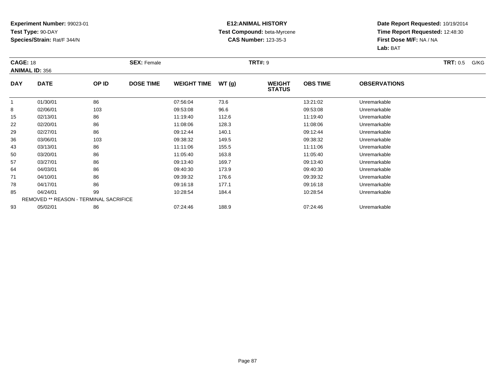### **E12:ANIMAL HISTORY Test Compound:** beta-Myrcene**CAS Number:** 123-35-3

| <b>CAGE: 18</b> | <b>ANIMAL ID: 356</b>                         |       | <b>SEX: Female</b> |                    |       | <b>TRT#: 9</b>                 |                 |                     | <b>TRT: 0.5</b><br>G/KG |
|-----------------|-----------------------------------------------|-------|--------------------|--------------------|-------|--------------------------------|-----------------|---------------------|-------------------------|
| <b>DAY</b>      | <b>DATE</b>                                   | OP ID | <b>DOSE TIME</b>   | <b>WEIGHT TIME</b> | WT(g) | <b>WEIGHT</b><br><b>STATUS</b> | <b>OBS TIME</b> | <b>OBSERVATIONS</b> |                         |
| -1              | 01/30/01                                      | 86    |                    | 07:56:04           | 73.6  |                                | 13:21:02        | Unremarkable        |                         |
| 8               | 02/06/01                                      | 103   |                    | 09:53:08           | 96.6  |                                | 09:53:08        | Unremarkable        |                         |
| 15              | 02/13/01                                      | 86    |                    | 11:19:40           | 112.6 |                                | 11:19:40        | Unremarkable        |                         |
| 22              | 02/20/01                                      | 86    |                    | 11:08:06           | 128.3 |                                | 11:08:06        | Unremarkable        |                         |
| 29              | 02/27/01                                      | 86    |                    | 09:12:44           | 140.1 |                                | 09:12:44        | Unremarkable        |                         |
| 36              | 03/06/01                                      | 103   |                    | 09:38:32           | 149.5 |                                | 09:38:32        | Unremarkable        |                         |
| 43              | 03/13/01                                      | 86    |                    | 11:11:06           | 155.5 |                                | 11:11:06        | Unremarkable        |                         |
| 50              | 03/20/01                                      | 86    |                    | 11:05:40           | 163.8 |                                | 11:05:40        | Unremarkable        |                         |
| 57              | 03/27/01                                      | 86    |                    | 09:13:40           | 169.7 |                                | 09:13:40        | Unremarkable        |                         |
| 64              | 04/03/01                                      | 86    |                    | 09:40:30           | 173.9 |                                | 09:40:30        | Unremarkable        |                         |
| 71              | 04/10/01                                      | 86    |                    | 09:39:32           | 176.6 |                                | 09:39:32        | Unremarkable        |                         |
| 78              | 04/17/01                                      | 86    |                    | 09:16:18           | 177.1 |                                | 09:16:18        | Unremarkable        |                         |
| 85              | 04/24/01                                      | 99    |                    | 10:28:54           | 184.4 |                                | 10:28:54        | Unremarkable        |                         |
|                 | <b>REMOVED ** REASON - TERMINAL SACRIFICE</b> |       |                    |                    |       |                                |                 |                     |                         |
| 93              | 05/02/01                                      | 86    |                    | 07:24:46           | 188.9 |                                | 07:24:46        | Unremarkable        |                         |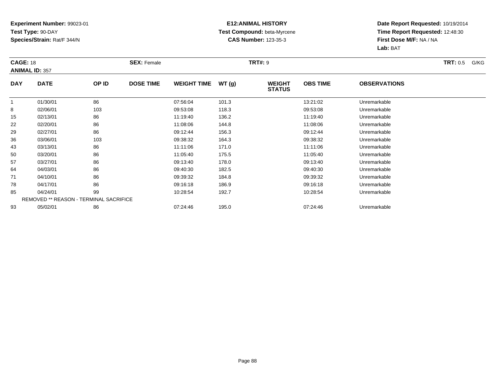### **E12:ANIMAL HISTORY Test Compound:** beta-Myrcene**CAS Number:** 123-35-3

| <b>CAGE: 18</b> | <b>ANIMAL ID: 357</b>                         |       | <b>SEX: Female</b> |                    |       | <b>TRT#: 9</b>                 |                 |                     | <b>TRT:</b> 0.5<br>G/KG |
|-----------------|-----------------------------------------------|-------|--------------------|--------------------|-------|--------------------------------|-----------------|---------------------|-------------------------|
| <b>DAY</b>      | <b>DATE</b>                                   | OP ID | <b>DOSE TIME</b>   | <b>WEIGHT TIME</b> | WT(g) | <b>WEIGHT</b><br><b>STATUS</b> | <b>OBS TIME</b> | <b>OBSERVATIONS</b> |                         |
| -1              | 01/30/01                                      | 86    |                    | 07:56:04           | 101.3 |                                | 13:21:02        | Unremarkable        |                         |
| 8               | 02/06/01                                      | 103   |                    | 09:53:08           | 118.3 |                                | 09:53:08        | Unremarkable        |                         |
| 15              | 02/13/01                                      | 86    |                    | 11:19:40           | 136.2 |                                | 11:19:40        | Unremarkable        |                         |
| 22              | 02/20/01                                      | 86    |                    | 11:08:06           | 144.8 |                                | 11:08:06        | Unremarkable        |                         |
| 29              | 02/27/01                                      | 86    |                    | 09:12:44           | 156.3 |                                | 09:12:44        | Unremarkable        |                         |
| 36              | 03/06/01                                      | 103   |                    | 09:38:32           | 164.3 |                                | 09:38:32        | Unremarkable        |                         |
| 43              | 03/13/01                                      | 86    |                    | 11:11:06           | 171.0 |                                | 11:11:06        | Unremarkable        |                         |
| 50              | 03/20/01                                      | 86    |                    | 11:05:40           | 175.5 |                                | 11:05:40        | Unremarkable        |                         |
| 57              | 03/27/01                                      | 86    |                    | 09:13:40           | 178.0 |                                | 09:13:40        | Unremarkable        |                         |
| 64              | 04/03/01                                      | 86    |                    | 09:40:30           | 182.5 |                                | 09:40:30        | Unremarkable        |                         |
| 71              | 04/10/01                                      | 86    |                    | 09:39:32           | 184.8 |                                | 09:39:32        | Unremarkable        |                         |
| 78              | 04/17/01                                      | 86    |                    | 09:16:18           | 186.9 |                                | 09:16:18        | Unremarkable        |                         |
| 85              | 04/24/01                                      | 99    |                    | 10:28:54           | 192.7 |                                | 10:28:54        | Unremarkable        |                         |
|                 | <b>REMOVED ** REASON - TERMINAL SACRIFICE</b> |       |                    |                    |       |                                |                 |                     |                         |
| 93              | 05/02/01                                      | 86    |                    | 07:24:46           | 195.0 |                                | 07:24:46        | Unremarkable        |                         |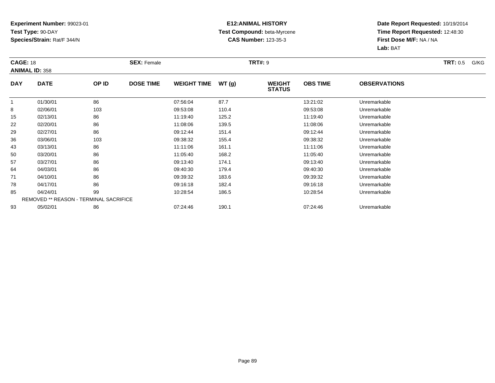### **E12:ANIMAL HISTORY Test Compound:** beta-Myrcene**CAS Number:** 123-35-3

| <b>CAGE: 18</b> | <b>ANIMAL ID: 358</b>                         |       | <b>SEX: Female</b> |                    |       | <b>TRT#: 9</b>                 |                 |                     | <b>TRT:</b> 0.5<br>G/KG |
|-----------------|-----------------------------------------------|-------|--------------------|--------------------|-------|--------------------------------|-----------------|---------------------|-------------------------|
| <b>DAY</b>      | <b>DATE</b>                                   | OP ID | <b>DOSE TIME</b>   | <b>WEIGHT TIME</b> | WT(g) | <b>WEIGHT</b><br><b>STATUS</b> | <b>OBS TIME</b> | <b>OBSERVATIONS</b> |                         |
| -1              | 01/30/01                                      | 86    |                    | 07:56:04           | 87.7  |                                | 13:21:02        | Unremarkable        |                         |
| 8               | 02/06/01                                      | 103   |                    | 09:53:08           | 110.4 |                                | 09:53:08        | Unremarkable        |                         |
| 15              | 02/13/01                                      | 86    |                    | 11:19:40           | 125.2 |                                | 11:19:40        | Unremarkable        |                         |
| 22              | 02/20/01                                      | 86    |                    | 11:08:06           | 139.5 |                                | 11:08:06        | Unremarkable        |                         |
| 29              | 02/27/01                                      | 86    |                    | 09:12:44           | 151.4 |                                | 09:12:44        | Unremarkable        |                         |
| 36              | 03/06/01                                      | 103   |                    | 09:38:32           | 155.4 |                                | 09:38:32        | Unremarkable        |                         |
| 43              | 03/13/01                                      | 86    |                    | 11:11:06           | 161.1 |                                | 11:11:06        | Unremarkable        |                         |
| 50              | 03/20/01                                      | 86    |                    | 11:05:40           | 168.2 |                                | 11:05:40        | Unremarkable        |                         |
| 57              | 03/27/01                                      | 86    |                    | 09:13:40           | 174.1 |                                | 09:13:40        | Unremarkable        |                         |
| 64              | 04/03/01                                      | 86    |                    | 09:40:30           | 179.4 |                                | 09:40:30        | Unremarkable        |                         |
| 71              | 04/10/01                                      | 86    |                    | 09:39:32           | 183.6 |                                | 09:39:32        | Unremarkable        |                         |
| 78              | 04/17/01                                      | 86    |                    | 09:16:18           | 182.4 |                                | 09:16:18        | Unremarkable        |                         |
| 85              | 04/24/01                                      | 99    |                    | 10:28:54           | 186.5 |                                | 10:28:54        | Unremarkable        |                         |
|                 | <b>REMOVED ** REASON - TERMINAL SACRIFICE</b> |       |                    |                    |       |                                |                 |                     |                         |
| 93              | 05/02/01                                      | 86    |                    | 07:24:46           | 190.1 |                                | 07:24:46        | Unremarkable        |                         |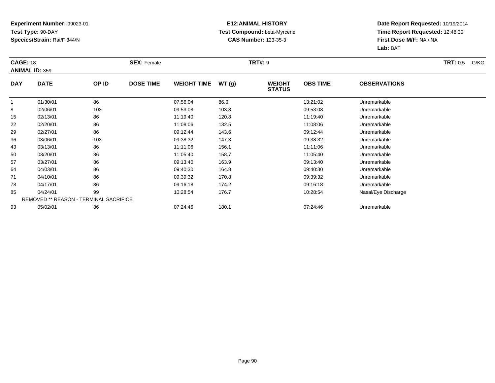### **E12:ANIMAL HISTORY Test Compound:** beta-Myrcene**CAS Number:** 123-35-3

| <b>CAGE: 18</b> | <b>ANIMAL ID: 359</b>                         |       | <b>SEX: Female</b> |                    |       | <b>TRT#: 9</b>                 |                 |                     | <b>TRT:</b> 0.5<br>G/KG |
|-----------------|-----------------------------------------------|-------|--------------------|--------------------|-------|--------------------------------|-----------------|---------------------|-------------------------|
| <b>DAY</b>      | <b>DATE</b>                                   | OP ID | <b>DOSE TIME</b>   | <b>WEIGHT TIME</b> | WT(g) | <b>WEIGHT</b><br><b>STATUS</b> | <b>OBS TIME</b> | <b>OBSERVATIONS</b> |                         |
|                 | 01/30/01                                      | 86    |                    | 07:56:04           | 86.0  |                                | 13:21:02        | Unremarkable        |                         |
| 8               | 02/06/01                                      | 103   |                    | 09:53:08           | 103.8 |                                | 09:53:08        | Unremarkable        |                         |
| 15              | 02/13/01                                      | 86    |                    | 11:19:40           | 120.8 |                                | 11:19:40        | Unremarkable        |                         |
| 22              | 02/20/01                                      | 86    |                    | 11:08:06           | 132.5 |                                | 11:08:06        | Unremarkable        |                         |
| 29              | 02/27/01                                      | 86    |                    | 09:12:44           | 143.6 |                                | 09:12:44        | Unremarkable        |                         |
| 36              | 03/06/01                                      | 103   |                    | 09:38:32           | 147.3 |                                | 09:38:32        | Unremarkable        |                         |
| 43              | 03/13/01                                      | 86    |                    | 11:11:06           | 156.1 |                                | 11:11:06        | Unremarkable        |                         |
| 50              | 03/20/01                                      | 86    |                    | 11:05:40           | 158.7 |                                | 11:05:40        | Unremarkable        |                         |
| 57              | 03/27/01                                      | 86    |                    | 09:13:40           | 163.9 |                                | 09:13:40        | Unremarkable        |                         |
| 64              | 04/03/01                                      | 86    |                    | 09:40:30           | 164.8 |                                | 09:40:30        | Unremarkable        |                         |
| 71              | 04/10/01                                      | 86    |                    | 09:39:32           | 170.8 |                                | 09:39:32        | Unremarkable        |                         |
| 78              | 04/17/01                                      | 86    |                    | 09:16:18           | 174.2 |                                | 09:16:18        | Unremarkable        |                         |
| 85              | 04/24/01                                      | 99    |                    | 10:28:54           | 176.7 |                                | 10:28:54        | Nasal/Eye Discharge |                         |
|                 | <b>REMOVED ** REASON - TERMINAL SACRIFICE</b> |       |                    |                    |       |                                |                 |                     |                         |
| 93              | 05/02/01                                      | 86    |                    | 07:24:46           | 180.1 |                                | 07:24:46        | Unremarkable        |                         |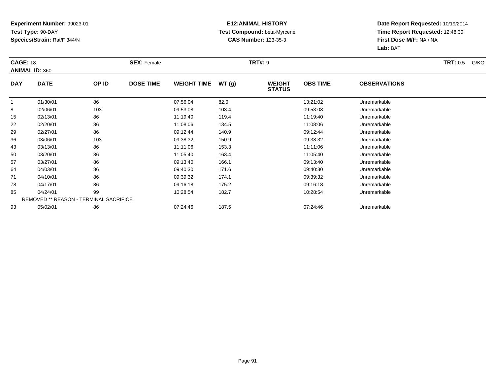### **E12:ANIMAL HISTORY Test Compound:** beta-Myrcene**CAS Number:** 123-35-3

| <b>CAGE: 18</b> | <b>ANIMAL ID: 360</b>                         |       | <b>SEX: Female</b> |                    |       | <b>TRT#: 9</b>                 |                 |                     | <b>TRT:</b> 0.5<br>G/KG |
|-----------------|-----------------------------------------------|-------|--------------------|--------------------|-------|--------------------------------|-----------------|---------------------|-------------------------|
| <b>DAY</b>      | <b>DATE</b>                                   | OP ID | <b>DOSE TIME</b>   | <b>WEIGHT TIME</b> | WT(g) | <b>WEIGHT</b><br><b>STATUS</b> | <b>OBS TIME</b> | <b>OBSERVATIONS</b> |                         |
|                 | 01/30/01                                      | 86    |                    | 07:56:04           | 82.0  |                                | 13:21:02        | Unremarkable        |                         |
| 8               | 02/06/01                                      | 103   |                    | 09:53:08           | 103.4 |                                | 09:53:08        | Unremarkable        |                         |
| 15              | 02/13/01                                      | 86    |                    | 11:19:40           | 119.4 |                                | 11:19:40        | Unremarkable        |                         |
| 22              | 02/20/01                                      | 86    |                    | 11:08:06           | 134.5 |                                | 11:08:06        | Unremarkable        |                         |
| 29              | 02/27/01                                      | 86    |                    | 09:12:44           | 140.9 |                                | 09:12:44        | Unremarkable        |                         |
| 36              | 03/06/01                                      | 103   |                    | 09:38:32           | 150.9 |                                | 09:38:32        | Unremarkable        |                         |
| 43              | 03/13/01                                      | 86    |                    | 11:11:06           | 153.3 |                                | 11:11:06        | Unremarkable        |                         |
| 50              | 03/20/01                                      | 86    |                    | 11:05:40           | 163.4 |                                | 11:05:40        | Unremarkable        |                         |
| 57              | 03/27/01                                      | 86    |                    | 09:13:40           | 166.1 |                                | 09:13:40        | Unremarkable        |                         |
| 64              | 04/03/01                                      | 86    |                    | 09:40:30           | 171.6 |                                | 09:40:30        | Unremarkable        |                         |
| 71              | 04/10/01                                      | 86    |                    | 09:39:32           | 174.1 |                                | 09:39:32        | Unremarkable        |                         |
| 78              | 04/17/01                                      | 86    |                    | 09:16:18           | 175.2 |                                | 09:16:18        | Unremarkable        |                         |
| 85              | 04/24/01                                      | 99    |                    | 10:28:54           | 182.7 |                                | 10:28:54        | Unremarkable        |                         |
|                 | <b>REMOVED ** REASON - TERMINAL SACRIFICE</b> |       |                    |                    |       |                                |                 |                     |                         |
| 93              | 05/02/01                                      | 86    |                    | 07:24:46           | 187.5 |                                | 07:24:46        | Unremarkable        |                         |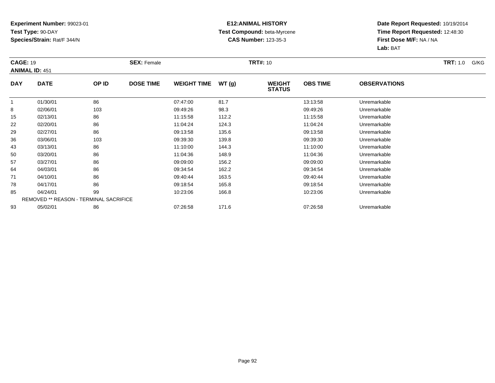#### **E12:ANIMAL HISTORY Test Compound:** beta-Myrcene**CAS Number:** 123-35-3

| <b>CAGE: 19</b> | <b>ANIMAL ID: 451</b>                         |       | <b>SEX: Female</b> |                    |       | <b>TRT#: 10</b>                |                 |                     | <b>TRT:</b> 1.0<br>G/KG |
|-----------------|-----------------------------------------------|-------|--------------------|--------------------|-------|--------------------------------|-----------------|---------------------|-------------------------|
| <b>DAY</b>      | <b>DATE</b>                                   | OP ID | <b>DOSE TIME</b>   | <b>WEIGHT TIME</b> | WT(g) | <b>WEIGHT</b><br><b>STATUS</b> | <b>OBS TIME</b> | <b>OBSERVATIONS</b> |                         |
|                 | 01/30/01                                      | 86    |                    | 07:47:00           | 81.7  |                                | 13:13:58        | Unremarkable        |                         |
| 8               | 02/06/01                                      | 103   |                    | 09:49:26           | 98.3  |                                | 09:49:26        | Unremarkable        |                         |
| 15              | 02/13/01                                      | 86    |                    | 11:15:58           | 112.2 |                                | 11:15:58        | Unremarkable        |                         |
| 22              | 02/20/01                                      | 86    |                    | 11:04:24           | 124.3 |                                | 11:04:24        | Unremarkable        |                         |
| 29              | 02/27/01                                      | 86    |                    | 09:13:58           | 135.6 |                                | 09:13:58        | Unremarkable        |                         |
| 36              | 03/06/01                                      | 103   |                    | 09:39:30           | 139.8 |                                | 09:39:30        | Unremarkable        |                         |
| 43              | 03/13/01                                      | 86    |                    | 11:10:00           | 144.3 |                                | 11:10:00        | Unremarkable        |                         |
| 50              | 03/20/01                                      | 86    |                    | 11:04:36           | 148.9 |                                | 11:04:36        | Unremarkable        |                         |
| 57              | 03/27/01                                      | 86    |                    | 09:09:00           | 156.2 |                                | 09:09:00        | Unremarkable        |                         |
| 64              | 04/03/01                                      | 86    |                    | 09:34:54           | 162.2 |                                | 09:34:54        | Unremarkable        |                         |
| 71              | 04/10/01                                      | 86    |                    | 09:40:44           | 163.5 |                                | 09:40:44        | Unremarkable        |                         |
| 78              | 04/17/01                                      | 86    |                    | 09:18:54           | 165.8 |                                | 09:18:54        | Unremarkable        |                         |
| 85              | 04/24/01                                      | 99    |                    | 10:23:06           | 166.8 |                                | 10:23:06        | Unremarkable        |                         |
|                 | <b>REMOVED ** REASON - TERMINAL SACRIFICE</b> |       |                    |                    |       |                                |                 |                     |                         |
| 93              | 05/02/01                                      | 86    |                    | 07:26:58           | 171.6 |                                | 07:26:58        | Unremarkable        |                         |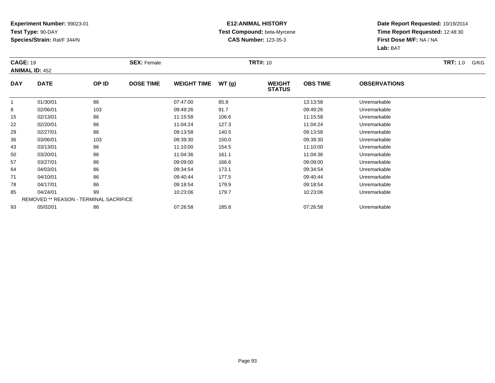### **E12:ANIMAL HISTORY Test Compound:** beta-Myrcene**CAS Number:** 123-35-3

| <b>CAGE: 19</b> | <b>ANIMAL ID: 452</b>                         |       | <b>SEX: Female</b> |                    |       | <b>TRT#:</b> 10                |                 |                     | <b>TRT:</b> 1.0<br>G/KG |
|-----------------|-----------------------------------------------|-------|--------------------|--------------------|-------|--------------------------------|-----------------|---------------------|-------------------------|
| <b>DAY</b>      | <b>DATE</b>                                   | OP ID | <b>DOSE TIME</b>   | <b>WEIGHT TIME</b> | WT(g) | <b>WEIGHT</b><br><b>STATUS</b> | <b>OBS TIME</b> | <b>OBSERVATIONS</b> |                         |
|                 | 01/30/01                                      | 86    |                    | 07:47:00           | 65.9  |                                | 13:13:58        | Unremarkable        |                         |
| 8               | 02/06/01                                      | 103   |                    | 09:49:26           | 91.7  |                                | 09:49:26        | Unremarkable        |                         |
| 15              | 02/13/01                                      | 86    |                    | 11:15:58           | 106.6 |                                | 11:15:58        | Unremarkable        |                         |
| 22              | 02/20/01                                      | 86    |                    | 11:04:24           | 127.3 |                                | 11:04:24        | Unremarkable        |                         |
| 29              | 02/27/01                                      | 86    |                    | 09:13:58           | 140.5 |                                | 09:13:58        | Unremarkable        |                         |
| 36              | 03/06/01                                      | 103   |                    | 09:39:30           | 150.0 |                                | 09:39:30        | Unremarkable        |                         |
| 43              | 03/13/01                                      | 86    |                    | 11:10:00           | 154.5 |                                | 11:10:00        | Unremarkable        |                         |
| 50              | 03/20/01                                      | 86    |                    | 11:04:36           | 161.1 |                                | 11:04:36        | Unremarkable        |                         |
| 57              | 03/27/01                                      | 86    |                    | 09:09:00           | 166.6 |                                | 09:09:00        | Unremarkable        |                         |
| 64              | 04/03/01                                      | 86    |                    | 09:34:54           | 173.1 |                                | 09:34:54        | Unremarkable        |                         |
| 71              | 04/10/01                                      | 86    |                    | 09:40:44           | 177.5 |                                | 09:40:44        | Unremarkable        |                         |
| 78              | 04/17/01                                      | 86    |                    | 09:18:54           | 179.9 |                                | 09:18:54        | Unremarkable        |                         |
| 85              | 04/24/01                                      | 99    |                    | 10:23:06           | 179.7 |                                | 10:23:06        | Unremarkable        |                         |
|                 | <b>REMOVED ** REASON - TERMINAL SACRIFICE</b> |       |                    |                    |       |                                |                 |                     |                         |
| 93              | 05/02/01                                      | 86    |                    | 07:26:58           | 185.8 |                                | 07:26:58        | Unremarkable        |                         |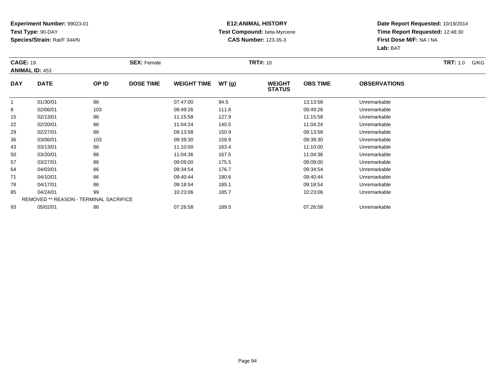### **E12:ANIMAL HISTORY Test Compound:** beta-Myrcene**CAS Number:** 123-35-3

| <b>CAGE: 19</b> | <b>ANIMAL ID: 453</b>                         |       | <b>SEX: Female</b> |                    |       | <b>TRT#: 10</b>                |                 |                     | <b>TRT:</b> 1.0<br>G/KG |
|-----------------|-----------------------------------------------|-------|--------------------|--------------------|-------|--------------------------------|-----------------|---------------------|-------------------------|
| <b>DAY</b>      | <b>DATE</b>                                   | OP ID | <b>DOSE TIME</b>   | <b>WEIGHT TIME</b> | WT(g) | <b>WEIGHT</b><br><b>STATUS</b> | <b>OBS TIME</b> | <b>OBSERVATIONS</b> |                         |
|                 | 01/30/01                                      | 86    |                    | 07:47:00           | 94.5  |                                | 13:13:58        | Unremarkable        |                         |
| 8               | 02/06/01                                      | 103   |                    | 09:49:26           | 111.6 |                                | 09:49:26        | Unremarkable        |                         |
| 15              | 02/13/01                                      | 86    |                    | 11:15:58           | 127.9 |                                | 11:15:58        | Unremarkable        |                         |
| 22              | 02/20/01                                      | 86    |                    | 11:04:24           | 140.5 |                                | 11:04:24        | Unremarkable        |                         |
| 29              | 02/27/01                                      | 86    |                    | 09:13:58           | 150.9 |                                | 09:13:58        | Unremarkable        |                         |
| 36              | 03/06/01                                      | 103   |                    | 09:39:30           | 158.9 |                                | 09:39:30        | Unremarkable        |                         |
| 43              | 03/13/01                                      | 86    |                    | 11:10:00           | 163.4 |                                | 11:10:00        | Unremarkable        |                         |
| 50              | 03/20/01                                      | 86    |                    | 11:04:36           | 167.5 |                                | 11:04:36        | Unremarkable        |                         |
| 57              | 03/27/01                                      | 86    |                    | 09:09:00           | 175.5 |                                | 09:09:00        | Unremarkable        |                         |
| 64              | 04/03/01                                      | 86    |                    | 09:34:54           | 176.7 |                                | 09:34:54        | Unremarkable        |                         |
| 71              | 04/10/01                                      | 86    |                    | 09:40:44           | 180.6 |                                | 09:40:44        | Unremarkable        |                         |
| 78              | 04/17/01                                      | 86    |                    | 09:18:54           | 185.1 |                                | 09:18:54        | Unremarkable        |                         |
| 85              | 04/24/01                                      | 99    |                    | 10:23:06           | 185.7 |                                | 10:23:06        | Unremarkable        |                         |
|                 | <b>REMOVED ** REASON - TERMINAL SACRIFICE</b> |       |                    |                    |       |                                |                 |                     |                         |
| 93              | 05/02/01                                      | 86    |                    | 07:26:58           | 189.5 |                                | 07:26:58        | Unremarkable        |                         |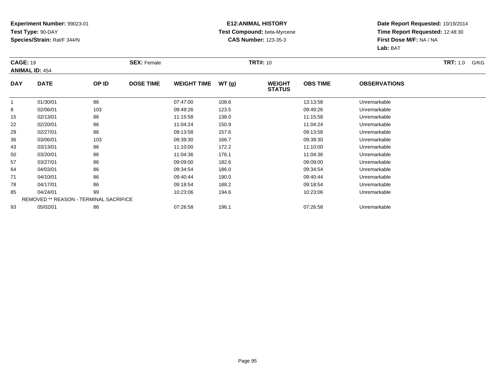#### **E12:ANIMAL HISTORY Test Compound:** beta-Myrcene**CAS Number:** 123-35-3

| <b>CAGE: 19</b> | <b>ANIMAL ID: 454</b>                         |       | <b>SEX: Female</b> |                    |       | <b>TRT#: 10</b>                |                 |                     | <b>TRT:</b> 1.0<br>G/KG |
|-----------------|-----------------------------------------------|-------|--------------------|--------------------|-------|--------------------------------|-----------------|---------------------|-------------------------|
| <b>DAY</b>      | <b>DATE</b>                                   | OP ID | <b>DOSE TIME</b>   | <b>WEIGHT TIME</b> | WT(g) | <b>WEIGHT</b><br><b>STATUS</b> | <b>OBS TIME</b> | <b>OBSERVATIONS</b> |                         |
|                 | 01/30/01                                      | 86    |                    | 07:47:00           | 108.6 |                                | 13:13:58        | Unremarkable        |                         |
| 8               | 02/06/01                                      | 103   |                    | 09:49:26           | 123.5 |                                | 09:49:26        | Unremarkable        |                         |
| 15              | 02/13/01                                      | 86    |                    | 11:15:58           | 138.0 |                                | 11:15:58        | Unremarkable        |                         |
| 22              | 02/20/01                                      | 86    |                    | 11:04:24           | 150.9 |                                | 11:04:24        | Unremarkable        |                         |
| 29              | 02/27/01                                      | 86    |                    | 09:13:58           | 157.6 |                                | 09:13:58        | Unremarkable        |                         |
| 36              | 03/06/01                                      | 103   |                    | 09:39:30           | 166.7 |                                | 09:39:30        | Unremarkable        |                         |
| 43              | 03/13/01                                      | 86    |                    | 11:10:00           | 172.2 |                                | 11:10:00        | Unremarkable        |                         |
| 50              | 03/20/01                                      | 86    |                    | 11:04:36           | 176.1 |                                | 11:04:36        | Unremarkable        |                         |
| 57              | 03/27/01                                      | 86    |                    | 09:09:00           | 182.6 |                                | 09:09:00        | Unremarkable        |                         |
| 64              | 04/03/01                                      | 86    |                    | 09:34:54           | 186.0 |                                | 09:34:54        | Unremarkable        |                         |
| 71              | 04/10/01                                      | 86    |                    | 09:40:44           | 190.0 |                                | 09:40:44        | Unremarkable        |                         |
| 78              | 04/17/01                                      | 86    |                    | 09:18:54           | 188.2 |                                | 09:18:54        | Unremarkable        |                         |
| 85              | 04/24/01                                      | 99    |                    | 10:23:06           | 194.6 |                                | 10:23:06        | Unremarkable        |                         |
|                 | <b>REMOVED ** REASON - TERMINAL SACRIFICE</b> |       |                    |                    |       |                                |                 |                     |                         |
| 93              | 05/02/01                                      | 86    |                    | 07:26:58           | 196.1 |                                | 07:26:58        | Unremarkable        |                         |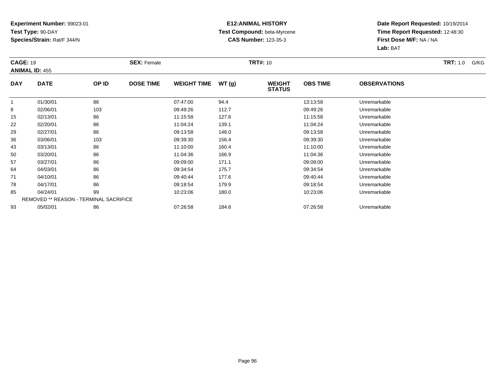### **E12:ANIMAL HISTORY Test Compound:** beta-Myrcene**CAS Number:** 123-35-3

| <b>CAGE: 19</b> | <b>ANIMAL ID: 455</b>                         |       | <b>SEX: Female</b> |                    |       | <b>TRT#: 10</b>                |                 |                     | <b>TRT:</b> 1.0<br>G/KG |
|-----------------|-----------------------------------------------|-------|--------------------|--------------------|-------|--------------------------------|-----------------|---------------------|-------------------------|
| <b>DAY</b>      | <b>DATE</b>                                   | OP ID | <b>DOSE TIME</b>   | <b>WEIGHT TIME</b> | WT(g) | <b>WEIGHT</b><br><b>STATUS</b> | <b>OBS TIME</b> | <b>OBSERVATIONS</b> |                         |
| $\mathbf{1}$    | 01/30/01                                      | 86    |                    | 07:47:00           | 94.4  |                                | 13:13:58        | Unremarkable        |                         |
| 8               | 02/06/01                                      | 103   |                    | 09:49:26           | 112.7 |                                | 09:49:26        | Unremarkable        |                         |
| 15              | 02/13/01                                      | 86    |                    | 11:15:58           | 127.6 |                                | 11:15:58        | Unremarkable        |                         |
| 22              | 02/20/01                                      | 86    |                    | 11:04:24           | 139.1 |                                | 11:04:24        | Unremarkable        |                         |
| 29              | 02/27/01                                      | 86    |                    | 09:13:58           | 148.0 |                                | 09:13:58        | Unremarkable        |                         |
| 36              | 03/06/01                                      | 103   |                    | 09:39:30           | 156.4 |                                | 09:39:30        | Unremarkable        |                         |
| 43              | 03/13/01                                      | 86    |                    | 11:10:00           | 160.4 |                                | 11:10:00        | Unremarkable        |                         |
| 50              | 03/20/01                                      | 86    |                    | 11:04:36           | 166.9 |                                | 11:04:36        | Unremarkable        |                         |
| 57              | 03/27/01                                      | 86    |                    | 09:09:00           | 171.1 |                                | 09:09:00        | Unremarkable        |                         |
| 64              | 04/03/01                                      | 86    |                    | 09:34:54           | 175.7 |                                | 09:34:54        | Unremarkable        |                         |
| 71              | 04/10/01                                      | 86    |                    | 09:40:44           | 177.6 |                                | 09:40:44        | Unremarkable        |                         |
| 78              | 04/17/01                                      | 86    |                    | 09:18:54           | 179.9 |                                | 09:18:54        | Unremarkable        |                         |
| 85              | 04/24/01                                      | 99    |                    | 10:23:06           | 180.0 |                                | 10:23:06        | Unremarkable        |                         |
|                 | <b>REMOVED ** REASON - TERMINAL SACRIFICE</b> |       |                    |                    |       |                                |                 |                     |                         |
| 93              | 05/02/01                                      | 86    |                    | 07:26:58           | 184.6 |                                | 07:26:58        | Unremarkable        |                         |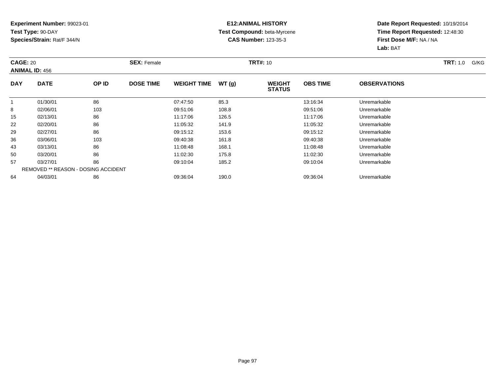#### **E12:ANIMAL HISTORY Test Compound:** beta-Myrcene**CAS Number:** 123-35-3

| <b>CAGE: 20</b> | <b>ANIMAL ID: 456</b>                      | <b>TRT#: 10</b><br><b>SEX: Female</b> |                  |                    |       |                                |                 | <b>TRT:</b> 1.0<br>G/KG |  |
|-----------------|--------------------------------------------|---------------------------------------|------------------|--------------------|-------|--------------------------------|-----------------|-------------------------|--|
| <b>DAY</b>      | <b>DATE</b>                                | <b>OP ID</b>                          | <b>DOSE TIME</b> | <b>WEIGHT TIME</b> | WT(g) | <b>WEIGHT</b><br><b>STATUS</b> | <b>OBS TIME</b> | <b>OBSERVATIONS</b>     |  |
| 1               | 01/30/01                                   | 86                                    |                  | 07:47:50           | 85.3  |                                | 13:16:34        | Unremarkable            |  |
| 8               | 02/06/01                                   | 103                                   |                  | 09:51:06           | 108.8 |                                | 09:51:06        | Unremarkable            |  |
| 15              | 02/13/01                                   | 86                                    |                  | 11:17:06           | 126.5 |                                | 11:17:06        | Unremarkable            |  |
| 22              | 02/20/01                                   | 86                                    |                  | 11:05:32           | 141.9 |                                | 11:05:32        | Unremarkable            |  |
| 29              | 02/27/01                                   | 86                                    |                  | 09:15:12           | 153.6 |                                | 09:15:12        | Unremarkable            |  |
| 36              | 03/06/01                                   | 103                                   |                  | 09:40:38           | 161.8 |                                | 09:40:38        | Unremarkable            |  |
| 43              | 03/13/01                                   | 86                                    |                  | 11:08:48           | 168.1 |                                | 11:08:48        | Unremarkable            |  |
| 50              | 03/20/01                                   | 86                                    |                  | 11:02:30           | 175.8 |                                | 11:02:30        | Unremarkable            |  |
| 57              | 03/27/01                                   | 86                                    |                  | 09:10:04           | 185.2 |                                | 09:10:04        | Unremarkable            |  |
|                 | <b>REMOVED ** REASON - DOSING ACCIDENT</b> |                                       |                  |                    |       |                                |                 |                         |  |
| 64              | 04/03/01                                   | 86                                    |                  | 09:36:04           | 190.0 |                                | 09:36:04        | Unremarkable            |  |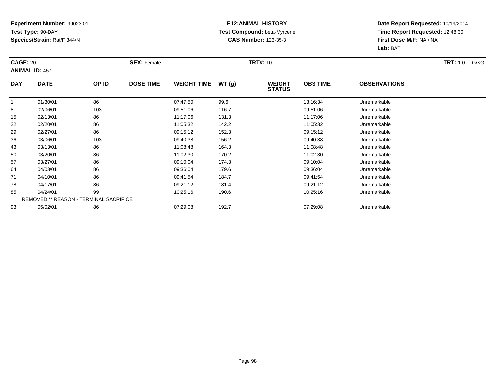### **E12:ANIMAL HISTORY Test Compound:** beta-Myrcene**CAS Number:** 123-35-3

| <b>CAGE: 20</b> | <b>ANIMAL ID: 457</b>                         |       | <b>SEX: Female</b> |                    |       | <b>TRT#: 10</b>                |                 |                     | <b>TRT:</b> 1.0<br>G/KG |
|-----------------|-----------------------------------------------|-------|--------------------|--------------------|-------|--------------------------------|-----------------|---------------------|-------------------------|
| <b>DAY</b>      | <b>DATE</b>                                   | OP ID | <b>DOSE TIME</b>   | <b>WEIGHT TIME</b> | WT(g) | <b>WEIGHT</b><br><b>STATUS</b> | <b>OBS TIME</b> | <b>OBSERVATIONS</b> |                         |
| -1              | 01/30/01                                      | 86    |                    | 07:47:50           | 99.6  |                                | 13:16:34        | Unremarkable        |                         |
| 8               | 02/06/01                                      | 103   |                    | 09:51:06           | 116.7 |                                | 09:51:06        | Unremarkable        |                         |
| 15              | 02/13/01                                      | 86    |                    | 11:17:06           | 131.3 |                                | 11:17:06        | Unremarkable        |                         |
| 22              | 02/20/01                                      | 86    |                    | 11:05:32           | 142.2 |                                | 11:05:32        | Unremarkable        |                         |
| 29              | 02/27/01                                      | 86    |                    | 09:15:12           | 152.3 |                                | 09:15:12        | Unremarkable        |                         |
| 36              | 03/06/01                                      | 103   |                    | 09:40:38           | 156.2 |                                | 09:40:38        | Unremarkable        |                         |
| 43              | 03/13/01                                      | 86    |                    | 11:08:48           | 164.3 |                                | 11:08:48        | Unremarkable        |                         |
| 50              | 03/20/01                                      | 86    |                    | 11:02:30           | 170.2 |                                | 11:02:30        | Unremarkable        |                         |
| 57              | 03/27/01                                      | 86    |                    | 09:10:04           | 174.3 |                                | 09:10:04        | Unremarkable        |                         |
| 64              | 04/03/01                                      | 86    |                    | 09:36:04           | 179.6 |                                | 09:36:04        | Unremarkable        |                         |
| 71              | 04/10/01                                      | 86    |                    | 09:41:54           | 184.7 |                                | 09:41:54        | Unremarkable        |                         |
| 78              | 04/17/01                                      | 86    |                    | 09:21:12           | 181.4 |                                | 09:21:12        | Unremarkable        |                         |
| 85              | 04/24/01                                      | 99    |                    | 10:25:16           | 190.6 |                                | 10:25:16        | Unremarkable        |                         |
|                 | <b>REMOVED ** REASON - TERMINAL SACRIFICE</b> |       |                    |                    |       |                                |                 |                     |                         |
| 93              | 05/02/01                                      | 86    |                    | 07:29:08           | 192.7 |                                | 07:29:08        | Unremarkable        |                         |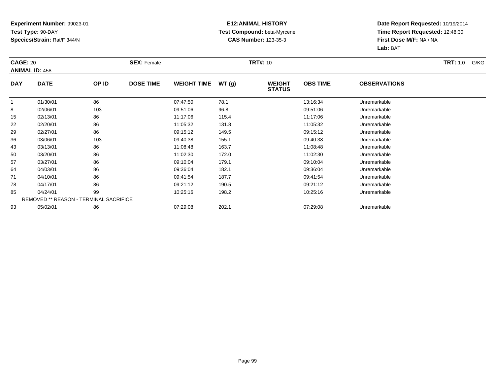### **E12:ANIMAL HISTORY Test Compound:** beta-Myrcene**CAS Number:** 123-35-3

| <b>CAGE: 20</b> |                                        |       | <b>SEX: Female</b> |                    |       | <b>TRT#: 10</b>                |                 |                     | <b>TRT:</b> 1.0<br>G/KG |
|-----------------|----------------------------------------|-------|--------------------|--------------------|-------|--------------------------------|-----------------|---------------------|-------------------------|
|                 | <b>ANIMAL ID: 458</b>                  |       |                    |                    |       |                                |                 |                     |                         |
| <b>DAY</b>      | <b>DATE</b>                            | OP ID | <b>DOSE TIME</b>   | <b>WEIGHT TIME</b> | WT(g) | <b>WEIGHT</b><br><b>STATUS</b> | <b>OBS TIME</b> | <b>OBSERVATIONS</b> |                         |
| $\mathbf{1}$    | 01/30/01                               | 86    |                    | 07:47:50           | 78.1  |                                | 13:16:34        | Unremarkable        |                         |
| 8               | 02/06/01                               | 103   |                    | 09:51:06           | 96.8  |                                | 09:51:06        | Unremarkable        |                         |
| 15              | 02/13/01                               | 86    |                    | 11:17:06           | 115.4 |                                | 11:17:06        | Unremarkable        |                         |
| 22              | 02/20/01                               | 86    |                    | 11:05:32           | 131.8 |                                | 11:05:32        | Unremarkable        |                         |
| 29              | 02/27/01                               | 86    |                    | 09:15:12           | 149.5 |                                | 09:15:12        | Unremarkable        |                         |
| 36              | 03/06/01                               | 103   |                    | 09:40:38           | 155.1 |                                | 09:40:38        | Unremarkable        |                         |
| 43              | 03/13/01                               | 86    |                    | 11:08:48           | 163.7 |                                | 11:08:48        | Unremarkable        |                         |
| 50              | 03/20/01                               | 86    |                    | 11:02:30           | 172.0 |                                | 11:02:30        | Unremarkable        |                         |
| 57              | 03/27/01                               | 86    |                    | 09:10:04           | 179.1 |                                | 09:10:04        | Unremarkable        |                         |
| 64              | 04/03/01                               | 86    |                    | 09:36:04           | 182.1 |                                | 09:36:04        | Unremarkable        |                         |
| 71              | 04/10/01                               | 86    |                    | 09:41:54           | 187.7 |                                | 09:41:54        | Unremarkable        |                         |
| 78              | 04/17/01                               | 86    |                    | 09:21:12           | 190.5 |                                | 09:21:12        | Unremarkable        |                         |
| 85              | 04/24/01                               | 99    |                    | 10:25:16           | 198.2 |                                | 10:25:16        | Unremarkable        |                         |
|                 | REMOVED ** REASON - TERMINAL SACRIFICE |       |                    |                    |       |                                |                 |                     |                         |
| 93              | 05/02/01                               | 86    |                    | 07:29:08           | 202.1 |                                | 07:29:08        | Unremarkable        |                         |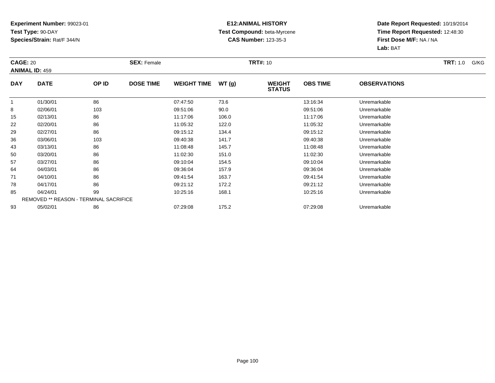### **E12:ANIMAL HISTORY Test Compound:** beta-Myrcene**CAS Number:** 123-35-3

| <b>CAGE: 20</b> |                                               |       | <b>SEX: Female</b> |                    |       | <b>TRT#: 10</b>                |                 |                     | <b>TRT:</b> 1.0<br>G/KG |
|-----------------|-----------------------------------------------|-------|--------------------|--------------------|-------|--------------------------------|-----------------|---------------------|-------------------------|
|                 | <b>ANIMAL ID: 459</b>                         |       |                    |                    |       |                                |                 |                     |                         |
| <b>DAY</b>      | <b>DATE</b>                                   | OP ID | <b>DOSE TIME</b>   | <b>WEIGHT TIME</b> | WT(g) | <b>WEIGHT</b><br><b>STATUS</b> | <b>OBS TIME</b> | <b>OBSERVATIONS</b> |                         |
| $\mathbf{1}$    | 01/30/01                                      | 86    |                    | 07:47:50           | 73.6  |                                | 13:16:34        | Unremarkable        |                         |
| 8               | 02/06/01                                      | 103   |                    | 09:51:06           | 90.0  |                                | 09:51:06        | Unremarkable        |                         |
| 15              | 02/13/01                                      | 86    |                    | 11:17:06           | 106.0 |                                | 11:17:06        | Unremarkable        |                         |
| 22              | 02/20/01                                      | 86    |                    | 11:05:32           | 122.0 |                                | 11:05:32        | Unremarkable        |                         |
| 29              | 02/27/01                                      | 86    |                    | 09:15:12           | 134.4 |                                | 09:15:12        | Unremarkable        |                         |
| 36              | 03/06/01                                      | 103   |                    | 09:40:38           | 141.7 |                                | 09:40:38        | Unremarkable        |                         |
| 43              | 03/13/01                                      | 86    |                    | 11:08:48           | 145.7 |                                | 11:08:48        | Unremarkable        |                         |
| 50              | 03/20/01                                      | 86    |                    | 11:02:30           | 151.0 |                                | 11:02:30        | Unremarkable        |                         |
| 57              | 03/27/01                                      | 86    |                    | 09:10:04           | 154.5 |                                | 09:10:04        | Unremarkable        |                         |
| 64              | 04/03/01                                      | 86    |                    | 09:36:04           | 157.9 |                                | 09:36:04        | Unremarkable        |                         |
| 71              | 04/10/01                                      | 86    |                    | 09:41:54           | 163.7 |                                | 09:41:54        | Unremarkable        |                         |
| 78              | 04/17/01                                      | 86    |                    | 09:21:12           | 172.2 |                                | 09:21:12        | Unremarkable        |                         |
| 85              | 04/24/01                                      | 99    |                    | 10:25:16           | 168.1 |                                | 10:25:16        | Unremarkable        |                         |
|                 | <b>REMOVED ** REASON - TERMINAL SACRIFICE</b> |       |                    |                    |       |                                |                 |                     |                         |
| 93              | 05/02/01                                      | 86    |                    | 07:29:08           | 175.2 |                                | 07:29:08        | Unremarkable        |                         |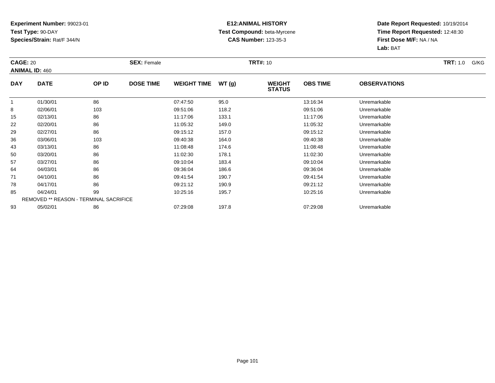### **E12:ANIMAL HISTORY Test Compound:** beta-Myrcene**CAS Number:** 123-35-3

| <b>CAGE: 20</b> |                                        |       | <b>SEX: Female</b> |                    |       | <b>TRT#: 10</b>                |                 |                     | <b>TRT:</b> 1.0<br>G/KG |
|-----------------|----------------------------------------|-------|--------------------|--------------------|-------|--------------------------------|-----------------|---------------------|-------------------------|
|                 | <b>ANIMAL ID: 460</b>                  |       |                    |                    |       |                                |                 |                     |                         |
| <b>DAY</b>      | <b>DATE</b>                            | OP ID | <b>DOSE TIME</b>   | <b>WEIGHT TIME</b> | WT(g) | <b>WEIGHT</b><br><b>STATUS</b> | <b>OBS TIME</b> | <b>OBSERVATIONS</b> |                         |
| $\mathbf{1}$    | 01/30/01                               | 86    |                    | 07:47:50           | 95.0  |                                | 13:16:34        | Unremarkable        |                         |
| 8               | 02/06/01                               | 103   |                    | 09:51:06           | 118.2 |                                | 09:51:06        | Unremarkable        |                         |
| 15              | 02/13/01                               | 86    |                    | 11:17:06           | 133.1 |                                | 11:17:06        | Unremarkable        |                         |
| 22              | 02/20/01                               | 86    |                    | 11:05:32           | 149.0 |                                | 11:05:32        | Unremarkable        |                         |
| 29              | 02/27/01                               | 86    |                    | 09:15:12           | 157.0 |                                | 09:15:12        | Unremarkable        |                         |
| 36              | 03/06/01                               | 103   |                    | 09:40:38           | 164.0 |                                | 09:40:38        | Unremarkable        |                         |
| 43              | 03/13/01                               | 86    |                    | 11:08:48           | 174.6 |                                | 11:08:48        | Unremarkable        |                         |
| 50              | 03/20/01                               | 86    |                    | 11:02:30           | 178.1 |                                | 11:02:30        | Unremarkable        |                         |
| 57              | 03/27/01                               | 86    |                    | 09:10:04           | 183.4 |                                | 09:10:04        | Unremarkable        |                         |
| 64              | 04/03/01                               | 86    |                    | 09:36:04           | 186.6 |                                | 09:36:04        | Unremarkable        |                         |
| 71              | 04/10/01                               | 86    |                    | 09:41:54           | 190.7 |                                | 09:41:54        | Unremarkable        |                         |
| 78              | 04/17/01                               | 86    |                    | 09:21:12           | 190.9 |                                | 09:21:12        | Unremarkable        |                         |
| 85              | 04/24/01                               | 99    |                    | 10:25:16           | 195.7 |                                | 10:25:16        | Unremarkable        |                         |
|                 | REMOVED ** REASON - TERMINAL SACRIFICE |       |                    |                    |       |                                |                 |                     |                         |
| 93              | 05/02/01                               | 86    |                    | 07:29:08           | 197.8 |                                | 07:29:08        | Unremarkable        |                         |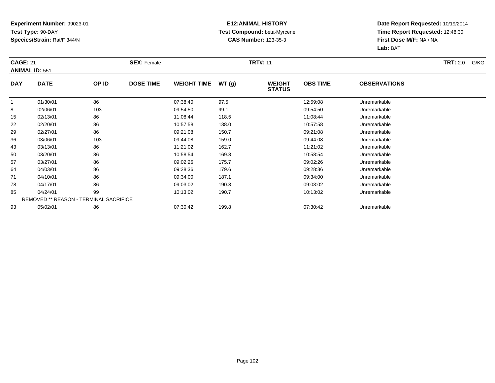### **E12:ANIMAL HISTORY Test Compound:** beta-Myrcene**CAS Number:** 123-35-3

| <b>CAGE: 21</b> | <b>ANIMAL ID: 551</b>                         |       | <b>SEX: Female</b> |                    |       | <b>TRT#: 11</b>                |                 |                     | <b>TRT:</b> 2.0<br>G/KG |
|-----------------|-----------------------------------------------|-------|--------------------|--------------------|-------|--------------------------------|-----------------|---------------------|-------------------------|
| <b>DAY</b>      | <b>DATE</b>                                   | OP ID | <b>DOSE TIME</b>   | <b>WEIGHT TIME</b> | WT(g) | <b>WEIGHT</b><br><b>STATUS</b> | <b>OBS TIME</b> | <b>OBSERVATIONS</b> |                         |
|                 | 01/30/01                                      | 86    |                    | 07:38:40           | 97.5  |                                | 12:59:08        | Unremarkable        |                         |
| 8               | 02/06/01                                      | 103   |                    | 09:54:50           | 99.1  |                                | 09:54:50        | Unremarkable        |                         |
| 15              | 02/13/01                                      | 86    |                    | 11:08:44           | 118.5 |                                | 11:08:44        | Unremarkable        |                         |
| 22              | 02/20/01                                      | 86    |                    | 10:57:58           | 138.0 |                                | 10:57:58        | Unremarkable        |                         |
| 29              | 02/27/01                                      | 86    |                    | 09:21:08           | 150.7 |                                | 09:21:08        | Unremarkable        |                         |
| 36              | 03/06/01                                      | 103   |                    | 09:44:08           | 159.0 |                                | 09:44:08        | Unremarkable        |                         |
| 43              | 03/13/01                                      | 86    |                    | 11:21:02           | 162.7 |                                | 11:21:02        | Unremarkable        |                         |
| 50              | 03/20/01                                      | 86    |                    | 10:58:54           | 169.8 |                                | 10:58:54        | Unremarkable        |                         |
| 57              | 03/27/01                                      | 86    |                    | 09:02:26           | 175.7 |                                | 09:02:26        | Unremarkable        |                         |
| 64              | 04/03/01                                      | 86    |                    | 09:28:36           | 179.6 |                                | 09:28:36        | Unremarkable        |                         |
| 71              | 04/10/01                                      | 86    |                    | 09:34:00           | 187.1 |                                | 09:34:00        | Unremarkable        |                         |
| 78              | 04/17/01                                      | 86    |                    | 09:03:02           | 190.8 |                                | 09:03:02        | Unremarkable        |                         |
| 85              | 04/24/01                                      | 99    |                    | 10:13:02           | 190.7 |                                | 10:13:02        | Unremarkable        |                         |
|                 | <b>REMOVED ** REASON - TERMINAL SACRIFICE</b> |       |                    |                    |       |                                |                 |                     |                         |
| 93              | 05/02/01                                      | 86    |                    | 07:30:42           | 199.8 |                                | 07:30:42        | Unremarkable        |                         |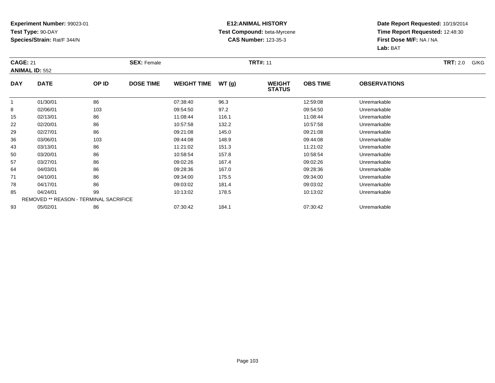### **E12:ANIMAL HISTORY Test Compound:** beta-Myrcene**CAS Number:** 123-35-3

| <b>CAGE: 21</b> |                                               |       | <b>SEX: Female</b> |                    |       | <b>TRT#: 11</b>                |                                        |              | <b>TRT:</b> 2.0<br>G/KG |
|-----------------|-----------------------------------------------|-------|--------------------|--------------------|-------|--------------------------------|----------------------------------------|--------------|-------------------------|
|                 | <b>ANIMAL ID: 552</b>                         |       |                    |                    |       |                                |                                        |              |                         |
| <b>DAY</b>      | <b>DATE</b>                                   | OP ID | <b>DOSE TIME</b>   | <b>WEIGHT TIME</b> | WT(g) | <b>WEIGHT</b><br><b>STATUS</b> | <b>OBS TIME</b><br><b>OBSERVATIONS</b> |              |                         |
| 1               | 01/30/01                                      | 86    |                    | 07:38:40           | 96.3  |                                | 12:59:08                               | Unremarkable |                         |
| 8               | 02/06/01                                      | 103   |                    | 09:54:50           | 97.2  |                                | 09:54:50                               | Unremarkable |                         |
| 15              | 02/13/01                                      | 86    |                    | 11:08:44           | 116.1 |                                | 11:08:44                               | Unremarkable |                         |
| 22              | 02/20/01                                      | 86    |                    | 10:57:58           | 132.2 |                                | 10:57:58                               | Unremarkable |                         |
| 29              | 02/27/01                                      | 86    |                    | 09:21:08           | 145.0 |                                | 09:21:08                               | Unremarkable |                         |
| 36              | 03/06/01                                      | 103   |                    | 09:44:08           | 148.9 |                                | 09:44:08                               | Unremarkable |                         |
| 43              | 03/13/01                                      | 86    |                    | 11:21:02           | 151.3 |                                | 11:21:02                               | Unremarkable |                         |
| 50              | 03/20/01                                      | 86    |                    | 10:58:54           | 157.8 |                                | 10:58:54                               | Unremarkable |                         |
| 57              | 03/27/01                                      | 86    |                    | 09:02:26           | 167.4 |                                | 09:02:26                               | Unremarkable |                         |
| 64              | 04/03/01                                      | 86    |                    | 09:28:36           | 167.0 |                                | 09:28:36                               | Unremarkable |                         |
| 71              | 04/10/01                                      | 86    |                    | 09:34:00           | 175.5 |                                | 09:34:00                               | Unremarkable |                         |
| 78              | 04/17/01                                      | 86    |                    | 09:03:02           | 181.4 |                                | 09:03:02                               | Unremarkable |                         |
| 85              | 04/24/01                                      | 99    |                    | 10:13:02           | 178.5 |                                | 10:13:02                               | Unremarkable |                         |
|                 | <b>REMOVED ** REASON - TERMINAL SACRIFICE</b> |       |                    |                    |       |                                |                                        |              |                         |
| 93              | 05/02/01                                      | 86    |                    | 07:30:42           | 184.1 |                                | 07:30:42                               | Unremarkable |                         |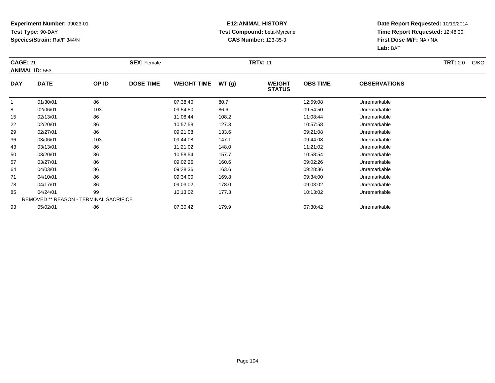### **E12:ANIMAL HISTORY Test Compound:** beta-Myrcene**CAS Number:** 123-35-3

| <b>CAGE: 21</b> |                                               |       | <b>SEX: Female</b> |                    |       | <b>TRT#: 11</b>                |                 |                     | <b>TRT:</b> 2.0<br>G/KG |
|-----------------|-----------------------------------------------|-------|--------------------|--------------------|-------|--------------------------------|-----------------|---------------------|-------------------------|
|                 | <b>ANIMAL ID: 553</b>                         |       |                    |                    |       |                                |                 |                     |                         |
| <b>DAY</b>      | <b>DATE</b>                                   | OP ID | <b>DOSE TIME</b>   | <b>WEIGHT TIME</b> | WT(g) | <b>WEIGHT</b><br><b>STATUS</b> | <b>OBS TIME</b> | <b>OBSERVATIONS</b> |                         |
| $\mathbf{1}$    | 01/30/01                                      | 86    |                    | 07:38:40           | 80.7  |                                | 12:59:08        | Unremarkable        |                         |
| 8               | 02/06/01                                      | 103   |                    | 09:54:50           | 86.6  |                                | 09:54:50        | Unremarkable        |                         |
| 15              | 02/13/01                                      | 86    |                    | 11:08:44           | 108.2 |                                | 11:08:44        | Unremarkable        |                         |
| 22              | 02/20/01                                      | 86    |                    | 10:57:58           | 127.3 |                                | 10:57:58        | Unremarkable        |                         |
| 29              | 02/27/01                                      | 86    |                    | 09:21:08           | 133.6 |                                | 09:21:08        | Unremarkable        |                         |
| 36              | 03/06/01                                      | 103   |                    | 09:44:08           | 147.1 |                                | 09:44:08        | Unremarkable        |                         |
| 43              | 03/13/01                                      | 86    |                    | 11:21:02           | 148.0 |                                | 11:21:02        | Unremarkable        |                         |
| 50              | 03/20/01                                      | 86    |                    | 10:58:54           | 157.7 |                                | 10:58:54        | Unremarkable        |                         |
| 57              | 03/27/01                                      | 86    |                    | 09:02:26           | 160.6 |                                | 09:02:26        | Unremarkable        |                         |
| 64              | 04/03/01                                      | 86    |                    | 09:28:36           | 163.6 |                                | 09:28:36        | Unremarkable        |                         |
| 71              | 04/10/01                                      | 86    |                    | 09:34:00           | 169.8 |                                | 09:34:00        | Unremarkable        |                         |
| 78              | 04/17/01                                      | 86    |                    | 09:03:02           | 178.0 |                                | 09:03:02        | Unremarkable        |                         |
| 85              | 04/24/01                                      | 99    |                    | 10:13:02           | 177.3 |                                | 10:13:02        | Unremarkable        |                         |
|                 | <b>REMOVED ** REASON - TERMINAL SACRIFICE</b> |       |                    |                    |       |                                |                 |                     |                         |
| 93              | 05/02/01                                      | 86    |                    | 07:30:42           | 179.9 |                                | 07:30:42        | Unremarkable        |                         |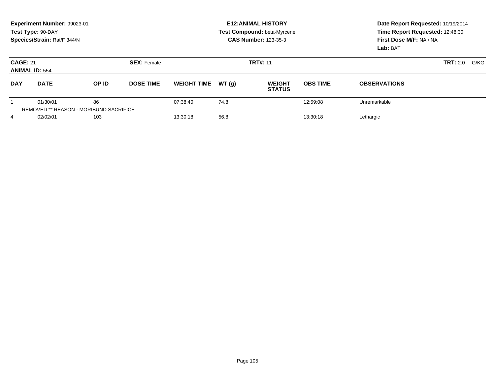|                                          | Experiment Number: 99023-01<br>Test Type: 90-DAY<br>Species/Strain: Rat/F 344/N |       |                    |                    |       | <b>E12: ANIMAL HISTORY</b><br>Test Compound: beta-Myrcene<br><b>CAS Number: 123-35-3</b> | Date Report Requested: 10/19/2014<br>Time Report Requested: 12:48:30<br>First Dose M/F: NA / NA<br>Lab: BAT |                         |  |
|------------------------------------------|---------------------------------------------------------------------------------|-------|--------------------|--------------------|-------|------------------------------------------------------------------------------------------|-------------------------------------------------------------------------------------------------------------|-------------------------|--|
| <b>CAGE: 21</b><br><b>ANIMAL ID: 554</b> |                                                                                 |       | <b>SEX: Female</b> |                    |       | <b>TRT#: 11</b>                                                                          |                                                                                                             | G/KG<br><b>TRT:</b> 2.0 |  |
| <b>DAY</b>                               | <b>DATE</b>                                                                     | OP ID | <b>DOSE TIME</b>   | <b>WEIGHT TIME</b> | WT(q) | <b>WEIGHT</b><br><b>STATUS</b>                                                           | <b>OBS TIME</b>                                                                                             | <b>OBSERVATIONS</b>     |  |
|                                          | 01/30/01<br><b>REMOVED ** REASON - MORIBUND SACRIFICE</b>                       | 86    |                    | 07:38:40           | 74.8  |                                                                                          | 12:59:08                                                                                                    | Unremarkable            |  |
| 4                                        | 02/02/01<br>103                                                                 |       |                    | 56.8<br>13:30:18   |       | 13:30:18                                                                                 |                                                                                                             | Lethargic               |  |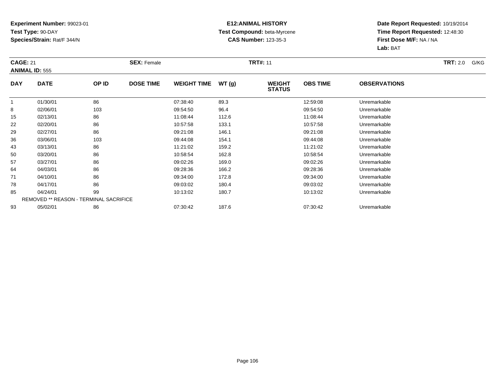### **E12:ANIMAL HISTORY Test Compound:** beta-Myrcene**CAS Number:** 123-35-3

| <b>CAGE: 21</b> |                                               |       | <b>SEX: Female</b> |                    |       | <b>TRT#: 11</b>                |                 |                     | <b>TRT:</b> 2.0<br>G/KG |
|-----------------|-----------------------------------------------|-------|--------------------|--------------------|-------|--------------------------------|-----------------|---------------------|-------------------------|
|                 | <b>ANIMAL ID: 555</b>                         |       |                    |                    |       |                                |                 |                     |                         |
| <b>DAY</b>      | <b>DATE</b>                                   | OP ID | <b>DOSE TIME</b>   | <b>WEIGHT TIME</b> | WT(g) | <b>WEIGHT</b><br><b>STATUS</b> | <b>OBS TIME</b> | <b>OBSERVATIONS</b> |                         |
| $\mathbf{1}$    | 01/30/01                                      | 86    |                    | 07:38:40           | 89.3  |                                | 12:59:08        | Unremarkable        |                         |
| 8               | 02/06/01                                      | 103   |                    | 09:54:50           | 96.4  |                                | 09:54:50        | Unremarkable        |                         |
| 15              | 02/13/01                                      | 86    |                    | 11:08:44           | 112.6 |                                | 11:08:44        | Unremarkable        |                         |
| 22              | 02/20/01                                      | 86    |                    | 10:57:58           | 133.1 |                                | 10:57:58        | Unremarkable        |                         |
| 29              | 02/27/01                                      | 86    |                    | 09:21:08           | 146.1 |                                | 09:21:08        | Unremarkable        |                         |
| 36              | 03/06/01                                      | 103   |                    | 09:44:08           | 154.1 |                                | 09:44:08        | Unremarkable        |                         |
| 43              | 03/13/01                                      | 86    |                    | 11:21:02           | 159.2 |                                | 11:21:02        | Unremarkable        |                         |
| 50              | 03/20/01                                      | 86    |                    | 10:58:54           | 162.8 |                                | 10:58:54        | Unremarkable        |                         |
| 57              | 03/27/01                                      | 86    |                    | 09:02:26           | 169.0 |                                | 09:02:26        | Unremarkable        |                         |
| 64              | 04/03/01                                      | 86    |                    | 09:28:36           | 166.2 |                                | 09:28:36        | Unremarkable        |                         |
| 71              | 04/10/01                                      | 86    |                    | 09:34:00           | 172.8 |                                | 09:34:00        | Unremarkable        |                         |
| 78              | 04/17/01                                      | 86    |                    | 09:03:02           | 180.4 |                                | 09:03:02        | Unremarkable        |                         |
| 85              | 04/24/01                                      | 99    |                    | 10:13:02           | 180.7 |                                | 10:13:02        | Unremarkable        |                         |
|                 | <b>REMOVED ** REASON - TERMINAL SACRIFICE</b> |       |                    |                    |       |                                |                 |                     |                         |
| 93              | 05/02/01                                      | 86    |                    | 07:30:42           | 187.6 |                                | 07:30:42        | Unremarkable        |                         |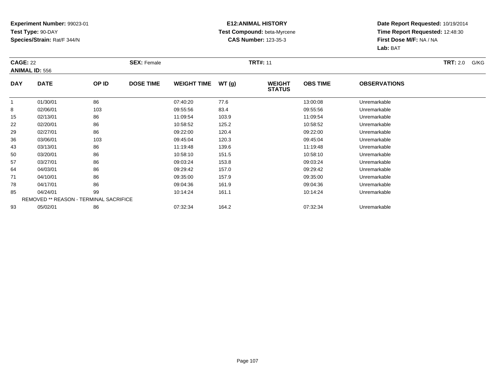### **E12:ANIMAL HISTORY Test Compound:** beta-Myrcene**CAS Number:** 123-35-3

| <b>CAGE: 22</b> |                                               |       | <b>SEX: Female</b> |                    |       | <b>TRT#: 11</b>                |                 |                     | <b>TRT:</b> 2.0<br>G/KG |
|-----------------|-----------------------------------------------|-------|--------------------|--------------------|-------|--------------------------------|-----------------|---------------------|-------------------------|
|                 | <b>ANIMAL ID: 556</b>                         |       |                    |                    |       |                                |                 |                     |                         |
| <b>DAY</b>      | <b>DATE</b>                                   | OP ID | <b>DOSE TIME</b>   | <b>WEIGHT TIME</b> | WT(g) | <b>WEIGHT</b><br><b>STATUS</b> | <b>OBS TIME</b> | <b>OBSERVATIONS</b> |                         |
| $\mathbf{1}$    | 01/30/01                                      | 86    |                    | 07:40:20           | 77.6  |                                | 13:00:08        | Unremarkable        |                         |
| 8               | 02/06/01                                      | 103   |                    | 09:55:56           | 83.4  |                                | 09:55:56        | Unremarkable        |                         |
| 15              | 02/13/01                                      | 86    |                    | 11:09:54           | 103.9 |                                | 11:09:54        | Unremarkable        |                         |
| 22              | 02/20/01                                      | 86    |                    | 10:58:52           | 125.2 |                                | 10:58:52        | Unremarkable        |                         |
| 29              | 02/27/01                                      | 86    |                    | 09:22:00           | 120.4 |                                | 09:22:00        | Unremarkable        |                         |
| 36              | 03/06/01                                      | 103   |                    | 09:45:04           | 120.3 |                                | 09:45:04        | Unremarkable        |                         |
| 43              | 03/13/01                                      | 86    |                    | 11:19:48           | 139.6 |                                | 11:19:48        | Unremarkable        |                         |
| 50              | 03/20/01                                      | 86    |                    | 10:58:10           | 151.5 |                                | 10:58:10        | Unremarkable        |                         |
| 57              | 03/27/01                                      | 86    |                    | 09:03:24           | 153.8 |                                | 09:03:24        | Unremarkable        |                         |
| 64              | 04/03/01                                      | 86    |                    | 09:29:42           | 157.0 |                                | 09:29:42        | Unremarkable        |                         |
| 71              | 04/10/01                                      | 86    |                    | 09:35:00           | 157.9 |                                | 09:35:00        | Unremarkable        |                         |
| 78              | 04/17/01                                      | 86    |                    | 09:04:36           | 161.9 |                                | 09:04:36        | Unremarkable        |                         |
| 85              | 04/24/01                                      | 99    |                    | 10:14:24           | 161.1 |                                | 10:14:24        | Unremarkable        |                         |
|                 | <b>REMOVED ** REASON - TERMINAL SACRIFICE</b> |       |                    |                    |       |                                |                 |                     |                         |
| 93              | 05/02/01                                      | 86    |                    | 07:32:34           | 164.2 |                                | 07:32:34        | Unremarkable        |                         |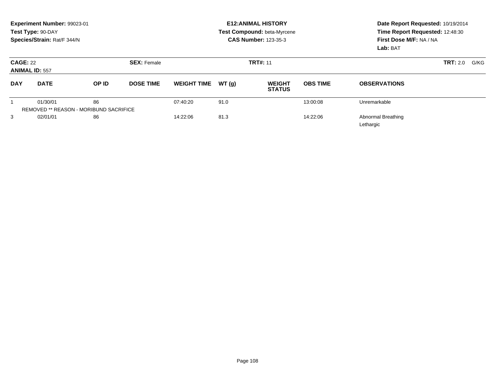|                 | Experiment Number: 99023-01<br>Test Type: 90-DAY<br>Species/Strain: Rat/F 344/N |                                               |                    |                    |       | <b>E12: ANIMAL HISTORY</b><br>Test Compound: beta-Myrcene<br><b>CAS Number: 123-35-3</b> | Date Report Requested: 10/19/2014<br>Time Report Requested: 12:48:30<br>First Dose M/F: NA / NA<br>Lab: BAT |                                        |                         |
|-----------------|---------------------------------------------------------------------------------|-----------------------------------------------|--------------------|--------------------|-------|------------------------------------------------------------------------------------------|-------------------------------------------------------------------------------------------------------------|----------------------------------------|-------------------------|
| <b>CAGE: 22</b> | <b>ANIMAL ID: 557</b>                                                           |                                               | <b>SEX: Female</b> |                    |       | <b>TRT#: 11</b>                                                                          |                                                                                                             |                                        | <b>TRT:</b> 2.0<br>G/KG |
| <b>DAY</b>      | <b>DATE</b>                                                                     | OP ID                                         | <b>DOSE TIME</b>   | <b>WEIGHT TIME</b> | WT(g) | <b>WEIGHT</b><br><b>STATUS</b>                                                           | <b>OBS TIME</b>                                                                                             | <b>OBSERVATIONS</b>                    |                         |
|                 | 01/30/01                                                                        | 86                                            |                    | 07:40:20           | 91.0  |                                                                                          | 13:00:08                                                                                                    | Unremarkable                           |                         |
|                 |                                                                                 | <b>REMOVED ** REASON - MORIBUND SACRIFICE</b> |                    |                    |       |                                                                                          |                                                                                                             |                                        |                         |
| 3               | 02/01/01                                                                        | 86                                            |                    | 14:22:06           | 81.3  |                                                                                          | 14:22:06                                                                                                    | <b>Abnormal Breathing</b><br>Lethargic |                         |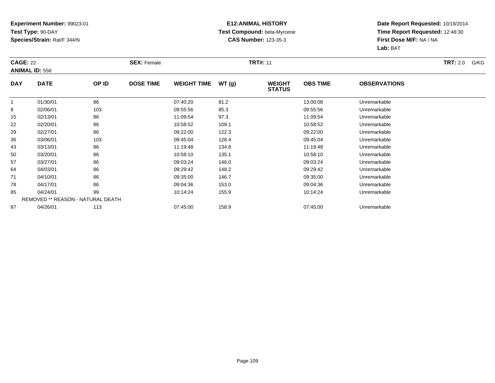## **Experiment Number:** 99023-01**Test Type:** 90-DAY**Species/Strain:** Rat/F 344/N

## **E12:ANIMAL HISTORY Test Compound:** beta-Myrcene**CAS Number:** 123-35-3

**Date Report Requested:** 10/19/2014 **Time Report Requested:** 12:48:30**First Dose M/F:** NA / NA**Lab:** BAT

|            | <b>CAGE: 22</b><br><b>ANIMAL ID: 558</b> |       | <b>SEX: Female</b> |                    |       | <b>TRT#: 11</b>                |                 | <b>TRT:</b> 2.0<br>G/KG |  |
|------------|------------------------------------------|-------|--------------------|--------------------|-------|--------------------------------|-----------------|-------------------------|--|
| <b>DAY</b> | <b>DATE</b>                              | OP ID | <b>DOSE TIME</b>   | <b>WEIGHT TIME</b> | WT(g) | <b>WEIGHT</b><br><b>STATUS</b> | <b>OBS TIME</b> | <b>OBSERVATIONS</b>     |  |
|            | 01/30/01                                 | 86    |                    | 07:40:20           | 81.2  |                                | 13:00:08        | Unremarkable            |  |
| 8          | 02/06/01                                 | 103   |                    | 09:55:56           | 85.3  |                                | 09:55:56        | Unremarkable            |  |
| 15         | 02/13/01                                 | 86    |                    | 11:09:54           | 97.3  |                                | 11:09:54        | Unremarkable            |  |
| 22         | 02/20/01                                 | 86    |                    | 10:58:52           | 109.1 |                                | 10:58:52        | Unremarkable            |  |
| 29         | 02/27/01                                 | 86    |                    | 09:22:00           | 122.3 |                                | 09:22:00        | Unremarkable            |  |
| 36         | 03/06/01                                 | 103   |                    | 09:45:04           | 128.4 |                                | 09:45:04        | Unremarkable            |  |
| 43         | 03/13/01                                 | 86    |                    | 11:19:48           | 134.8 |                                | 11:19:48        | Unremarkable            |  |
| 50         | 03/20/01                                 | 86    |                    | 10:58:10           | 135.1 |                                | 10:58:10        | Unremarkable            |  |
| 57         | 03/27/01                                 | 86    |                    | 09:03:24           | 146.0 |                                | 09:03:24        | Unremarkable            |  |
| 64         | 04/03/01                                 | 86    |                    | 09:29:42           | 148.2 |                                | 09:29:42        | Unremarkable            |  |
| 71         | 04/10/01                                 | 86    |                    | 09:35:00           | 146.7 |                                | 09:35:00        | Unremarkable            |  |
| 78         | 04/17/01                                 | 86    |                    | 09:04:36           | 153.0 |                                | 09:04:36        | Unremarkable            |  |
| 85         | 04/24/01                                 | 99    |                    | 10:14:24           | 155.9 |                                | 10:14:24        | Unremarkable            |  |
|            | REMOVED ** REASON - NATURAL DEATH        |       |                    |                    |       |                                |                 |                         |  |
| 87         | 04/26/01                                 | 113   |                    | 07:45:00           | 158.9 |                                | 07:45:00        | Unremarkable            |  |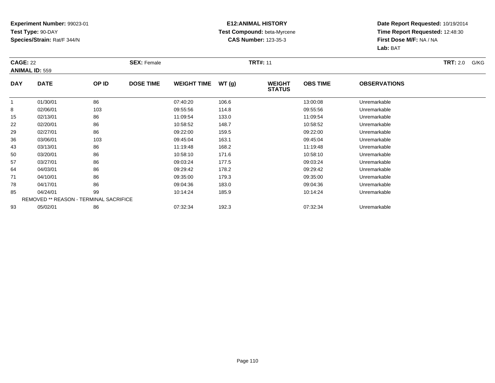## **Experiment Number:** 99023-01**Test Type:** 90-DAY**Species/Strain:** Rat/F 344/N

## **E12:ANIMAL HISTORY Test Compound:** beta-Myrcene**CAS Number:** 123-35-3

**Date Report Requested:** 10/19/2014 **Time Report Requested:** 12:48:30**First Dose M/F:** NA / NA**Lab:** BAT

| <b>CAGE: 22</b> |                                               |       | <b>SEX: Female</b> |                    |       | <b>TRT#: 11</b>                |                 |                     | <b>TRT:</b> 2.0<br>G/KG |
|-----------------|-----------------------------------------------|-------|--------------------|--------------------|-------|--------------------------------|-----------------|---------------------|-------------------------|
|                 | <b>ANIMAL ID: 559</b>                         |       |                    |                    |       |                                |                 |                     |                         |
| <b>DAY</b>      | <b>DATE</b>                                   | OP ID | <b>DOSE TIME</b>   | <b>WEIGHT TIME</b> | WT(g) | <b>WEIGHT</b><br><b>STATUS</b> | <b>OBS TIME</b> | <b>OBSERVATIONS</b> |                         |
| $\mathbf{1}$    | 01/30/01                                      | 86    |                    | 07:40:20           | 106.6 |                                | 13:00:08        | Unremarkable        |                         |
| 8               | 02/06/01                                      | 103   |                    | 09:55:56           | 114.8 |                                | 09:55:56        | Unremarkable        |                         |
| 15              | 02/13/01                                      | 86    |                    | 11:09:54           | 133.0 |                                | 11:09:54        | Unremarkable        |                         |
| 22              | 02/20/01                                      | 86    |                    | 10:58:52           | 148.7 |                                | 10:58:52        | Unremarkable        |                         |
| 29              | 02/27/01                                      | 86    |                    | 09:22:00           | 159.5 |                                | 09:22:00        | Unremarkable        |                         |
| 36              | 03/06/01                                      | 103   |                    | 09:45:04           | 163.1 |                                | 09:45:04        | Unremarkable        |                         |
| 43              | 03/13/01                                      | 86    |                    | 11:19:48           | 168.2 |                                | 11:19:48        | Unremarkable        |                         |
| 50              | 03/20/01                                      | 86    |                    | 10:58:10           | 171.6 |                                | 10:58:10        | Unremarkable        |                         |
| 57              | 03/27/01                                      | 86    |                    | 09:03:24           | 177.5 |                                | 09:03:24        | Unremarkable        |                         |
| 64              | 04/03/01                                      | 86    |                    | 09:29:42           | 178.2 |                                | 09:29:42        | Unremarkable        |                         |
| 71              | 04/10/01                                      | 86    |                    | 09:35:00           | 179.3 |                                | 09:35:00        | Unremarkable        |                         |
| 78              | 04/17/01                                      | 86    |                    | 09:04:36           | 183.0 |                                | 09:04:36        | Unremarkable        |                         |
| 85              | 04/24/01                                      | 99    |                    | 10:14:24           | 185.9 |                                | 10:14:24        | Unremarkable        |                         |
|                 | <b>REMOVED ** REASON - TERMINAL SACRIFICE</b> |       |                    |                    |       |                                |                 |                     |                         |
| 93              | 05/02/01                                      | 86    |                    | 07:32:34           | 192.3 |                                | 07:32:34        | Unremarkable        |                         |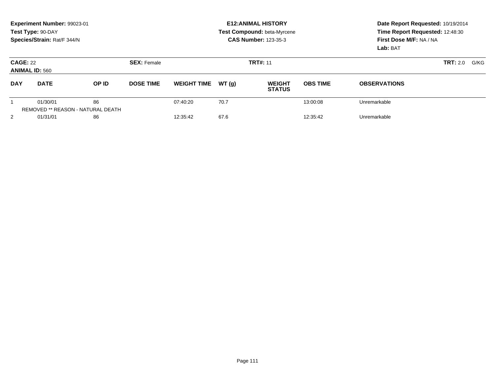|                                          | Experiment Number: 99023-01<br>Test Type: 90-DAY<br>Species/Strain: Rat/F 344/N |                                                |                    |                    |       | <b>E12: ANIMAL HISTORY</b><br>Test Compound: beta-Myrcene<br><b>CAS Number: 123-35-3</b> | Date Report Requested: 10/19/2014<br>Time Report Requested: 12:48:30<br>First Dose M/F: NA / NA<br>Lab: BAT |                     |  |
|------------------------------------------|---------------------------------------------------------------------------------|------------------------------------------------|--------------------|--------------------|-------|------------------------------------------------------------------------------------------|-------------------------------------------------------------------------------------------------------------|---------------------|--|
| <b>CAGE: 22</b><br><b>ANIMAL ID: 560</b> |                                                                                 |                                                | <b>SEX: Female</b> |                    |       | <b>TRT#: 11</b>                                                                          |                                                                                                             | TRT: 2.0<br>G/KG    |  |
| <b>DAY</b>                               | <b>DATE</b>                                                                     | OP ID                                          | <b>DOSE TIME</b>   | <b>WEIGHT TIME</b> | WT(q) | <b>WEIGHT</b><br><b>STATUS</b>                                                           | <b>OBS TIME</b>                                                                                             | <b>OBSERVATIONS</b> |  |
|                                          | 01/30/01                                                                        | 86<br><b>REMOVED ** REASON - NATURAL DEATH</b> |                    | 07:40:20           | 70.7  |                                                                                          | 13:00:08                                                                                                    | Unremarkable        |  |
| $\overline{2}$                           | 01/31/01                                                                        | 86                                             |                    | 12:35:42           | 67.6  |                                                                                          | 12:35:42                                                                                                    | Unremarkable        |  |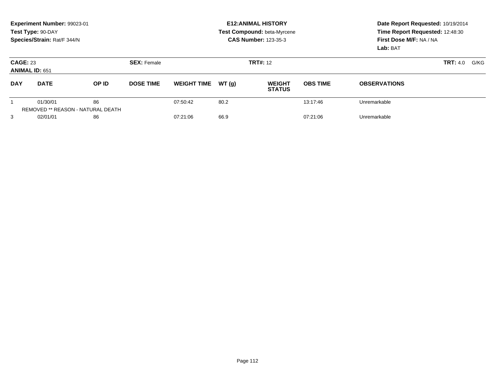|                                          | Experiment Number: 99023-01<br>Test Type: 90-DAY<br>Species/Strain: Rat/F 344/N |                                         |                    |                    |       | <b>E12: ANIMAL HISTORY</b><br>Test Compound: beta-Myrcene<br><b>CAS Number: 123-35-3</b> | Date Report Requested: 10/19/2014<br>Time Report Requested: 12:48:30<br>First Dose M/F: NA / NA<br>Lab: BAT |                         |  |
|------------------------------------------|---------------------------------------------------------------------------------|-----------------------------------------|--------------------|--------------------|-------|------------------------------------------------------------------------------------------|-------------------------------------------------------------------------------------------------------------|-------------------------|--|
| <b>CAGE: 23</b><br><b>ANIMAL ID: 651</b> |                                                                                 |                                         | <b>SEX: Female</b> |                    |       | <b>TRT#:</b> 12                                                                          |                                                                                                             | G/KG<br><b>TRT:</b> 4.0 |  |
| <b>DAY</b>                               | <b>DATE</b>                                                                     | OP ID                                   | <b>DOSE TIME</b>   | <b>WEIGHT TIME</b> | WT(q) | <b>WEIGHT</b><br><b>STATUS</b>                                                           | <b>OBS TIME</b>                                                                                             | <b>OBSERVATIONS</b>     |  |
|                                          | 01/30/01                                                                        | 86<br>REMOVED ** REASON - NATURAL DEATH |                    | 07:50:42           | 80.2  |                                                                                          | 13:17:46                                                                                                    | Unremarkable            |  |
| 3                                        | 02/01/01                                                                        | 86                                      |                    | 07:21:06           | 66.9  |                                                                                          | 07:21:06                                                                                                    | Unremarkable            |  |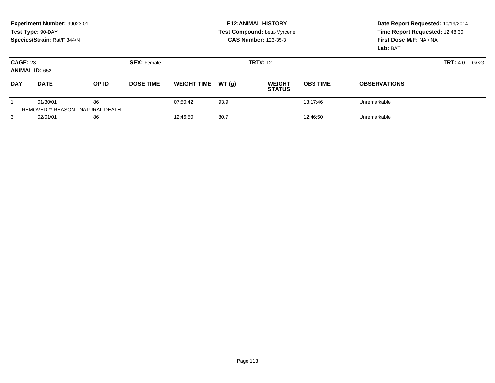|                                          | Experiment Number: 99023-01<br>Test Type: 90-DAY<br>Species/Strain: Rat/F 344/N |                                                |                    |                    |       | <b>E12: ANIMAL HISTORY</b><br>Test Compound: beta-Myrcene<br><b>CAS Number: 123-35-3</b> | Date Report Requested: 10/19/2014<br>Time Report Requested: 12:48:30<br>First Dose M/F: NA / NA<br>Lab: BAT |                     |  |
|------------------------------------------|---------------------------------------------------------------------------------|------------------------------------------------|--------------------|--------------------|-------|------------------------------------------------------------------------------------------|-------------------------------------------------------------------------------------------------------------|---------------------|--|
| <b>CAGE: 23</b><br><b>ANIMAL ID: 652</b> |                                                                                 |                                                | <b>SEX: Female</b> |                    |       | <b>TRT#: 12</b>                                                                          |                                                                                                             | TRT: 4.0<br>G/KG    |  |
| <b>DAY</b>                               | <b>DATE</b>                                                                     | OP ID                                          | <b>DOSE TIME</b>   | <b>WEIGHT TIME</b> | WT(q) | <b>WEIGHT</b><br><b>STATUS</b>                                                           | <b>OBS TIME</b>                                                                                             | <b>OBSERVATIONS</b> |  |
|                                          | 01/30/01                                                                        | 86<br><b>REMOVED ** REASON - NATURAL DEATH</b> |                    | 07:50:42           | 93.9  |                                                                                          | 13:17:46                                                                                                    | Unremarkable        |  |
| 3                                        | 02/01/01                                                                        | 86                                             |                    | 12:46:50           | 80.7  |                                                                                          | 12:46:50                                                                                                    | Unremarkable        |  |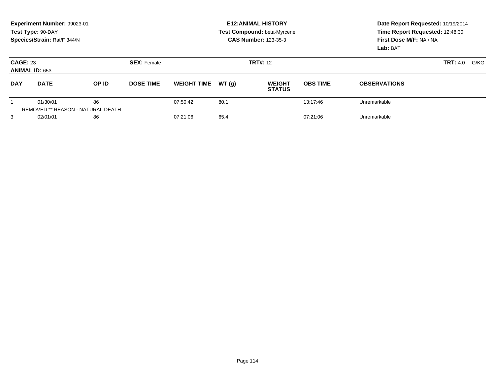|                                          | Experiment Number: 99023-01<br>Test Type: 90-DAY<br>Species/Strain: Rat/F 344/N |                                         |                    |                    |       | <b>E12: ANIMAL HISTORY</b><br>Test Compound: beta-Myrcene<br><b>CAS Number: 123-35-3</b> | Date Report Requested: 10/19/2014<br>Time Report Requested: 12:48:30<br>First Dose M/F: NA / NA<br>Lab: BAT |                     |  |
|------------------------------------------|---------------------------------------------------------------------------------|-----------------------------------------|--------------------|--------------------|-------|------------------------------------------------------------------------------------------|-------------------------------------------------------------------------------------------------------------|---------------------|--|
| <b>CAGE: 23</b><br><b>ANIMAL ID: 653</b> |                                                                                 |                                         | <b>SEX: Female</b> |                    |       | <b>TRT#:</b> 12                                                                          | <b>TRT:</b> 4.0                                                                                             | G/KG                |  |
| <b>DAY</b>                               | <b>DATE</b>                                                                     | OP ID                                   | <b>DOSE TIME</b>   | <b>WEIGHT TIME</b> | WT(q) | <b>WEIGHT</b><br><b>STATUS</b>                                                           | <b>OBS TIME</b>                                                                                             | <b>OBSERVATIONS</b> |  |
|                                          | 01/30/01                                                                        | 86<br>REMOVED ** REASON - NATURAL DEATH |                    | 07:50:42           | 80.1  |                                                                                          | 13:17:46                                                                                                    | Unremarkable        |  |
| 3                                        | 02/01/01                                                                        | 86                                      |                    | 07:21:06           | 65.4  |                                                                                          | 07:21:06                                                                                                    | Unremarkable        |  |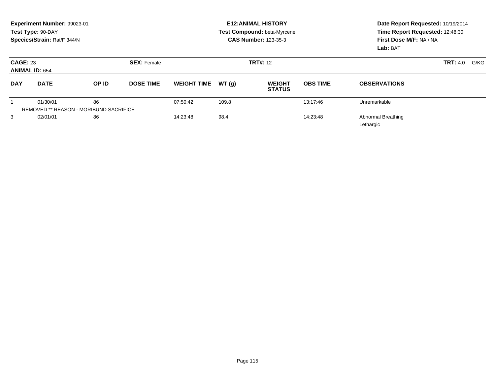|                 | Experiment Number: 99023-01<br>Test Type: 90-DAY<br>Species/Strain: Rat/F 344/N |       |                    |                    |       | <b>E12: ANIMAL HISTORY</b><br>Test Compound: beta-Myrcene<br><b>CAS Number: 123-35-3</b> | Date Report Requested: 10/19/2014<br>Time Report Requested: 12:48:30<br>First Dose M/F: NA / NA<br><b>Lab: BAT</b> |                                        |                         |
|-----------------|---------------------------------------------------------------------------------|-------|--------------------|--------------------|-------|------------------------------------------------------------------------------------------|--------------------------------------------------------------------------------------------------------------------|----------------------------------------|-------------------------|
| <b>CAGE: 23</b> | <b>ANIMAL ID: 654</b>                                                           |       | <b>SEX: Female</b> | <b>TRT#: 12</b>    |       |                                                                                          |                                                                                                                    |                                        | <b>TRT:</b> 4.0<br>G/KG |
| <b>DAY</b>      | <b>DATE</b>                                                                     | OP ID | <b>DOSE TIME</b>   | <b>WEIGHT TIME</b> | WT(q) | <b>WEIGHT</b><br><b>STATUS</b>                                                           | <b>OBS TIME</b>                                                                                                    | <b>OBSERVATIONS</b>                    |                         |
|                 | 01/30/01<br><b>REMOVED ** REASON - MORIBUND SACRIFICE</b>                       | 86    |                    | 07:50:42           | 109.8 |                                                                                          | 13:17:46                                                                                                           | Unremarkable                           |                         |
| 3               | 02/01/01                                                                        | 86    |                    | 14:23:48           | 98.4  |                                                                                          | 14:23:48                                                                                                           | <b>Abnormal Breathing</b><br>Lethargic |                         |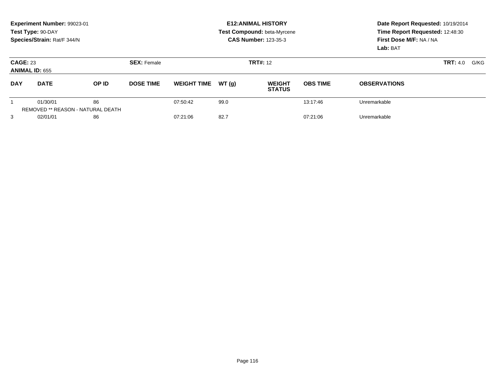|                                          | Experiment Number: 99023-01<br>Test Type: 90-DAY<br>Species/Strain: Rat/F 344/N |                                                |                    |                    |       | <b>E12: ANIMAL HISTORY</b><br>Test Compound: beta-Myrcene<br><b>CAS Number: 123-35-3</b> | Date Report Requested: 10/19/2014<br>Time Report Requested: 12:48:30<br>First Dose M/F: NA / NA<br>Lab: BAT |                         |  |
|------------------------------------------|---------------------------------------------------------------------------------|------------------------------------------------|--------------------|--------------------|-------|------------------------------------------------------------------------------------------|-------------------------------------------------------------------------------------------------------------|-------------------------|--|
| <b>CAGE: 23</b><br><b>ANIMAL ID: 655</b> |                                                                                 |                                                | <b>SEX: Female</b> |                    |       | <b>TRT#: 12</b>                                                                          |                                                                                                             | <b>TRT:</b> 4.0<br>G/KG |  |
| <b>DAY</b>                               | <b>DATE</b>                                                                     | OP ID                                          | <b>DOSE TIME</b>   | <b>WEIGHT TIME</b> | WT(q) | <b>WEIGHT</b><br><b>STATUS</b>                                                           | <b>OBS TIME</b>                                                                                             | <b>OBSERVATIONS</b>     |  |
|                                          | 01/30/01                                                                        | 86<br><b>REMOVED ** REASON - NATURAL DEATH</b> |                    | 07:50:42           | 99.0  |                                                                                          | 13:17:46                                                                                                    | Unremarkable            |  |
| 3                                        | 02/01/01                                                                        | 86                                             |                    | 07:21:06           | 82.7  |                                                                                          | 07:21:06                                                                                                    | Unremarkable            |  |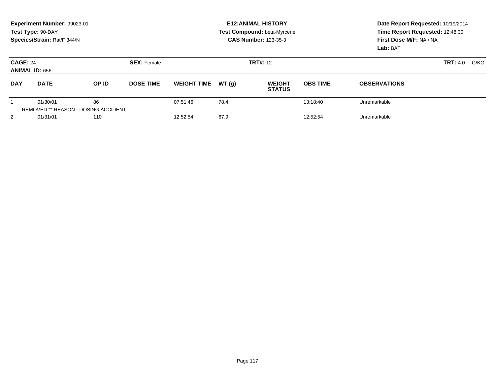|                 | Experiment Number: 99023-01<br>Test Type: 90-DAY<br>Species/Strain: Rat/F 344/N |       |                    |                    |       | <b>E12: ANIMAL HISTORY</b><br>Test Compound: beta-Myrcene<br><b>CAS Number: 123-35-3</b> | Date Report Requested: 10/19/2014<br>Time Report Requested: 12:48:30<br>First Dose M/F: NA / NA<br>Lab: BAT |                     |  |
|-----------------|---------------------------------------------------------------------------------|-------|--------------------|--------------------|-------|------------------------------------------------------------------------------------------|-------------------------------------------------------------------------------------------------------------|---------------------|--|
| <b>CAGE: 24</b> | <b>ANIMAL ID: 656</b>                                                           |       | <b>SEX: Female</b> |                    |       | <b>TRT#: 12</b>                                                                          |                                                                                                             | TRT: 4.0<br>G/KG    |  |
| <b>DAY</b>      | <b>DATE</b>                                                                     | OP ID | <b>DOSE TIME</b>   | <b>WEIGHT TIME</b> | WT(q) | <b>WEIGHT</b><br><b>STATUS</b>                                                           | <b>OBS TIME</b>                                                                                             | <b>OBSERVATIONS</b> |  |
|                 | 01/30/01<br><b>REMOVED ** REASON - DOSING ACCIDENT</b>                          | 86    |                    | 07:51:46           | 78.4  |                                                                                          | 13:18:40                                                                                                    | Unremarkable        |  |
| $\overline{2}$  | 01/31/01                                                                        | 110   |                    | 12:52:54           | 67.9  |                                                                                          | 12:52:54                                                                                                    | Unremarkable        |  |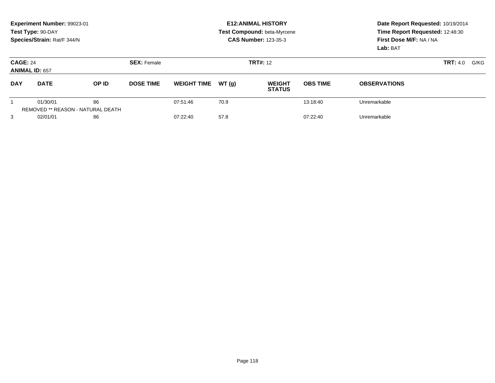|                                          | Experiment Number: 99023-01<br>Test Type: 90-DAY<br>Species/Strain: Rat/F 344/N |                                                |                    |                    |       | <b>E12: ANIMAL HISTORY</b><br>Test Compound: beta-Myrcene<br><b>CAS Number: 123-35-3</b> | Date Report Requested: 10/19/2014<br>Time Report Requested: 12:48:30<br>First Dose M/F: NA / NA<br>Lab: BAT |                         |  |
|------------------------------------------|---------------------------------------------------------------------------------|------------------------------------------------|--------------------|--------------------|-------|------------------------------------------------------------------------------------------|-------------------------------------------------------------------------------------------------------------|-------------------------|--|
| <b>CAGE: 24</b><br><b>ANIMAL ID: 657</b> |                                                                                 |                                                | <b>SEX: Female</b> |                    |       | <b>TRT#:</b> 12                                                                          |                                                                                                             | <b>TRT:</b> 4.0<br>G/KG |  |
| <b>DAY</b>                               | <b>DATE</b>                                                                     | OP ID                                          | <b>DOSE TIME</b>   | <b>WEIGHT TIME</b> | WT(g) | <b>WEIGHT</b><br><b>STATUS</b>                                                           | <b>OBS TIME</b>                                                                                             | <b>OBSERVATIONS</b>     |  |
|                                          | 01/30/01                                                                        | 86<br><b>REMOVED ** REASON - NATURAL DEATH</b> |                    | 07:51:46           | 70.9  |                                                                                          | 13:18:40                                                                                                    | Unremarkable            |  |
| 3                                        | 02/01/01                                                                        | 86                                             |                    | 07:22:40           | 57.8  |                                                                                          | 07:22:40                                                                                                    | Unremarkable            |  |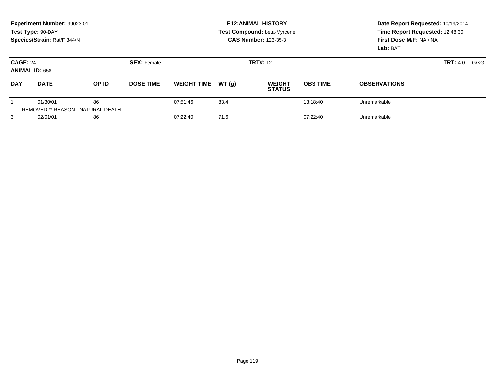|                 | Experiment Number: 99023-01<br>Test Type: 90-DAY<br>Species/Strain: Rat/F 344/N |                                                |                    |                    |       | <b>E12: ANIMAL HISTORY</b><br>Test Compound: beta-Myrcene<br><b>CAS Number: 123-35-3</b> | Date Report Requested: 10/19/2014<br>Time Report Requested: 12:48:30<br>First Dose M/F: NA / NA<br>Lab: BAT |                     |                         |
|-----------------|---------------------------------------------------------------------------------|------------------------------------------------|--------------------|--------------------|-------|------------------------------------------------------------------------------------------|-------------------------------------------------------------------------------------------------------------|---------------------|-------------------------|
| <b>CAGE: 24</b> | <b>ANIMAL ID: 658</b>                                                           |                                                | <b>SEX: Female</b> |                    |       | <b>TRT#: 12</b>                                                                          |                                                                                                             |                     | <b>TRT:</b> 4.0<br>G/KG |
| <b>DAY</b>      | <b>DATE</b>                                                                     | OP ID                                          | <b>DOSE TIME</b>   | <b>WEIGHT TIME</b> | WT(q) | <b>WEIGHT</b><br><b>STATUS</b>                                                           | <b>OBS TIME</b>                                                                                             | <b>OBSERVATIONS</b> |                         |
|                 | 01/30/01                                                                        | 86<br><b>REMOVED ** REASON - NATURAL DEATH</b> |                    | 07:51:46           | 83.4  |                                                                                          | 13:18:40                                                                                                    | Unremarkable        |                         |
| 3               | 02/01/01                                                                        | 86                                             |                    | 07:22:40           | 71.6  |                                                                                          | 07:22:40                                                                                                    | Unremarkable        |                         |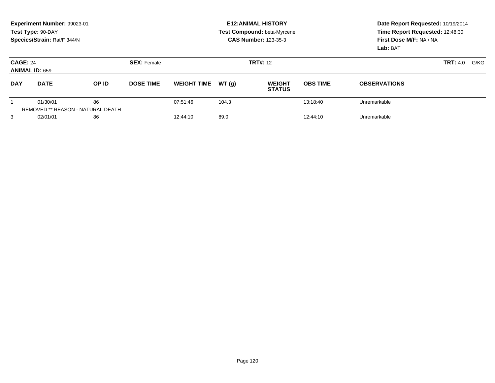|                                          | Experiment Number: 99023-01<br>Test Type: 90-DAY<br>Species/Strain: Rat/F 344/N |                                                |                    |                    |       | <b>E12: ANIMAL HISTORY</b><br>Test Compound: beta-Myrcene<br><b>CAS Number: 123-35-3</b> | Date Report Requested: 10/19/2014<br>Time Report Requested: 12:48:30<br>First Dose M/F: NA / NA<br>Lab: BAT |                     |  |
|------------------------------------------|---------------------------------------------------------------------------------|------------------------------------------------|--------------------|--------------------|-------|------------------------------------------------------------------------------------------|-------------------------------------------------------------------------------------------------------------|---------------------|--|
| <b>CAGE: 24</b><br><b>ANIMAL ID: 659</b> |                                                                                 |                                                | <b>SEX: Female</b> |                    |       | <b>TRT#: 12</b>                                                                          |                                                                                                             | TRT: 4.0<br>G/KG    |  |
| <b>DAY</b>                               | <b>DATE</b>                                                                     | OP ID                                          | <b>DOSE TIME</b>   | <b>WEIGHT TIME</b> | WT(q) | <b>WEIGHT</b><br><b>STATUS</b>                                                           | <b>OBS TIME</b>                                                                                             | <b>OBSERVATIONS</b> |  |
|                                          | 01/30/01                                                                        | 86<br><b>REMOVED ** REASON - NATURAL DEATH</b> |                    | 07:51:46           | 104.3 |                                                                                          | 13:18:40                                                                                                    | Unremarkable        |  |
| 3                                        | 02/01/01                                                                        | 86                                             |                    | 12:44:10           | 89.0  |                                                                                          | 12:44:10                                                                                                    | Unremarkable        |  |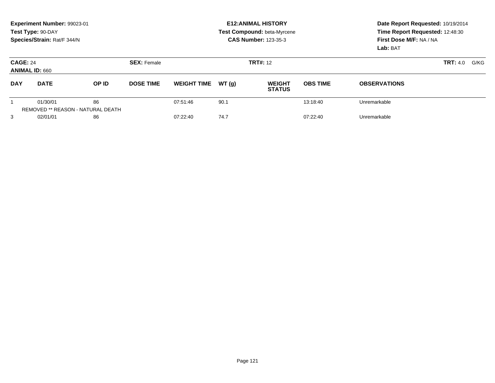| Experiment Number: 99023-01<br>Test Type: 90-DAY<br>Species/Strain: Rat/F 344/N |             |                                         |                    | <b>E12: ANIMAL HISTORY</b><br>Test Compound: beta-Myrcene<br><b>CAS Number: 123-35-3</b> |       |                                |                 | Date Report Requested: 10/19/2014<br>Time Report Requested: 12:48:30<br>First Dose M/F: NA / NA<br>Lab: BAT |  |
|---------------------------------------------------------------------------------|-------------|-----------------------------------------|--------------------|------------------------------------------------------------------------------------------|-------|--------------------------------|-----------------|-------------------------------------------------------------------------------------------------------------|--|
| <b>CAGE: 24</b><br><b>ANIMAL ID: 660</b>                                        |             |                                         | <b>SEX: Female</b> | <b>TRT#:</b> 12                                                                          |       |                                |                 | <b>TRT:</b> 4.0<br>G/KG                                                                                     |  |
| <b>DAY</b>                                                                      | <b>DATE</b> | OP ID                                   | <b>DOSE TIME</b>   | <b>WEIGHT TIME</b>                                                                       | WT(q) | <b>WEIGHT</b><br><b>STATUS</b> | <b>OBS TIME</b> | <b>OBSERVATIONS</b>                                                                                         |  |
|                                                                                 | 01/30/01    | 86<br>REMOVED ** REASON - NATURAL DEATH |                    | 07:51:46                                                                                 | 90.1  |                                | 13:18:40        | Unremarkable                                                                                                |  |
| 3                                                                               | 02/01/01    | 86                                      |                    | 07:22:40                                                                                 | 74.7  |                                | 07:22:40        | Unremarkable                                                                                                |  |